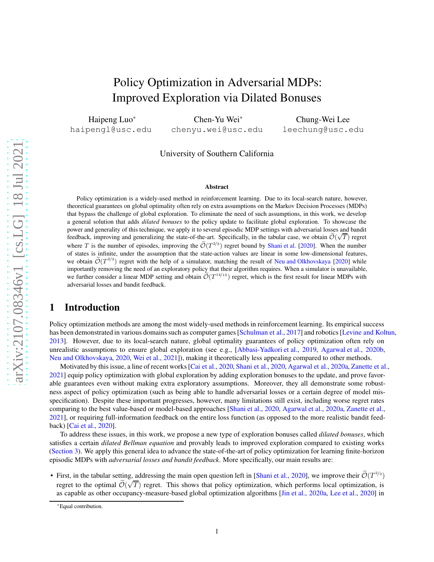# Policy Optimization in Adversarial MDPs: Improved Exploration via Dilated Bonuses

Haipeng Luo\* haipengl@usc.edu

Chen-Yu Wei\* chenyu.wei@usc.edu

Chung-Wei Lee leechung@usc.edu

#### University of Southern California

#### Abstract

Policy optimization is a widely-used method in reinforcement learning. Due to its local-search nature, however, theoretical guarantees on global optimality often rely on extra assumptions on the Markov Decision Processes (MDPs) that bypass the challenge of global exploration. To eliminate the need of such assumptions, in this work, we develop a general solution that adds *dilated bonuses* to the policy update to facilitate global exploration. To showcase the power and generality of this technique, we apply it to several episodic MDP settings with adversarial losses and bandit feedback, improving and generalizing the state-of-the-art. Specifically, in the tabular case, we obtain  $\tilde{\mathcal{O}}(\sqrt{T})$  regret where T is the number of episodes, improving the  $\tilde{\mathcal{O}}(T^{2/3})$  regret bound by [Shani et al.](#page-13-0) [\[2020\]](#page-13-0). When the number of states is infinite, under the assumption that the state-action values are linear in some low-dimensional features, we obtain  $\widetilde{\mathcal{O}}(T^{2/3})$  regret with the help of a simulator, matching the result of [Neu and Olkhovskaya](#page-13-1) [\[2020](#page-13-1)] while importantly removing the need of an exploratory policy that their algorithm requires. When a simulator is unavailable, we further consider a linear MDP setting and obtain  $\tilde{O}(T^{14/15})$  regret, which is the first result for linear MDPs with adversarial losses and bandit feedback.

## 1 Introduction

Policy optimization methods are among the most widely-used methods in reinforcement learning. Its empirical success has been demonstrated in various domains such as computer games [\[Schulman et al.,](#page-13-2) [2017](#page-13-2)] and robotics [\[Levine and Koltun,](#page-13-3) [2013\]](#page-13-3). However, due to its local-search nature, global optimality guarantees of policy optimization often rely on unrealistic assumptions to ensure global exploration (see e.g., [\[Abbasi-Yadkori et al.,](#page-12-0) [2019,](#page-12-0) [Agarwal et al.](#page-12-1), [2020b,](#page-12-1) [Neu and Olkhovskaya,](#page-13-1) [2020](#page-13-1), [Wei et al.,](#page-13-4) [2021\]](#page-13-4)), making it theoretically less appealing compared to other methods.

Motivated by this issue, a line of recent works [\[Cai et al.](#page-12-2), [2020,](#page-12-2) [Shani et al.,](#page-13-0) [2020](#page-13-0), [Agarwal et al.](#page-12-3), [2020a](#page-12-3), [Zanette et al.](#page-13-5), [2021\]](#page-13-5) equip policy optimization with global exploration by adding exploration bonuses to the update, and prove favorable guarantees even without making extra exploratory assumptions. Moreover, they all demonstrate some robustness aspect of policy optimization (such as being able to handle adversarial losses or a certain degree of model misspecification). Despite these important progresses, however, many limitations still exist, including worse regret rates comparing to the best value-based or model-based approaches [\[Shani et al.,](#page-13-0) [2020,](#page-13-0) [Agarwal et al.,](#page-12-3) [2020a](#page-12-3), [Zanette et al.,](#page-13-5) [2021\]](#page-13-5), or requiring full-information feedback on the entire loss function (as opposed to the more realistic bandit feedback) [\[Cai et al.,](#page-12-2) [2020\]](#page-12-2).

To address these issues, in this work, we propose a new type of exploration bonuses called *dilated bonuses*, which satisfies a certain *dilated Bellman equation* and provably leads to improved exploration compared to existing works [\(Section 3\)](#page-2-0). We apply this general idea to advance the state-of-the-art of policy optimization for learning finite-horizon episodic MDPs with *adversarial losses and bandit feedback*. More specifically, our main results are:

• First, in the tabular setting, addressing the main open question left in [\[Shani et al.,](#page-13-0) [2020\]](#page-13-0), we improve their  $\mathcal{O}(T^{2/3})$ regret to the optimal  $\widetilde{\mathcal{O}}(\sqrt{T})$  regret. This shows that policy optimization, which performs local optimization, is as capable as other occupancy-measure-based global optimization algorithms [\[Jin et al.,](#page-12-4) [2020a,](#page-12-4) [Lee et al.,](#page-13-6) [2020](#page-13-6)] in

<sup>\*</sup>Equal contribution.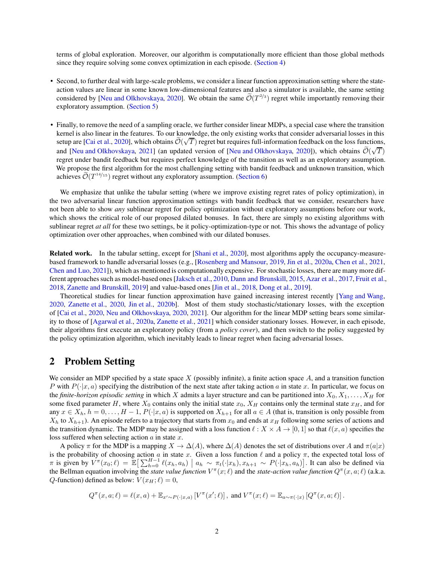terms of global exploration. Moreover, our algorithm is computationally more efficient than those global methods since they require solving some convex optimization in each episode. [\(Section 4\)](#page-4-0)

- Second, to further deal with large-scale problems, we consider a linear function approximation setting where the stateaction values are linear in some known low-dimensional features and also a simulator is available, the same setting considered by [\[Neu and Olkhovskaya,](#page-13-1) [2020\]](#page-13-1). We obtain the same  $\mathcal{O}(T^{2/3})$  regret while importantly removing their exploratory assumption. [\(Section 5\)](#page-6-0)
- Finally, to remove the need of a sampling oracle, we further consider linear MDPs, a special case where the transition kernel is also linear in the features. To our knowledge, the only existing works that consider adversarial losses in this setup are [\[Cai et al.](#page-12-2), [2020](#page-12-2)], which obtains  $\tilde{O}(\sqrt{T})$  regret but requires full-information feedback on the loss functions, and [\[Neu and Olkhovskaya,](#page-13-1) [2021\]](#page-13-7) (an updated version of [Neu and Olkhovskaya, [2020\]](#page-13-1)), which obtains  $\tilde{\mathcal{O}}(\sqrt{T})$ regret under bandit feedback but requires perfect knowledge of the transition as well as an exploratory assumption. We propose the first algorithm for the most challenging setting with bandit feedback and unknown transition, which achieves  $\mathcal{O}(T^{14/15})$  regret without any exploratory assumption. [\(Section 6\)](#page-8-0)

We emphasize that unlike the tabular setting (where we improve existing regret rates of policy optimization), in the two adversarial linear function approximation settings with bandit feedback that we consider, researchers have not been able to show *any* sublinear regret for policy optimization without exploratory assumptions before our work, which shows the critical role of our proposed dilated bonuses. In fact, there are simply no existing algorithms with sublinear regret *at all* for these two settings, be it policy-optimization-type or not. This shows the advantage of policy optimization over other approaches, when combined with our dilated bonuses.

Related work. In the tabular setting, except for [\[Shani et al.,](#page-13-0) [2020\]](#page-13-0), most algorithms apply the occupancy-measurebased framework to handle adversarial losses (e.g., [\[Rosenberg and Mansour,](#page-13-8) [2019,](#page-13-8) [Jin et al.,](#page-12-4) [2020a](#page-12-4), [Chen et al.](#page-12-5), [2021,](#page-12-5) [Chen and Luo](#page-12-6), [2021\]](#page-12-6)), which as mentioned is computationally expensive. For stochastic losses, there are many more different approaches such as model-based ones [\[Jaksch et al.,](#page-12-7) [2010](#page-12-7), [Dann and Brunskill,](#page-12-8) [2015,](#page-12-8) [Azar et al.](#page-12-9), [2017,](#page-12-9) [Fruit et al.](#page-12-10), [2018,](#page-12-10) [Zanette and Brunskill](#page-13-9), [2019](#page-13-9)] and value-based ones [\[Jin et al.](#page-12-11), [2018,](#page-12-11) [Dong et al.,](#page-12-12) [2019\]](#page-12-12).

Theoretical studies for linear function approximation have gained increasing interest recently [\[Yang and Wang,](#page-13-10) [2020,](#page-13-10) [Zanette et al.](#page-13-11), [2020,](#page-13-11) [Jin et al.](#page-12-13), [2020b\]](#page-12-13). Most of them study stochastic/stationary losses, with the exception of [\[Cai et al.,](#page-12-2) [2020,](#page-12-2) [Neu and Olkhovskaya,](#page-13-1) [2020,](#page-13-1) [2021\]](#page-13-7). Our algorithm for the linear MDP setting bears some similarity to those of [\[Agarwal et al.](#page-12-3), [2020a,](#page-12-3) [Zanette et al.](#page-13-5), [2021](#page-13-5)] which consider stationary losses. However, in each episode, their algorithms first execute an exploratory policy (from a *policy cover*), and then switch to the policy suggested by the policy optimization algorithm, which inevitably leads to linear regret when facing adversarial losses.

## 2 Problem Setting

We consider an MDP specified by a state space X (possibly infinite), a finite action space  $A$ , and a transition function P with  $P(\cdot|x, a)$  specifying the distribution of the next state after taking action a in state x. In particular, we focus on the *finite-horizon episodic setting* in which X admits a layer structure and can be partitioned into  $X_0, X_1, \ldots, X_H$  for some fixed parameter H, where  $X_0$  contains only the initial state  $x_0$ ,  $X_H$  contains only the terminal state  $x_H$ , and for any  $x \in X_h$ ,  $h = 0, \ldots, H-1$ ,  $P(\cdot|x, a)$  is supported on  $X_{h+1}$  for all  $a \in A$  (that is, transition is only possible from  $X_h$  to  $X_{h+1}$ ). An episode refers to a trajectory that starts from  $x_0$  and ends at  $x_H$  following some series of actions and the transition dynamic. The MDP may be assigned with a loss function  $\ell : X \times A \to [0, 1]$  so that  $\ell(x, a)$  specifies the loss suffered when selecting action  $a$  in state  $x$ .

A policy  $\pi$  for the MDP is a mapping  $X \to \Delta(A)$ , where  $\Delta(A)$  denotes the set of distributions over A and  $\pi(a|x)$ is the probability of choosing action a in state x. Given a loss function  $\ell$  and a policy  $\pi$ , the expected total loss of  $\pi$  is given by  $V^{\pi}(x_0; \ell) = \mathbb{E} \big[ \sum_{h=0}^{H-1} \ell(x_h, a_h) \mid a_h \sim \pi_t(\cdot | x_h), x_{h+1} \sim P(\cdot | x_h, a_h) \big]$ . It can also be defined via the Bellman equation involving the *state value function*  $V^{\pi}(x;\ell)$  and the *state-action value function*  $Q^{\pi}(x, a; \ell)$  (a.k.a. *Q*-function) defined as below:  $V(x_H; \ell) = 0$ ,

$$
Q^{\pi}(x,a;\ell) = \ell(x,a) + \mathbb{E}_{x' \sim P(\cdot|x,a)}\left[V^{\pi}(x';\ell)\right], \text{ and } V^{\pi}(x;\ell) = \mathbb{E}_{a \sim \pi(\cdot|x)}\left[Q^{\pi}(x,a;\ell)\right].
$$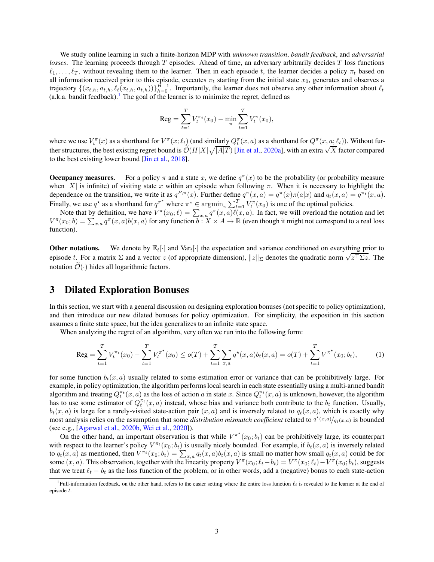We study online learning in such a finite-horizon MDP with *unknown transition*, *bandit feedback*, and *adversarial losses*. The learning proceeds through T episodes. Ahead of time, an adversary arbitrarily decides T loss functions  $\ell_1, \ldots, \ell_T$ , without revealing them to the learner. Then in each episode t, the learner decides a policy  $\pi_t$  based on all information received prior to this episode, executes  $\pi_t$  starting from the initial state  $x_0$ , generates and observes a trajectory  $\{(x_{t,h}, a_{t,h}, \ell_t(x_{t,h}, a_{t,h}))\}_{h=0}^{H-1}$ . Importantly, the learner does not observe any other information about  $\ell_t$ (a.k.a. bandit feedback).<sup>[1](#page-2-1)</sup> The goal of the learner is to minimize the regret, defined as

$$
\text{Reg} = \sum_{t=1}^{T} V_t^{\pi_t}(x_0) - \min_{\pi} \sum_{t=1}^{T} V_t^{\pi}(x_0),
$$

where we use  $V_t^{\pi}(x)$  as a shorthand for  $V^{\pi}(x;\ell_t)$  (and similarly  $Q_t^{\pi}(x,a)$  as a shorthand for  $Q^{\pi}(x,a;\ell_t)$ ). Without further structures, the best existing regret bound is  $\tilde{\mathcal{O}}(H|X|\sqrt{|A|T})$  [\[Jin et al.](#page-12-4), [2020a\]](#page-12-4), with an extra  $\sqrt{X}$  factor compared to the best existing lower bound [\[Jin et al.](#page-12-11), [2018](#page-12-11)].

**Occupancy measures.** For a policy  $\pi$  and a state x, we define  $q^{\pi}(x)$  to be the probability (or probability measure when  $|X|$  is infinite) of visiting state x within an episode when following  $\pi$ . When it is necessary to highlight the dependence on the transition, we write it as  $q^{P,\pi}(x)$ . Further define  $q^{\pi}(x,a) = q^{\pi}(x)\pi(a|x)$  and  $q_t(x,a) = q^{\pi_t}(x,a)$ . Finally, we use  $q^*$  as a shorthand for  $q^{\pi^*}$  where  $\pi^* \in \operatorname{argmin}_{\pi} \sum_{t=1}^T V_t^{\pi}(x_0)$  is one of the optimal policies.

Note that by definition, we have  $V^{\pi}(x_0;\ell) = \sum_{x,a} q^{\pi}(x,a)\ell(x,a)$ . In fact, we will overload the notation and let  $V^{\pi}(x_0; b) = \sum_{x,a} q^{\pi}(x, a) b(x, a)$  for any function  $b: X \times A \to \mathbb{R}$  (even though it might not correspond to a real loss function).

**Other notations.** We denote by  $\mathbb{E}_t[\cdot]$  and  $\text{Var}_t[\cdot]$  the expectation and variance conditioned on everything prior to episode t. For a matrix  $\Sigma$  and a vector z (of appropriate dimension),  $||z||_{\Sigma}$  denotes the quadratic norm  $\sqrt{z^{\top}\Sigma z}$ . The notation  $\mathcal{O}(\cdot)$  hides all logarithmic factors.

## <span id="page-2-0"></span>3 Dilated Exploration Bonuses

In this section, we start with a general discussion on designing exploration bonuses (not specific to policy optimization), and then introduce our new dilated bonuses for policy optimization. For simplicity, the exposition in this section assumes a finite state space, but the idea generalizes to an infinite state space.

When analyzing the regret of an algorithm, very often we run into the following form:

<span id="page-2-2"></span>
$$
\operatorname{Reg} = \sum_{t=1}^{T} V_t^{\pi_t}(x_0) - \sum_{t=1}^{T} V_t^{\pi^*}(x_0) \leq o(T) + \sum_{t=1}^{T} \sum_{x,a} q^*(x,a) b_t(x,a) = o(T) + \sum_{t=1}^{T} V^{\pi^*}(x_0; b_t),\tag{1}
$$

for some function  $b_t(x, a)$  usually related to some estimation error or variance that can be prohibitively large. For example, in policy optimization, the algorithm performs local search in each state essentially using a multi-armed bandit algorithm and treating  $Q_t^{\pi_t}(x, a)$  as the loss of action a in state x. Since  $Q_t^{\pi_t}(x, a)$  is unknown, however, the algorithm has to use some estimator of  $Q_t^{\pi_t}(x, a)$  instead, whose bias and variance both contribute to the  $b_t$  function. Usually,  $b_t(x, a)$  is large for a rarely-visited state-action pair  $(x, a)$  and is inversely related to  $q_t(x, a)$ , which is exactly why most analysis relies on the assumption that some *distribution mismatch coefficient* related to  $q^*(x,a)/q_t(x,a)$  is bounded (see e.g., [\[Agarwal et al.,](#page-12-1) [2020b,](#page-12-1) [Wei et al.](#page-13-12), [2020](#page-13-12)]).

On the other hand, an important observation is that while  $V^{\pi^*}(x_0; b_t)$  can be prohibitively large, its counterpart with respect to the learner's policy  $V^{\pi_t}(x_0; b_t)$  is usually nicely bounded. For example, if  $b_t(x, a)$  is inversely related to  $q_t(x, a)$  as mentioned, then  $V^{\pi_t}(x_0; b_t) = \sum_{x, a} q_t(x, a) b_t(x, a)$  is small no matter how small  $q_t(x, a)$  could be for some  $(x, a)$ . This observation, together with the linearity property  $V^{\pi}(x_0; \ell_t - b_t) = V^{\pi}(x_0; \ell_t) - V^{\pi}(x_0; b_t)$ , suggests that we treat  $\ell_t - b_t$  as the loss function of the problem, or in other words, add a (negative) bonus to each state-action

<span id="page-2-1"></span><sup>&</sup>lt;sup>1</sup>Full-information feedback, on the other hand, refers to the easier setting where the entire loss function  $\ell_t$  is revealed to the learner at the end of episode t.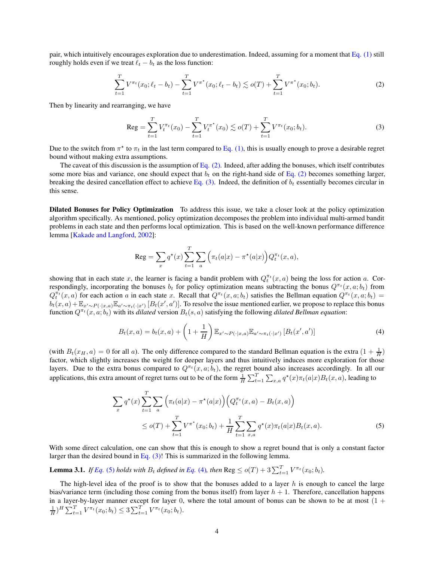pair, which intuitively encourages exploration due to underestimation. Indeed, assuming for a moment that [Eq. \(1\)](#page-2-2) still roughly holds even if we treat  $\ell_t - b_t$  as the loss function:

$$
\sum_{t=1}^{T} V^{\pi_t}(x_0; \ell_t - b_t) - \sum_{t=1}^{T} V^{\pi^*}(x_0; \ell_t - b_t) \lesssim o(T) + \sum_{t=1}^{T} V^{\pi^*}(x_0; b_t).
$$
 (2)

Then by linearity and rearranging, we have

<span id="page-3-1"></span><span id="page-3-0"></span>
$$
\text{Reg} = \sum_{t=1}^{T} V_t^{\pi_t}(x_0) - \sum_{t=1}^{T} V_t^{\pi^*}(x_0) \lesssim o(T) + \sum_{t=1}^{T} V^{\pi_t}(x_0; b_t). \tag{3}
$$

Due to the switch from  $\pi^*$  to  $\pi_t$  in the last term compared to [Eq. \(1\),](#page-2-2) this is usually enough to prove a desirable regret bound without making extra assumptions.

The caveat of this discussion is the assumption of Eq.  $(2)$ . Indeed, after adding the bonuses, which itself contributes some more bias and variance, one should expect that  $b_t$  on the right-hand side of [Eq. \(2\)](#page-3-0) becomes something larger, breaking the desired cancellation effect to achieve [Eq. \(3\).](#page-3-1) Indeed, the definition of  $b_t$  essentially becomes circular in this sense.

Dilated Bonuses for Policy Optimization To address this issue, we take a closer look at the policy optimization algorithm specifically. As mentioned, policy optimization decomposes the problem into individual multi-armed bandit problems in each state and then performs local optimization. This is based on the well-known performance difference lemma [\[Kakade and Langford,](#page-12-14) [2002\]](#page-12-14):

<span id="page-3-3"></span>
$$
\operatorname{Reg} = \sum_{x} q^{\star}(x) \sum_{t=1}^{T} \sum_{a} \left( \pi_t(a|x) - \pi^{\star}(a|x) \right) Q_t^{\pi_t}(x, a),
$$

showing that in each state x, the learner is facing a bandit problem with  $Q_t^{\pi_t}(x, a)$  being the loss for action a. Correspondingly, incorporating the bonuses  $b_t$  for policy optimization means subtracting the bonus  $Q^{\pi t}(x, a; b_t)$  from  $Q_t^{\pi_t}(x, a)$  for each action a in each state x. Recall that  $Q^{\pi_t}(x, a; b_t)$  satisfies the Bellman equation  $Q^{\pi_t}(x, a; b_t)$  =  $b_t(x, a) + \mathbb{E}_{x' \sim P(\cdot | x, a)} \mathbb{E}_{a' \sim \pi_t(\cdot | x')} [B_t(x', a')]$ . To resolve the issue mentioned earlier, we propose to replace this bonus function  $Q^{\pi_t}(x, a; b_t)$  with its *dilated* version  $B_t(s, a)$  satisfying the following *dilated Bellman equation*:

$$
B_t(x,a) = b_t(x,a) + \left(1 + \frac{1}{H}\right) \mathbb{E}_{x' \sim P(\cdot | x, a)} \mathbb{E}_{a' \sim \pi_t(\cdot | x')} \left[B_t(x', a')\right]
$$
\n
$$
\tag{4}
$$

(with  $B_t(x_H, a) = 0$  for all a). The only difference compared to the standard Bellman equation is the extra  $(1 + \frac{1}{H})$ factor, which slightly increases the weight for deeper layers and thus intuitively induces more exploration for those layers. Due to the extra bonus compared to  $Q^{\pi_t}(x, a; b_t)$ , the regret bound also increases accordingly. In all our applications, this extra amount of regret turns out to be of the form  $\frac{1}{H} \sum_{t=1}^{T} \sum_{x,a} q^*(x) \pi_t(a|x) B_t(x,a)$ , leading to

<span id="page-3-2"></span>
$$
\sum_{x} q^{\star}(x) \sum_{t=1}^{T} \sum_{a} \left( \pi_t(a|x) - \pi^{\star}(a|x) \right) \left( Q_t^{\pi_t}(x, a) - B_t(x, a) \right)
$$
  
 
$$
\leq o(T) + \sum_{t=1}^{T} V^{\pi^{\star}}(x_0; b_t) + \frac{1}{H} \sum_{t=1}^{T} \sum_{x, a} q^{\star}(x) \pi_t(a|x) B_t(x, a).
$$
 (5)

With some direct calculation, one can show that this is enough to show a regret bound that is only a constant factor larger than the desired bound in Eq.  $(3)!$  This is summarized in the following lemma.

<span id="page-3-4"></span>**Lemma 3.1.** *If [Eq.](#page-3-3)* (5) *holds with*  $B_t$  *defined in Eq.* (4), *then*  $\text{Reg} \le o(T) + 3\sum_{t=1}^T V^{\pi_t}(x_0; b_t)$ .

The high-level idea of the proof is to show that the bonuses added to a layer  $h$  is enough to cancel the large bias/variance term (including those coming from the bonus itself) from layer  $h + 1$ . Therefore, cancellation happens in a layer-by-layer manner except for layer 0, where the total amount of bonus can be shown to be at most  $(1 +$  $\frac{1}{H}$ )<sup>H</sup>  $\sum_{t=1}^{T} V^{\pi_t}(x_0; b_t) \leq 3 \sum_{t=1}^{T} V^{\pi_t}(x_0; b_t)$ .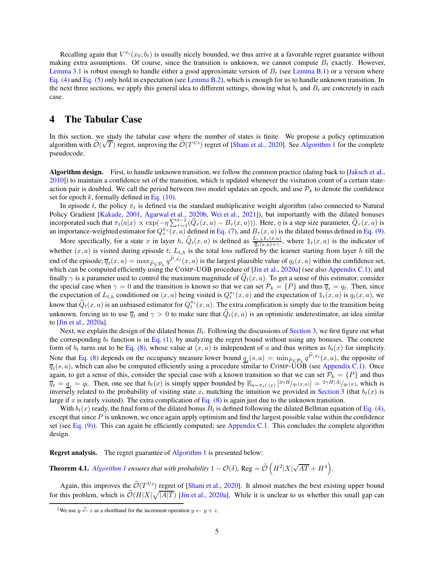Recalling again that  $V^{\pi_t}(x_0; b_t)$  is usually nicely bounded, we thus arrive at a favorable regret guarantee without making extra assumptions. Of course, since the transition is unknown, we cannot compute  $B_t$  exactly. However, [Lemma 3.1](#page-3-4) is robust enough to handle either a good approximate version of  $B_t$  (see [Lemma B.1\)](#page-15-0) or a version where [Eq. \(4\)](#page-3-3) and [Eq. \(5\)](#page-3-2) only hold in expectation (see [Lemma B.2\)](#page-16-0), which is enough for us to handle unknown transition. In the next three sections, we apply this general idea to different settings, showing what  $b_t$  and  $B_t$  are concretely in each case.

### <span id="page-4-0"></span>4 The Tabular Case

In this section, we study the tabular case where the number of states is finite. We propose a policy optimization algorithm with  $\tilde{\mathcal{O}}(\sqrt{T})$  regret, improving the  $\tilde{\mathcal{O}}(T^{2/3})$  regret of [\[Shani et al.](#page-13-0), [2020\]](#page-13-0). See [Algorithm 1](#page-5-0) for the complete pseudocode.

Algorithm design. First, to handle unknown transition, we follow the common practice (dating back to [\[Jaksch et al.,](#page-12-7) [2010\]](#page-12-7)) to maintain a confidence set of the transition, which is updated whenever the visitation count of a certain stateaction pair is doubled. We call the period between two model updates an epoch, and use  $\mathcal{P}_k$  to denote the confidence set for epoch  $k$ , formally defined in [Eq. \(10\).](#page-5-1)

In episode t, the policy  $\pi_t$  is defined via the standard multiplicative weight algorithm (also connected to Natural Policy Gradient [\[Kakade,](#page-13-13) [2001,](#page-13-13) [Agarwal et al.](#page-12-1), [2020b,](#page-12-1) [Wei et al.](#page-13-4), [2021\]](#page-13-4)), but importantly with the dilated bonuses incorporated such that  $\pi_t(a|x) \propto \exp(-\eta \sum_{\tau=1}^{t-1} (\widehat{Q}_\tau(x, a) - B_\tau(x, a)))$ . Here,  $\eta$  is a step size parameter,  $\widehat{Q}_\tau(x, a)$  is an importance-weighted estimator for  $Q^{\pi}_{\tau}(x, a)$  defined in [Eq. \(7\),](#page-5-2) and  $B_{\tau}(x, a)$  is the dilated bonus defined in [Eq. \(9\).](#page-5-3)

More specifically, for a state x in layer h,  $\hat{Q}_t(x, a)$  is defined as  $\frac{L_{t,h} \mathbb{1}_t(x, a)}{\overline{q}_t(x, a)+\gamma}$ , where  $\mathbb{1}_t(x, a)$  is the indicator of whether  $(x, a)$  is visited during episode t;  $L_{t,h}$  is the total loss suffered by the learner starting from layer h till the end of the episode;  $\overline{q}_t(x, a) = \max_{\widehat{P} \in \mathcal{P}_k} q^{P, \pi_t}(x, a)$  is the largest plausible value of  $q_t(x, a)$  within the confidence set, which can be computed efficiently using the COMP-UOB procedure of [\[Jin et al.,](#page-12-4) [2020a\]](#page-12-4) (see also [Appendix C.1\)](#page-17-0); and finally  $\gamma$  is a parameter used to control the maximum magnitude of  $Q_t(x, a)$ . To get a sense of this estimator, consider the special case when  $\gamma = 0$  and the transition is known so that we can set  $\mathcal{P}_k = \{P\}$  and thus  $\overline{q}_t = q_t$ . Then, since the expectation of  $L_{t,h}$  conditioned on  $(x, a)$  being visited is  $Q_t^{\pi_t}(x, a)$  and the expectation of  $\mathbb{1}_t(x, a)$  is  $q_t(x, a)$ , we know that  $\widehat{Q}_t(x, a)$  is an unbiased estimator for  $Q_t^{\pi_t}(x, a)$ . The extra complication is simply due to the transition being unknown, forcing us to use  $\overline{q}_t$  and  $\gamma > 0$  to make sure that  $Q_t(x, a)$  is an optimistic underestimator, an idea similar to [\[Jin et al.,](#page-12-4) [2020a\]](#page-12-4).

Next, we explain the design of the dilated bonus  $B_t$ . Following the discussions of [Section 3,](#page-2-0) we first figure out what the corresponding  $b_t$  function is in [Eq. \(1\),](#page-2-2) by analyzing the regret bound without using any bonuses. The concrete form of  $b_t$  turns out to be [Eq. \(8\),](#page-5-4) whose value at  $(x, a)$  is independent of a and thus written as  $b_t(x)$  for simplicity. Note that [Eq. \(8\)](#page-5-4) depends on the occupancy measure lower bound  $q_t(s, a) = \min_{\widehat{P} \in \mathcal{P}_k} q^{P, \pi_t}(x, a)$ , the opposite of  $\overline{q}_t(s, a)$ , which can also be computed efficiently using a procedure similar to COMP-UOB (see [Appendix C.1\)](#page-17-0). Once again, to get a sense of this, consider the special case with a known transition so that we can set  $\mathcal{P}_k = \{P\}$  and thus  $\overline{q}_t = \underline{q}_t = q_t$ . Then, one see that  $b_t(x)$  is simply upper bounded by  $\mathbb{E}_{a \sim \pi_t(\cdot|x)} \left[ \frac{3\gamma H}{q_t(x,a)} \right] = \frac{3\gamma H}{A} \left| \frac{q_t(x)}{q_t(x)} \right|$ , which is inversely related to the probability of visiting state x, matching the intuition we provided in [Section 3](#page-2-0) (that  $b_t(x)$  is large if x is rarely visited). The extra complication of Eq.  $(8)$  is again just due to the unknown transition.

With  $b_t(x)$  ready, the final form of the dilated bonus  $B_t$  is defined following the dilated Bellman equation of [Eq. \(4\),](#page-3-3) except that since  $P$  is unknown, we once again apply optimism and find the largest possible value within the confidence set (see Eq.  $(9)$ ). This can again be efficiently computed; see [Appendix C.1.](#page-17-0) This concludes the complete algorithm design.

Regret analysis. The regret guarantee of [Algorithm 1](#page-5-0) is presented below:

<span id="page-4-2"></span>**Theorem 4.1.** [Algorithm 1](#page-5-0) ensures that with probability  $1 - \mathcal{O}(\delta)$ , Reg =  $\widetilde{\mathcal{O}}\left(H^2|X|\sqrt{AT} + H^4\right)$ .

Again, this improves the  $\mathcal{O}(T^{2/3})$  regret of [\[Shani et al.](#page-13-0), [2020\]](#page-13-0). It almost matches the best existing upper bound for this problem, which is  $\tilde{\mathcal{O}}(H|X|\sqrt{|A|T})$  [\[Jin et al.](#page-12-4), [2020a](#page-12-4)]. While it is unclear to us whether this small gap can

<span id="page-4-1"></span><sup>&</sup>lt;sup>2</sup>We use  $y \stackrel{+}{\leftarrow} z$  as a shorthand for the increment operation  $y \leftarrow y + z$ .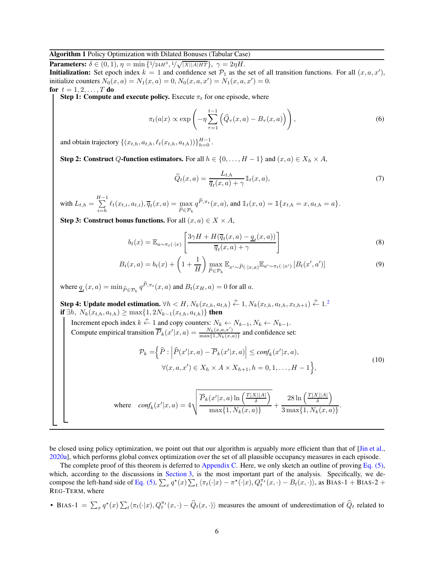#### <span id="page-5-0"></span>Algorithm 1 Policy Optimization with Dilated Bonuses (Tabular Case)

**Parameters:**  $\delta \in (0, 1), \eta = \min\{1/24H^3, 1/\sqrt{|X||A|HT}\}, \gamma = 2\eta H.$ **Initialization:** Set epoch index  $k = 1$  and confidence set  $\mathcal{P}_1$  as the set of all transition functions. For all  $(x, a, x')$ , initialize counters  $N_0(x, a) = N_1(x, a) = 0, N_0(x, a, x') = N_1(x, a, x') = 0.$ for  $t = 1, 2, ..., T$  do

**Step 1: Compute and execute policy.** Execute  $\pi_t$  for one episode, where

$$
\pi_t(a|x) \propto \exp\left(-\eta \sum_{\tau=1}^{t-1} \left(\widehat{Q}_{\tau}(x, a) - B_{\tau}(x, a)\right)\right),\tag{6}
$$

and obtain trajectory  $\{(x_{t,h}, a_{t,h}, \ell_t(x_{t,h}, a_{t,h}))\}_{h=0}^{H-1}$ .

Step 2: Construct Q-function estimators. For all  $h \in \{0, \ldots, H-1\}$  and  $(x, a) \in X_h \times A$ ,

<span id="page-5-2"></span>
$$
\widehat{Q}_t(x,a) = \frac{L_{t,h}}{\overline{q}_t(x,a) + \gamma} \mathbb{1}_t(x,a),\tag{7}
$$

with  $L_{t,h} = \sum_{n=1}^{H-1}$  $\sum_{i=h} \ell_t(x_{t,i}, a_{t,i}), \overline{q}_t(x, a) = \max_{\widehat{P} \in \mathcal{P}_k}$  $P \in \mathcal{P}_k$  $q^{P, \pi_t}(x, a)$ , and  $\mathbb{1}_t(x, a) = \mathbb{1}\{x_{t,h} = x, a_{t,h} = a\}.$ 

Step 3: Construct bonus functions. For all  $(x, a) \in X \times A$ ,

$$
b_t(x) = \mathbb{E}_{a \sim \pi_t(\cdot|x)} \left[ \frac{3\gamma H + H(\overline{q}_t(x, a) - \underline{q}_t(x, a))}{\overline{q}_t(x, a) + \gamma} \right]
$$
(8)

$$
B_t(x,a) = b_t(x) + \left(1 + \frac{1}{H}\right) \max_{\widehat{P} \in \mathcal{P}_k} \mathbb{E}_{x' \sim \widehat{P}(\cdot | x, a)} \mathbb{E}_{a' \sim \pi_t(\cdot | x')} \left[B_t(x', a')\right]
$$
(9)

where  $\underline{q}_t(x, a) = \min_{\widehat{P} \in \mathcal{P}_k} q^{P, \pi_t}(x, a)$  and  $B_t(x_H, a) = 0$  for all a.

**Step 4: Update model estimation.**  $\forall h \lt H, N_k(x_{t,h}, a_{t,h}) \stackrel{+}{\leftarrow} 1, N_k(x_{t,h}, a_{t,h}, x_{t,h+1}) \stackrel{+}{\leftarrow} 1$ .<sup>[2](#page-4-1)</sup> **if** ∃h,  $N_k(x_{t,h}, a_{t,h})$  ≥ max{1, 2 $N_{k-1}(x_{t,h}, a_{t,h})$ } **then** 

Increment epoch index  $k \stackrel{+}{\leftarrow} 1$  and copy counters:  $N_k \leftarrow N_{k-1}, N_k \leftarrow N_{k-1}.$ Compute empirical transition  $\overline{P}_k(x'|x, a) = \frac{N_k(x, a, x')}{\max\{1, N_k(x, a)\}}$  $\frac{N_k(x,a,x)}{\max\{1,N_k(x,a)\}}$  and confidence set:

$$
\mathcal{P}_k = \left\{ \widehat{P} : \left| \widehat{P}(x'|x, a) - \overline{P}_k(x'|x, a) \right| \le \text{conf}_k(x'|x, a), \right\} \forall (x, a, x') \in X_h \times A \times X_{h+1}, h = 0, 1, \dots, H - 1 \right\},
$$
\n(10)

<span id="page-5-4"></span><span id="page-5-3"></span><span id="page-5-1"></span>.

$$
\text{where} \quad \text{conf}_k(x'|x,a) = 4\sqrt{\frac{\overline{P}_k(x'|x,a)\ln\left(\frac{T|X||A|}{\delta}\right)}{\max\{1,N_k(x,a)\}}} + \frac{28\ln\left(\frac{T|X||A|}{\delta}\right)}{3\max\{1,N_k(x,a)\}}
$$

be closed using policy optimization, we point out that our algorithm is arguably more efficient than that of [\[Jin et al.,](#page-12-4) [2020a](#page-12-4)], which performs global convex optimization over the set of all plausible occupancy measures in each episode.

The complete proof of this theorem is deferred to [Appendix C.](#page-17-1) Here, we only sketch an outline of proving [Eq. \(5\),](#page-3-2) which, according to the discussions in [Section 3,](#page-2-0) is the most important part of the analysis. Specifically, we de-compose the left-hand side of [Eq. \(5\),](#page-3-2)  $\sum_x q^*(x) \sum_t \langle \pi_t(\cdot|x) - \pi^*(\cdot|x), Q_t^{\pi_t}(x, \cdot) - B_t(x, \cdot) \rangle$ , as BIAS-1 + BIAS-2 + REG-TERM, where

• BIAS-1 =  $\sum_x q^*(x) \sum_t \langle \pi_t(\cdot|x), Q_t^{\pi_t}(x, \cdot) - \widehat{Q}_t(x, \cdot) \rangle$  measures the amount of underestimation of  $\widehat{Q}_t$  related to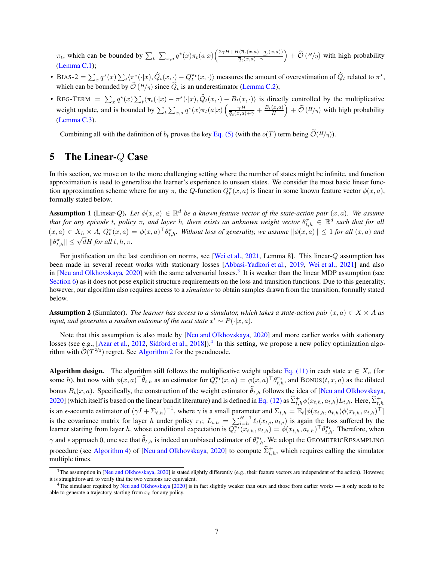$\pi_t$ , which can be bounded by  $\sum_t \sum_{x,a} q^*(x) \pi_t(a|x) \left( \frac{2 \gamma H + H(\overline{q}_t(x,a) - q_t(x,a))}{\overline{q}_t(x,a) + \gamma} \right)$  $\overline{q}_t(x,a)+\gamma$  $+ \widetilde{\mathcal{O}}\left(\frac{H}{\eta}\right)$  with high probability [\(Lemma C.1\)](#page-18-0);

- BIAS-2 =  $\sum_x q^*(x) \sum_t \langle \pi^*(\cdot|x), \hat{Q}_t(x, \cdot) Q_t^{\pi_t}(x, \cdot) \rangle$  measures the amount of overestimation of  $\hat{Q}_t$  related to  $\pi^*$ , which can be bounded by  $\mathcal{O}(H/\eta)$  since  $Q_t$  is an underestimator [\(Lemma C.2\)](#page-20-0);
- REG-TERM  $= \sum_x q^*(x) \sum_t \langle \pi_t(\cdot|x) \pi^*(\cdot|x), \widehat{Q}_t(x, \cdot) B_t(x, \cdot) \rangle$  is directly controlled by the multiplicative weight update, and is bounded by  $\sum_{t} \sum_{x,a} q^{*}(x) \pi_{t}(a|x) \left( \frac{\gamma H}{\overline{q}_{t}(x,a)+\gamma} + \frac{B_{t}(x,a)}{H} \right)$  $\left( \phi + \widetilde{\mathcal{O}}\left(\frac{H}{\eta}\right) \right)$  with high probability [\(Lemma C.3\)](#page-20-1).

Combining all with the definition of  $b_t$  proves the key [Eq. \(5\)](#page-3-2) (with the  $o(T)$  term being  $\widetilde{\mathcal{O}}(H/n)$ ).

# <span id="page-6-0"></span>5 The Linear-Q Case

In this section, we move on to the more challenging setting where the number of states might be infinite, and function approximation is used to generalize the learner's experience to unseen states. We consider the most basic linear function approximation scheme where for any  $\pi$ , the Q-function  $Q_t^{\pi}(x, a)$  is linear in some known feature vector  $\phi(x, a)$ , formally stated below.

<span id="page-6-3"></span>**Assumption 1** (Linear-Q). Let  $\phi(x, a) \in \mathbb{R}^d$  be a known feature vector of the state-action pair  $(x, a)$ . We assume *that for any episode t, policy*  $\pi$ , and layer *h, there exists an unknown weight vector*  $\theta_{t,h}^{\pi} \in \mathbb{R}^d$  such that for all  $(x, a) \in X_h \times A$ ,  $Q_t^{\pi}(x, a) = \phi(x, a)^\top \theta_{t, h}^{\pi}$ . Without loss of generality, we assume  $\|\phi(x, a)\| \leq 1$  for all  $(x, a)$  and  $\|\theta_{t,h}^{\pi}\| \leq \sqrt{d}H$  for all  $t, h, \pi$ .

For justification on the last condition on norms, see [\[Wei et al.](#page-13-4), [2021](#page-13-4), Lemma 8]. This linear-Q assumption has been made in several recent works with stationary losses [\[Abbasi-Yadkori et al.](#page-12-0), [2019,](#page-12-0) [Wei et al.](#page-13-4), [2021\]](#page-13-4) and also in [\[Neu and Olkhovskaya,](#page-13-1) [2020\]](#page-13-1) with the same adversarial losses.<sup>[3](#page-6-1)</sup> It is weaker than the linear MDP assumption (see [Section 6\)](#page-8-0) as it does not pose explicit structure requirements on the loss and transition functions. Due to this generality, however, our algorithm also requires access to a *simulator* to obtain samples drawn from the transition, formally stated below.

<span id="page-6-4"></span>**Assumption 2** (Simulator). *The learner has access to a simulator, which takes a state-action pair*  $(x, a) \in X \times A$  *as input, and generates a random outcome of the next state*  $x' \sim P(\cdot | x, a)$ *.* 

Note that this assumption is also made by [\[Neu and Olkhovskaya,](#page-13-1) [2020\]](#page-13-1) and more earlier works with stationary losses (see e.g., [\[Azar et al.](#page-12-15), [2012,](#page-12-15) [Sidford et al.,](#page-13-14) [2018](#page-13-14)]).<sup>[4](#page-6-2)</sup> In this setting, we propose a new policy optimization algorithm with  $\mathcal{O}(T^{2/3})$  regret. See [Algorithm 2](#page-7-0) for the pseudocode.

Algorithm design. The algorithm still follows the multiplicative weight update [Eq. \(11\)](#page-7-1) in each state  $x \in X_h$  (for some h), but now with  $\phi(x, a)^\top \widehat{\theta}_{t,h}$  as an estimator for  $Q_t^{\pi_t}(x, a) = \phi(x, a)^\top \theta_{t,h}^{\pi_t}$ , and BONUS $(t, x, a)$  as the dilated bonus  $B_t(x, a)$ . Specifically, the construction of the weight estimator  $\hat{\theta}_{t,h}$  follows the idea of [\[Neu and Olkhovskaya,](#page-13-1) [2020\]](#page-13-1) (which itself is based on the linear bandit literature) and is defined in [Eq. \(12\)](#page-7-2) as  $\widehat{\Sigma}^+_{t,h}\phi(x_{t,h},a_{t,h})L_{t,h}.$  Here,  $\widehat{\Sigma}^+_{t,h}$ is an  $\epsilon$ -accurate estimator of  $(\gamma I + \Sigma_{t,h})^{-1}$ , where  $\gamma$  is a small parameter and  $\Sigma_{t,h} = \mathbb{E}_t[\phi(x_{t,h}, a_{t,h})\phi(x_{t,h}, a_{t,h})^\top]$ is the covariance matrix for layer h under policy  $\pi_t$ ;  $L_{t,h} = \sum_{i=h}^{H-1} \ell_t(x_{t,i}, a_{t,i})$  is again the loss suffered by the learner starting from layer h, whose conditional expectation is  $Q_t^{\pi_t}(x_{t,h}, a_{t,h}) = \phi(x_{t,h}, a_{t,h})^\top \theta_{t,h}^{\pi_t}$ . Therefore, when  $\gamma$  and  $\epsilon$  approach 0, one see that  $\widehat{\theta}_{t,h}$  is indeed an unbiased estimator of  $\theta_{t,h}^{\pi_t}$ . We adopt the GEOMETRICRESAMPLING procedure (see [Algorithm 4\)](#page-8-1) of [\[Neu and Olkhovskaya,](#page-13-1) [2020\]](#page-13-1) to compute  $\hat{\Sigma}_{t,h}^{+}$ , which requires calling the simulator multiple times.

<span id="page-6-1"></span><sup>&</sup>lt;sup>3</sup>The assumption in [\[Neu and Olkhovskaya,](#page-13-1) [2020\]](#page-13-1) is stated slightly differently (e.g., their feature vectors are independent of the action). However, it is straightforward to verify that the two versions are equivalent.

<span id="page-6-2"></span> $^{4}$ The simulator required by [Neu and Olkhovskaya](#page-13-1) [\[2020](#page-13-1)] is in fact slightly weaker than ours and those from earlier works — it only needs to be able to generate a trajectory starting from  $x_0$  for any policy.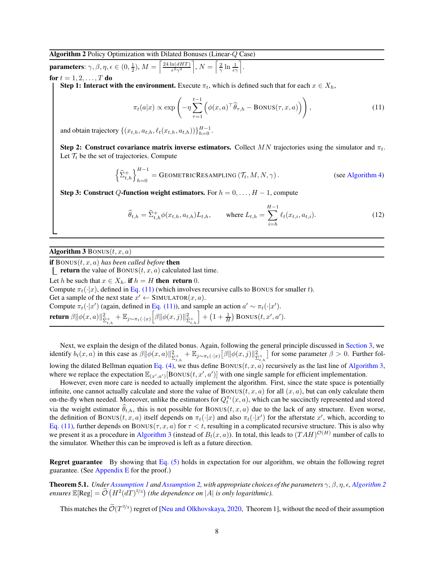<span id="page-7-0"></span>Algorithm 2 Policy Optimization with Dilated Bonuses (Linear-Q Case)

$$
\text{parameters: } \gamma, \beta, \eta, \epsilon \in (0, \frac{1}{2}), M = \left\lceil \frac{24 \ln(dHT)}{\epsilon^2 \gamma^2} \right\rceil, N = \left\lceil \frac{2}{\gamma} \ln \frac{1}{\epsilon \gamma} \right\rceil.
$$
\n
$$
\text{for } t = 1, 2, \dots, T
$$

for  $t = 1, 2, ..., T$  do

**Step 1: Interact with the environment.** Execute  $\pi_t$ , which is defined such that for each  $x \in X_h$ ,

<span id="page-7-1"></span>
$$
\pi_t(a|x) \propto \exp\left(-\eta \sum_{\tau=1}^{t-1} \left(\phi(x,a)^\top \widehat{\theta}_{\tau,h} - \text{Bonus}(\tau,x,a)\right)\right),\tag{11}
$$

and obtain trajectory  $\{(x_{t,h}, a_{t,h}, \ell_t(x_{t,h}, a_{t,h}))\}_{h=0}^{H-1}$ .

Step 2: Construct covariance matrix inverse estimators. Collect  $MN$  trajectories using the simulator and  $\pi_t$ . Let  $\mathcal{T}_t$  be the set of trajectories. Compute

$$
\left\{\widehat{\Sigma}_{t,h}^{+}\right\}_{h=0}^{H-1} = \text{GEOMETRICRESAMPLING}\left(\mathcal{T}_t, M, N, \gamma\right). \tag{see Algorithm 4}
$$

Step 3: Construct Q-function weight estimators. For  $h = 0, \ldots, H - 1$ , compute

<span id="page-7-2"></span>
$$
\widehat{\theta}_{t,h} = \widehat{\Sigma}_{t,h}^+ \phi(x_{t,h}, a_{t,h}) L_{t,h}, \quad \text{where } L_{t,h} = \sum_{i=h}^{H-1} \ell_t(x_{t,i}, a_{t,i}). \tag{12}
$$

#### <span id="page-7-3"></span>Algorithm 3 BONUS $(t, x, a)$

**if** BONUS $(t, x, a)$  *has been called before* **then** 

**return** the value of BONUS $(t, x, a)$  calculated last time.

Let h be such that  $x \in X_h$ . if  $h = H$  then return 0. Compute  $\pi_t(\cdot|x)$ , defined in [Eq. \(11\)](#page-7-1) (which involves recursive calls to BONUS for smaller t). Get a sample of the next state  $x' \leftarrow$  SIMULATOR $(x, a)$ . Compute  $\pi_t(\cdot|x')$  (again, defined in [Eq. \(11\)\)](#page-7-1), and sample an action  $a' \sim \pi_t(\cdot|x')$ . return  $\beta \|\phi(x,a)\|_{\widehat{\Sigma}_{t,h}^+}^2 + \mathbb{E}_{j\sim \pi_t(\cdot|x)} \Big[ \beta \|\phi(x,j)\|_{\widehat{\Sigma}_{t,h}^+}^2$  $\left[ + \left( 1 + \frac{1}{H} \right)$  BONUS $(t, x', a')$ .

Next, we explain the design of the dilated bonus. Again, following the general principle discussed in [Section 3,](#page-2-0) we identify  $b_t(x, a)$  in this case as  $\beta ||\phi(x, a)||_{\hat{\Sigma}_{t,h}^+}^2 + \mathbb{E}_{j \sim \pi_t(\cdot|x)} [\beta || \phi(x, j)||_{\hat{\Sigma}_{t,h}^+}^2$ for some parameter  $\beta > 0$ . Further fol-lowing the dilated Bellman equation [Eq. \(4\),](#page-3-3) we thus define BONUS( $t, x, a$ ) recursively as the last line of [Algorithm 3,](#page-7-3) where we replace the expectation  $\mathbb{E}_{(x',a')}$  [BONUS $(t,x',a')$ ] with one single sample for efficient implementation.

However, even more care is needed to actually implement the algorithm. First, since the state space is potentially infinite, one cannot actually calculate and store the value of  $BONUS(t, x, a)$  for all  $(x, a)$ , but can only calculate them on-the-fly when needed. Moreover, unlike the estimators for  $Q_t^{\pi_t}(x, a)$ , which can be succinctly represented and stored via the weight estimator  $\hat{\theta}_{t,h}$ , this is not possible for BONUS $(t, x, a)$  due to the lack of any structure. Even worse, the definition of BONUS $(t, x, a)$  itself depends on  $\pi_t(\cdot|x)$  and also  $\pi_t(\cdot|x')$  for the afterstate  $x'$ , which, according to [Eq. \(11\),](#page-7-1) further depends on BONUS( $\tau$ , x, a) for  $\tau$  < t, resulting in a complicated recursive structure. This is also why we present it as a procedure in [Algorithm 3](#page-7-3) (instead of  $B_t(x,a)$ ). In total, this leads to  $(TAH)^{\mathcal{O}(H)}$  number of calls to the simulator. Whether this can be improved is left as a future direction.

**Regret guarantee** By showing that Eq.  $(5)$  holds in expectation for our algorithm, we obtain the following regret guarantee. (See [Appendix E](#page-27-0) for the proof.)

<span id="page-7-4"></span>**Theorem 5.1.** *Under [Assumption 1](#page-6-3) and [Assumption 2,](#page-6-4) with appropriate choices of the parameters*  $\gamma$ ,  $\beta$ ,  $\eta$ ,  $\epsilon$ , *[Algorithm 2](#page-7-0)*  $ensures \mathbb{E}[Reg] = \widetilde{\mathcal{O}}\left(H^2(dT)^{2/3}\right)$  (the dependence on |A| *is only logarithmic*).

This matches the  $\mathcal{O}(T^{2/3})$  regret of [\[Neu and Olkhovskaya](#page-13-1), [2020,](#page-13-1) Theorem 1], without the need of their assumption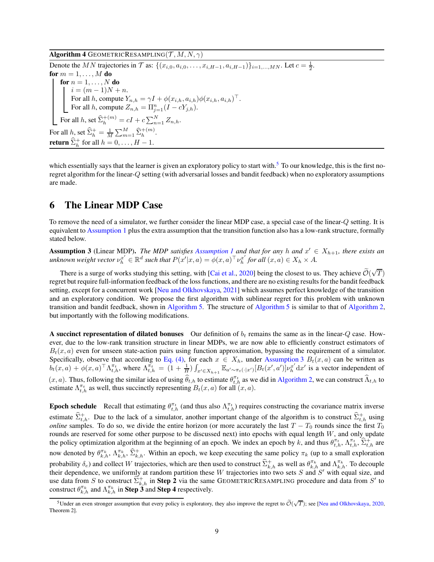<span id="page-8-1"></span>Algorithm 4 GEOMETRICRESAMPLING $(\mathcal{T}, M, N, \gamma)$ 

Denote the MN trajectories in  $\mathcal T$  as:  $\{(x_{i,0}, a_{i,0}, \ldots, x_{i,H-1}, a_{i,H-1})\}_{i=1,\ldots, MN}$ . Let  $c = \frac{1}{2}$ . for  $m = 1, \ldots, M$  do for  $n = 1, \ldots, N$  do  $i = (m-1)N + n.$ For all h, compute  $Y_{n,h} = \gamma I + \phi(x_{i,h}, a_{i,h})\phi(x_{i,h}, a_{i,h})^\top$ . For all *h*, compute  $Z_{n,h} = \prod_{j=1}^{n} (I - cY_{j,h}).$ For all h, set  $\widehat{\Sigma}_{h}^{+(m)} = cI + c \sum_{n=1}^{N} Z_{n,h}$ . For all h, set  $\hat{\Sigma}_h^+ = \frac{1}{M} \sum_{m=1}^M \hat{\Sigma}_h^{+(m)}$ . **return**  $\widehat{\Sigma}_{h}^{+}$  for all  $h = 0, \ldots, H - 1$ .

which essentially says that the learner is given an exploratory policy to start with.<sup>[5](#page-8-2)</sup> To our knowledge, this is the first noregret algorithm for the linear-Q setting (with adversarial losses and bandit feedback) when no exploratory assumptions are made.

## <span id="page-8-0"></span>6 The Linear MDP Case

To remove the need of a simulator, we further consider the linear MDP case, a special case of the linear-Q setting. It is equivalent to [Assumption 1](#page-6-3) plus the extra assumption that the transition function also has a low-rank structure, formally stated below.

<span id="page-8-3"></span>**Assumption 3** (Linear MDP). *The MDP satisfies [Assumption 1](#page-6-3) and that for any* h and  $x' \in X_{h+1}$ , there exists an  $\mathcal{L}$  unknown weight vector  $\nu_h^{x'} \in \mathbb{R}^d$  such that  $P(x'|x, a) = \phi(x, a)^\top \nu_h^{x'}$  $\int_h^x$  for all  $(x, a) \in X_h \times A$ .

There is a surge of works studying this setting, with [\[Cai et al.](#page-12-2), [2020](#page-12-2)] being the closest to us. They achieve  $\widetilde{\mathcal{O}}(\sqrt{T})$ regret but require full-information feedback of the loss functions, and there are no existing results for the bandit feedback setting, except for a concurrent work [\[Neu and Olkhovskaya](#page-13-7), [2021\]](#page-13-7) which assumes perfect knowledge of the transition and an exploratory condition. We propose the first algorithm with sublinear regret for this problem with unknown transition and bandit feedback, shown in [Algorithm 5.](#page-9-0) The structure of [Algorithm 5](#page-9-0) is similar to that of [Algorithm 2,](#page-7-0) but importantly with the following modifications.

A succinct representation of dilated bonuses Our definition of  $b_t$  remains the same as in the linear-Q case. However, due to the low-rank transition structure in linear MDPs, we are now able to efficiently construct estimators of  $B_t(x, a)$  even for unseen state-action pairs using function approximation, bypassing the requirement of a simulator. Specifically, observe that according to [Eq. \(4\),](#page-3-3) for each  $x \in X_h$ , under [Assumption 3](#page-8-3)  $B_t(x, a)$  can be written as  $b_t(x, a) + \phi(x, a)^\top \Lambda_{t, h}^{\pi_t}$ , where  $\Lambda_{t, h}^{\pi_t} = (1 + \frac{1}{H}) \int_{x' \in X_{h+1}} \mathbb{E}_{a' \sim \pi_t(\cdot | x')} [B_t(x', a')] \nu_h^{x'}$  $\int_h^x dx'$  is a vector independent of  $(x, a)$ . Thus, following the similar idea of using  $\hat{\theta}_{t,h}$  to estimate  $\theta_{t,h}^{\pi_t}$  as we did in [Algorithm 2,](#page-7-0) we can construct  $\hat{\Lambda}_{t,h}$  to estimate  $\Lambda_{t,h}^{\pi_t}$  as well, thus succinctly representing  $B_t(x, a)$  for all  $(x, a)$ .

**Epoch schedule** Recall that estimating  $\theta_{t,h}^{\pi_t}$  (and thus also  $\Lambda_{t,h}^{\pi_t}$ ) requires constructing the covariance matrix inverse estimate  $\widehat{\Sigma}_{t,h}^+$ . Due to the lack of a simulator, another important change of the algorithm is to construct  $\widehat{\Sigma}_{t,h}^+$  using *online* samples. To do so, we divide the entire horizon (or more accurately the last  $T - T_0$  rounds since the first  $T_0$ rounds are reserved for some other purpose to be discussed next) into epochs with equal length  $W$ , and only update the policy optimization algorithm at the beginning of an epoch. We index an epoch by k, and thus  $\theta_{t,h}^{\pi_t}$ ,  $\Lambda_{t,h}^{\pi_t}$ ,  $\widehat{\Sigma}_{t,h}^{\pm}$  are now denoted by  $\theta_{k,h}^{\pi_k}$ ,  $\Lambda_{k,h}^{\pi_k}$ ,  $\hat{\Sigma}_{k,h}^+$ . Within an epoch, we keep executing the same policy  $\pi_k$  (up to a small exploration probability  $\delta_e$ ) and collect W trajectories, which are then used to construct  $\widehat{\Sigma}^+_{k,h}$  as well as  $\theta_{k,h}^{\pi_k}$  and  $\Lambda_{k,h}^{\pi_k}$ . To decouple their dependence, we uniformly at random partition these  $W$  trajectories into two sets  $S$  and  $S'$  with equal size, and use data from S to construct  $\hat{\Sigma}_{k,h}^+$  in Step 2 via the same GEOMETRICRESAMPLING procedure and data from S' to construct  $\theta_{k,h}^{\pi_k}$  and  $\Lambda_{k,h}^{\pi_k}$  in **Step 3** and **Step 4** respectively.

<span id="page-8-2"></span><sup>&</sup>lt;sup>5</sup>Under an even stronger assumption that every policy is exploratory, they also improve the regret to  $\tilde{\mathcal{O}}(\sqrt{T})$ ; see [\[Neu and Olkhovskaya](#page-13-1), [2020](#page-13-1), Theorem 2].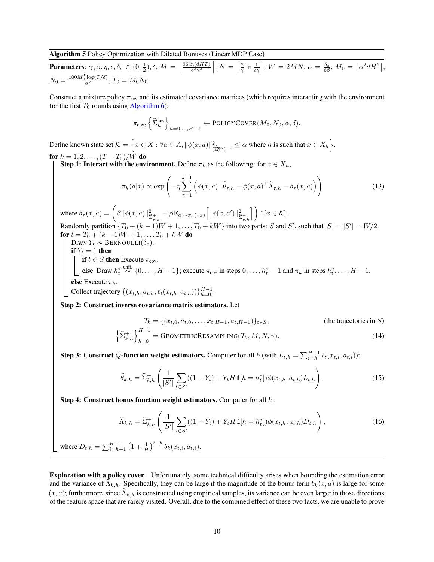## <span id="page-9-0"></span>Algorithm 5 Policy Optimization with Dilated Bonuses (Linear MDP Case)

**Parameters**:  $\gamma, \beta, \eta, \epsilon, \delta_e \in (0, \frac{1}{2}), \delta, M = \left\lceil \frac{96 \ln(dHT)}{\epsilon^2 \gamma^2} \right\rceil$  $\epsilon^2\gamma^2$  $\Big], N = \Big[\frac{2}{\gamma}\ln\frac{1}{\epsilon\gamma}\Big], W = 2MN, \alpha = \frac{\delta_{\epsilon}}{6\beta}, M_0 = \Big[\alpha^2 dH^2\Big],$  $N_0 = \frac{100 M_0^4 \log(T/\delta)}{\alpha^2}$ ,  $T_0 = M_0 N_0$ .

Construct a mixture policy  $\pi_{\text{cov}}$  and its estimated covariance matrices (which requires interacting with the environment for the first  $T_0$  rounds using [Algorithm 6\)](#page-11-0):

$$
\pi_{\text{cov}}, \left\{ \widehat{\Sigma}_{h}^{\text{cov}} \right\}_{h=0,\ldots,H-1} \leftarrow \text{POLICYCover}(M_0, N_0, \alpha, \delta).
$$

Define known state set  $\mathcal{K} = \left\{ x \in X : \forall a \in A, \|\phi(x, a)\|_{(\widehat{\Sigma}_h^{\text{cov}})^{-1}}^2 \leq \alpha \text{ where } h \text{ is such that } x \in X_h \right\}.$ for  $k = 1, 2, ..., (T - T_0)/W$  do

**Step 1: Interact with the environment.** Define  $\pi_k$  as the following: for  $x \in X_h$ ,

$$
\pi_k(a|x) \propto \exp\left(-\eta \sum_{\tau=1}^{k-1} \left(\phi(x,a)^\top \widehat{\theta}_{\tau,h} - \phi(x,a)^\top \widehat{\Lambda}_{\tau,h} - b_\tau(x,a)\right)\right)
$$
(13)

where  $b_\tau(x,a) = \left(\beta \|\phi(x,a)\|_{\widehat{\Sigma}_{\tau,h}^+}^2 + \beta \mathbb{E}_{a'\sim \pi_\tau(\cdot|x)} \left[\|\phi(x,a')\|_{\widehat{\Sigma}_{\tau,h}^+}^2\right.$  $\bigcap$  $\mathbb{1}[x \in \mathcal{K}].$ Randomly partition  $\{T_0 + (k-1)W + 1, \ldots, T_0 + kW\}$  into two parts: S and S', such that  $|S| = |S'| = W/2$ . for  $t = T_0 + (k-1)W + 1, \ldots, T_0 + kW$  do Draw  $Y_t \sim \text{Bernoulli}(\delta_e)$ . if  $Y_t = 1$  then if  $t \in S$  then Execute  $\pi_{\text{cov}}$ .

else Draw  $h_t^* \stackrel{\text{unif.}}{\sim} \{0, \ldots, H-1\}$ ; execute  $\pi_{\text{cov}}$  in steps  $0, \ldots, h_t^* - 1$  and  $\pi_k$  in steps  $h_t^*, \ldots, H-1$ . else Execute  $\pi_k$ .

Collect trajectory  $\{(x_{t,h}, a_{t,h}, \ell_t(x_{t,h}, a_{t,h}))\}_{h=0}^{H-1}$ .

Step 2: Construct inverse covariance matrix estimators. Let

$$
\mathcal{T}_k = \{ (x_{t,0}, a_{t,0}, \dots, x_{t,H-1}, a_{t,H-1}) \}_{t \in S},
$$
 (the trajectories in S)  

$$
\left\{ \hat{\Sigma}_{k,h}^+ \right\}_{h=0}^{H-1} = \text{GEOMETRICRESAMPLING}(\mathcal{T}_k, M, N, \gamma).
$$
 (14)

**Step 3: Construct** Q-function weight estimators. Computer for all h (with  $L_{t,h} = \sum_{i=h}^{H-1} \ell_t(x_{t,i}, a_{t,i})$ ):

<span id="page-9-1"></span>
$$
\widehat{\theta}_{k,h} = \widehat{\Sigma}_{k,h}^+ \left( \frac{1}{|S'|} \sum_{t \in S'} ((1 - Y_t) + Y_t H \mathbb{1}[h = h_t^*) ) \phi(x_{t,h}, a_{t,h}) L_{t,h} \right).
$$
\n(15)

Step 4: Construct bonus function weight estimators. Computer for all h :

<span id="page-9-2"></span>
$$
\widehat{\Lambda}_{k,h} = \widehat{\Sigma}_{k,h}^+ \left( \frac{1}{|S'|} \sum_{t \in S'} ((1 - Y_t) + Y_t H \mathbb{1}[h = h_t^*]) \phi(x_{t,h}, a_{t,h}) D_{t,h} \right), \tag{16}
$$

where  $D_{t,h} = \sum_{i=h+1}^{H-1} (1 + \frac{1}{H})^{i-h} b_k(x_{t,i}, a_{t,i}).$ 

Exploration with a policy cover Unfortunately, some technical difficulty arises when bounding the estimation error and the variance of  $\Lambda_{k,h}$ . Specifically, they can be large if the magnitude of the bonus term  $b_k(x, a)$  is large for some  $(x, a)$ ; furthermore, since  $\widehat{\Lambda}_{k,h}$  is constructed using empirical samples, its variance can be even larger in those directions of the feature space that are rarely visited. Overall, due to the combined effect of these two facts, we are unable to prove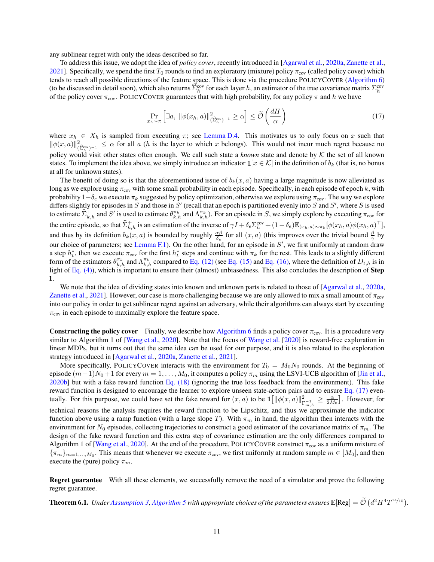any sublinear regret with only the ideas described so far.

To address this issue, we adopt the idea of *policy cover*, recently introduced in [\[Agarwal et al.](#page-12-3), [2020a,](#page-12-3) [Zanette et al.,](#page-13-5) [2021\]](#page-13-5). Specifically, we spend the first  $T_0$  rounds to find an exploratory (mixture) policy  $\pi_{cov}$  (called policy cover) which tends to reach all possible directions of the feature space. This is done via the procedure POLICYCOVER [\(Algorithm 6\)](#page-11-0) (to be discussed in detail soon), which also returns  $\widehat{\Sigma}_h^{\text{cov}}$  for each layer h, an estimator of the true covariance matrix  $\Sigma_h^{\text{cov}}$ of the policy cover  $\pi_{cov}$ . POLICYCOVER guarantees that with high probability, for any policy  $\pi$  and h we have

<span id="page-10-0"></span>
$$
\Pr_{x_h \sim \pi} \left[ \exists a, \ \|\phi(x_h, a)\|_{(\widehat{\Sigma}_h^{\text{cov}})^{-1}}^2 \ge \alpha \right] \le \widetilde{\mathcal{O}}\left(\frac{dH}{\alpha}\right) \tag{17}
$$

where  $x_h \in X_h$  is sampled from executing  $\pi$ ; see [Lemma D.4.](#page-26-0) This motivates us to only focus on x such that  $\|\phi(x, a)\|_{(\widehat{\Sigma}_h^{\text{cov}})^{-1}}^2 \leq \alpha$  for all a (h is the layer to which x belongs). This would not incur much regret because no policy would visit other states often enough. We call such state a *known* state and denote by K the set of all known states. To implement the idea above, we simply introduce an indicator  $\mathbb{1}[x \in \mathcal{K}]$  in the definition of  $b_k$  (that is, no bonus at all for unknown states).

The benefit of doing so is that the aforementioned issue of  $b_k(x, a)$  having a large magnitude is now alleviated as long as we explore using  $\pi_{\text{cov}}$  with some small probability in each episode. Specifically, in each episode of epoch k, with probability  $1-\delta_e$  we execute  $\pi_k$  suggested by policy optimization, otherwise we explore using  $\pi_{\text{cov}}$ . The way we explore differs slightly for episodes in  $S$  and those in  $S'$  (recall that an epoch is partitioned evenly into  $S$  and  $S'$ , where  $S$  is used to estimate  $\widehat{\Sigma}^+_{k,h}$  and  $S'$  is used to estimate  $\theta^{\pi_k}_{k,h}$  and  $\Lambda^{\pi_k}_{k,h}$ . For an episode in S, we simply explore by executing  $\pi_{\text{cov}}$  for the entire episode, so that  $\hat{\Sigma}_{k,h}^+$  is an estimation of the inverse of  $\gamma I + \delta_e \Sigma_h^{\text{cov}} + (1 - \delta_e) \mathbb{E}_{(x_h, a) \sim \pi_k} [\phi(x_h, a) \phi(x_h, a)^\top]$ , and thus by its definition  $b_k(x, a)$  is bounded by roughly  $\frac{\alpha\beta}{\delta_e}$  for all  $(x, a)$  (this improves over the trivial bound  $\frac{\beta}{\gamma}$  by our choice of parameters; see [Lemma F.1\)](#page-30-0). On the other hand, for an episode in  $S'$ , we first uniformly at random draw a step  $h_t^*$ , then we execute  $\pi_{cov}$  for the first  $h_t^*$  steps and continue with  $\pi_k$  for the rest. This leads to a slightly different form of the estimators  $\theta_{k,h}^{\pi_k}$  and  $\Lambda_{k,h}^{\pi_k}$  compared to [Eq. \(12\)](#page-7-2) (see [Eq. \(15\)](#page-9-1) and [Eq. \(16\),](#page-9-2) where the definition of  $D_{t,h}$  is in light of [Eq. \(4\)\)](#page-3-3), which is important to ensure their (almost) unbiasedness. This also concludes the description of **Step** 1.

We note that the idea of dividing states into known and unknown parts is related to those of [\[Agarwal et al.,](#page-12-3) [2020a,](#page-12-3) [Zanette et al.,](#page-13-5) [2021](#page-13-5)]. However, our case is more challenging because we are only allowed to mix a small amount of  $\pi_{cov}$ into our policy in order to get sublinear regret against an adversary, while their algorithms can always start by executing  $\pi_{\text{cov}}$  in each episode to maximally explore the feature space.

**Constructing the policy cover** Finally, we describe how [Algorithm 6](#page-11-0) finds a policy cover  $\pi_{cov}$ . It is a procedure very similar to Algorithm 1 of [\[Wang et al.](#page-13-15), [2020\]](#page-13-15). Note that the focus of [Wang et al.](#page-13-15) [\[2020](#page-13-15)] is reward-free exploration in linear MDPs, but it turns out that the same idea can be used for our purpose, and it is also related to the exploration strategy introduced in [\[Agarwal et al.](#page-12-3), [2020a,](#page-12-3) [Zanette et al.](#page-13-5), [2021\]](#page-13-5).

More specifically, POLICYCOVER interacts with the environment for  $T_0 = M_0 N_0$  rounds. At the beginning of episode  $(m-1)N_0+1$  for every  $m=1,\ldots,M_0$ , it computes a policy  $\pi_m$  using the LSVI-UCB algorithm of [\[Jin et al.,](#page-12-13) [2020b\]](#page-12-13) but with a fake reward function [Eq. \(18\)](#page-11-1) (ignoring the true loss feedback from the environment). This fake reward function is designed to encourage the learner to explore unseen state-action pairs and to ensure [Eq. \(17\)](#page-10-0) eventually. For this purpose, we could have set the fake reward for  $(x, a)$  to be  $\mathbf{1} \left[ \|\phi(x, a)\|_{\Gamma}^2 \right]$  $\frac{2}{\Gamma_{m,h}^{-1}} \geq \frac{\alpha}{2M_0}$ . However, for technical reasons the analysis requires the reward function to be Lipschitz, and thus we approximate the indicator function above using a ramp function (with a large slope T). With  $\pi_m$  in hand, the algorithm then interacts with the environment for  $N_0$  episodes, collecting trajectories to construct a good estimator of the covariance matrix of  $\pi_m$ . The design of the fake reward function and this extra step of covariance estimation are the only differences compared to Algorithm 1 of [\[Wang et al.](#page-13-15), [2020](#page-13-15)]. At the end of the procedure, POLICYCOVER construct  $\pi_{cov}$  as a uniform mixture of  $\{\pi_m\}_{m=1,\dots,M_0}$ . This means that whenever we execute  $\pi_{\text{cov}}$ , we first uniformly at random sample  $m \in [M_0]$ , and then execute the (pure) policy  $\pi_m$ .

Regret guarantee With all these elements, we successfully remove the need of a simulator and prove the following regret guarantee.

<span id="page-10-1"></span>**Theorem 6.1.** Under [Assumption 3,](#page-8-3) [Algorithm 5](#page-9-0) with appropriate choices of the parameters ensures  $\mathbb{E}[\text{Reg}] = \tilde{\mathcal{O}}\left(d^2 H^4 T^{14/15}\right)$ .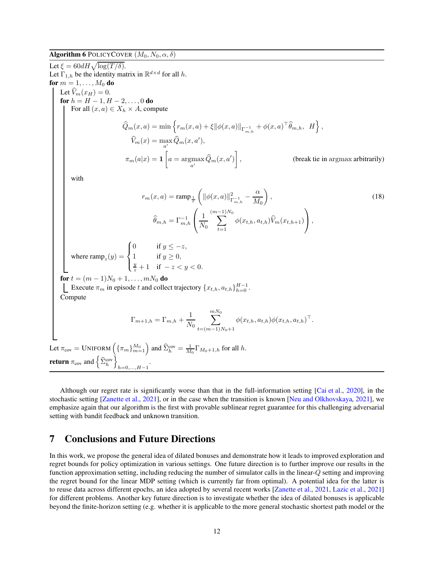#### <span id="page-11-0"></span>**Algorithm 6 POLICYCOVER**  $(M_0, N_0, \alpha, \delta)$

<span id="page-11-1"></span>Let  $\xi = 60 dH \sqrt{\log(T/\delta)}$ . Let  $\Gamma_{1,h}$  be the identity matrix in  $\mathbb{R}^{d \times d}$  for all h. for  $m = 1, \ldots, M_0$  do Let  $\hat{V}_m(x_H) = 0$ . for  $h = H - 1, H - 2, \ldots, 0$  do For all  $(x, a) \in X_h \times A$ , compute  $\widehat{Q}_m(x, a) = \min \left\{ r_m(x, a) + \xi \|\phi(x, a)\|_{\Gamma_{m, h}^{-1}} + \phi(x, a)^{\top} \widehat{\theta}_{m, h}, H \right\},$  $V_m(x) = \max_{a'} Q_m(x, a'),$  $\pi_m(a|x) = \mathbf{1}$  $a = \operatornamewithlimits{argmax}_{a'} Q_m(x, a')$ 1 , (break tie in argmax arbitrarily) with  $r_m(x,a) = \text{ramp}_{\frac{1}{T}}$  $\sqrt{2}$  $\|\phi(x, a)\|_{\Gamma}^2$  $\bar{\Gamma}_{m,h}^{-1}$  – α  $M_0$  $\overline{ }$  $(18)$  $\widehat{\theta}_{m,h} = \Gamma_{m,h}^{-1}$  $\sqrt{ }$  $\mathbf{I}$ 1  $N_0$  $\sum^{(m-1)N_0}$  $\sum_{t=1}$   $\phi(x_{t,h}, a_{t,h}) V_m(x_{t,h+1})$  $\setminus$  $\vert$ , where  $\text{ramp}_z(y) =$  $\sqrt{ }$  $\frac{1}{2}$  $\overline{a}$ 0 if  $y \leq -z$ , 1 if  $y \ge 0$ ,<br>  $\frac{y}{z} + 1$  if  $-z < y < 0$ . for  $t = (m-1)N_0 + 1, \ldots, mN_0$  do Execute  $\pi_m$  in episode t and collect trajectory  $\{x_{t,h}, a_{t,h}\}_{h=0}^{H-1}$ . Compute  $\Gamma_{m+1,h} = \Gamma_{m,h} + \frac{1}{N}$  $N_0$  $\sum^{mN_0}$  $t=(m-1)N_0+1$  $\phi(x_{t,h},a_{t,h})\phi(x_{t,h},a_{t,h})^{\top}.$ Let  $\pi_{cov}$  = UNIFORM  $(\{\pi_m\}_{m=1}^{M_0})$  and  $\widehat{\Sigma}_h^{cov} = \frac{1}{M_0} \Gamma_{M_0+1,h}$  for all h. **return**  $\pi_{\text{cov}}$  and  $\left\{ \widehat{\Sigma}_{h}^{\text{cov}} \right\}$  $h=0,...,H-1$ .

Although our regret rate is significantly worse than that in the full-information setting [\[Cai et al.,](#page-12-2) [2020\]](#page-12-2), in the stochastic setting [\[Zanette et al.](#page-13-5), [2021\]](#page-13-5), or in the case when the transition is known [\[Neu and Olkhovskaya,](#page-13-7) [2021\]](#page-13-7), we emphasize again that our algorithm is the first with provable sublinear regret guarantee for this challenging adversarial setting with bandit feedback and unknown transition.

## 7 Conclusions and Future Directions

In this work, we propose the general idea of dilated bonuses and demonstrate how it leads to improved exploration and regret bounds for policy optimization in various settings. One future direction is to further improve our results in the function approximation setting, including reducing the number of simulator calls in the linear-Q setting and improving the regret bound for the linear MDP setting (which is currently far from optimal). A potential idea for the latter is to reuse data across different epochs, an idea adopted by several recent works [\[Zanette et al.](#page-13-5), [2021,](#page-13-5) [Lazic et al.,](#page-13-16) [2021\]](#page-13-16) for different problems. Another key future direction is to investigate whether the idea of dilated bonuses is applicable beyond the finite-horizon setting (e.g. whether it is applicable to the more general stochastic shortest path model or the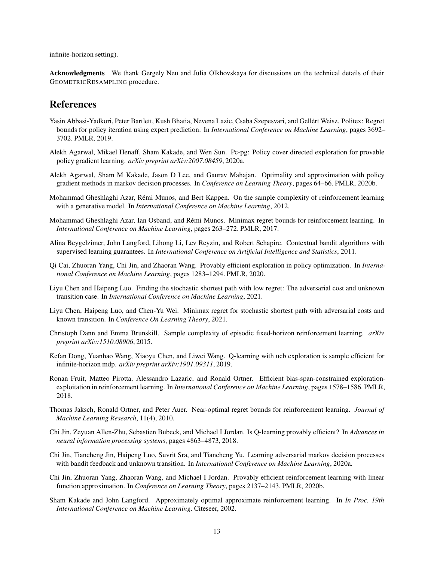infinite-horizon setting).

Acknowledgments We thank Gergely Neu and Julia Olkhovskaya for discussions on the technical details of their GEOMETRICRESAMPLING procedure.

# References

- <span id="page-12-0"></span>Yasin Abbasi-Yadkori, Peter Bartlett, Kush Bhatia, Nevena Lazic, Csaba Szepesvari, and Gellért Weisz. Politex: Regret bounds for policy iteration using expert prediction. In *International Conference on Machine Learning*, pages 3692– 3702. PMLR, 2019.
- <span id="page-12-3"></span>Alekh Agarwal, Mikael Henaff, Sham Kakade, and Wen Sun. Pc-pg: Policy cover directed exploration for provable policy gradient learning. *arXiv preprint arXiv:2007.08459*, 2020a.
- <span id="page-12-1"></span>Alekh Agarwal, Sham M Kakade, Jason D Lee, and Gaurav Mahajan. Optimality and approximation with policy gradient methods in markov decision processes. In *Conference on Learning Theory*, pages 64–66. PMLR, 2020b.
- <span id="page-12-15"></span>Mohammad Gheshlaghi Azar, Rémi Munos, and Bert Kappen. On the sample complexity of reinforcement learning with a generative model. In *International Conference on Machine Learning*, 2012.
- <span id="page-12-9"></span>Mohammad Gheshlaghi Azar, Ian Osband, and Rémi Munos. Minimax regret bounds for reinforcement learning. In *International Conference on Machine Learning*, pages 263–272. PMLR, 2017.
- <span id="page-12-16"></span>Alina Beygelzimer, John Langford, Lihong Li, Lev Reyzin, and Robert Schapire. Contextual bandit algorithms with supervised learning guarantees. In *International Conference on Artificial Intelligence and Statistics*, 2011.
- <span id="page-12-2"></span>Qi Cai, Zhuoran Yang, Chi Jin, and Zhaoran Wang. Provably efficient exploration in policy optimization. In *International Conference on Machine Learning*, pages 1283–1294. PMLR, 2020.
- <span id="page-12-6"></span>Liyu Chen and Haipeng Luo. Finding the stochastic shortest path with low regret: The adversarial cost and unknown transition case. In *International Conference on Machine Learning*, 2021.
- <span id="page-12-5"></span>Liyu Chen, Haipeng Luo, and Chen-Yu Wei. Minimax regret for stochastic shortest path with adversarial costs and known transition. In *Conference On Learning Theory*, 2021.
- <span id="page-12-8"></span>Christoph Dann and Emma Brunskill. Sample complexity of episodic fixed-horizon reinforcement learning. *arXiv preprint arXiv:1510.08906*, 2015.
- <span id="page-12-12"></span>Kefan Dong, Yuanhao Wang, Xiaoyu Chen, and Liwei Wang. Q-learning with ucb exploration is sample efficient for infinite-horizon mdp. *arXiv preprint arXiv:1901.09311*, 2019.
- <span id="page-12-10"></span>Ronan Fruit, Matteo Pirotta, Alessandro Lazaric, and Ronald Ortner. Efficient bias-span-constrained explorationexploitation in reinforcement learning. In *International Conference on Machine Learning*, pages 1578–1586. PMLR, 2018.
- <span id="page-12-7"></span>Thomas Jaksch, Ronald Ortner, and Peter Auer. Near-optimal regret bounds for reinforcement learning. *Journal of Machine Learning Research*, 11(4), 2010.
- <span id="page-12-11"></span>Chi Jin, Zeyuan Allen-Zhu, Sebastien Bubeck, and Michael I Jordan. Is Q-learning provably efficient? In *Advances in neural information processing systems*, pages 4863–4873, 2018.
- <span id="page-12-4"></span>Chi Jin, Tiancheng Jin, Haipeng Luo, Suvrit Sra, and Tiancheng Yu. Learning adversarial markov decision processes with bandit feedback and unknown transition. In *International Conference on Machine Learning*, 2020a.
- <span id="page-12-13"></span>Chi Jin, Zhuoran Yang, Zhaoran Wang, and Michael I Jordan. Provably efficient reinforcement learning with linear function approximation. In *Conference on Learning Theory*, pages 2137–2143. PMLR, 2020b.
- <span id="page-12-14"></span>Sham Kakade and John Langford. Approximately optimal approximate reinforcement learning. In *In Proc. 19th International Conference on Machine Learning*. Citeseer, 2002.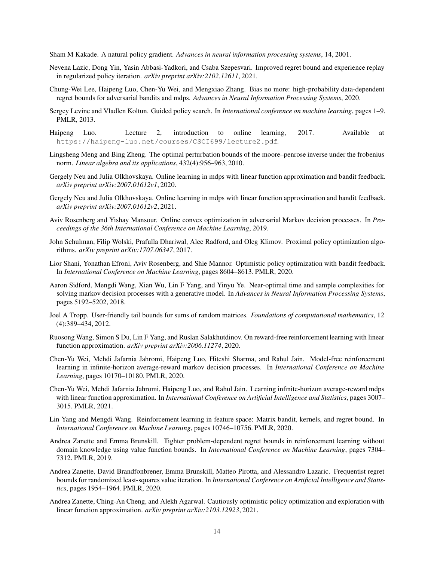<span id="page-13-13"></span>Sham M Kakade. A natural policy gradient. *Advances in neural information processing systems*, 14, 2001.

- <span id="page-13-16"></span>Nevena Lazic, Dong Yin, Yasin Abbasi-Yadkori, and Csaba Szepesvari. Improved regret bound and experience replay in regularized policy iteration. *arXiv preprint arXiv:2102.12611*, 2021.
- <span id="page-13-6"></span>Chung-Wei Lee, Haipeng Luo, Chen-Yu Wei, and Mengxiao Zhang. Bias no more: high-probability data-dependent regret bounds for adversarial bandits and mdps. *Advances in Neural Information Processing Systems*, 2020.
- <span id="page-13-3"></span>Sergey Levine and Vladlen Koltun. Guided policy search. In *International conference on machine learning*, pages 1–9. PMLR, 2013.
- <span id="page-13-18"></span>Haipeng Luo. Lecture 2, introduction to online learning, 2017. Available at <https://haipeng-luo.net/courses/CSCI699/lecture2.pdf>.
- <span id="page-13-19"></span>Lingsheng Meng and Bing Zheng. The optimal perturbation bounds of the moore–penrose inverse under the frobenius norm. *Linear algebra and its applications*, 432(4):956–963, 2010.
- <span id="page-13-1"></span>Gergely Neu and Julia Olkhovskaya. Online learning in mdps with linear function approximation and bandit feedback. *arXiv preprint arXiv:2007.01612v1*, 2020.
- <span id="page-13-7"></span>Gergely Neu and Julia Olkhovskaya. Online learning in mdps with linear function approximation and bandit feedback. *arXiv preprint arXiv:2007.01612v2*, 2021.
- <span id="page-13-8"></span>Aviv Rosenberg and Yishay Mansour. Online convex optimization in adversarial Markov decision processes. In *Proceedings of the 36th International Conference on Machine Learning*, 2019.
- <span id="page-13-2"></span>John Schulman, Filip Wolski, Prafulla Dhariwal, Alec Radford, and Oleg Klimov. Proximal policy optimization algorithms. *arXiv preprint arXiv:1707.06347*, 2017.
- <span id="page-13-0"></span>Lior Shani, Yonathan Efroni, Aviv Rosenberg, and Shie Mannor. Optimistic policy optimization with bandit feedback. In *International Conference on Machine Learning*, pages 8604–8613. PMLR, 2020.
- <span id="page-13-14"></span>Aaron Sidford, Mengdi Wang, Xian Wu, Lin F Yang, and Yinyu Ye. Near-optimal time and sample complexities for solving markov decision processes with a generative model. In *Advances in Neural Information Processing Systems*, pages 5192–5202, 2018.
- <span id="page-13-17"></span>Joel A Tropp. User-friendly tail bounds for sums of random matrices. *Foundations of computational mathematics*, 12 (4):389–434, 2012.
- <span id="page-13-15"></span>Ruosong Wang, Simon S Du, Lin F Yang, and Ruslan Salakhutdinov. On reward-free reinforcement learning with linear function approximation. *arXiv preprint arXiv:2006.11274*, 2020.
- <span id="page-13-12"></span>Chen-Yu Wei, Mehdi Jafarnia Jahromi, Haipeng Luo, Hiteshi Sharma, and Rahul Jain. Model-free reinforcement learning in infinite-horizon average-reward markov decision processes. In *International Conference on Machine Learning*, pages 10170–10180. PMLR, 2020.
- <span id="page-13-4"></span>Chen-Yu Wei, Mehdi Jafarnia Jahromi, Haipeng Luo, and Rahul Jain. Learning infinite-horizon average-reward mdps with linear function approximation. In *International Conference on Artificial Intelligence and Statistics*, pages 3007– 3015. PMLR, 2021.
- <span id="page-13-10"></span>Lin Yang and Mengdi Wang. Reinforcement learning in feature space: Matrix bandit, kernels, and regret bound. In *International Conference on Machine Learning*, pages 10746–10756. PMLR, 2020.
- <span id="page-13-9"></span>Andrea Zanette and Emma Brunskill. Tighter problem-dependent regret bounds in reinforcement learning without domain knowledge using value function bounds. In *International Conference on Machine Learning*, pages 7304– 7312. PMLR, 2019.
- <span id="page-13-11"></span>Andrea Zanette, David Brandfonbrener, Emma Brunskill, Matteo Pirotta, and Alessandro Lazaric. Frequentist regret bounds for randomized least-squares value iteration. In *International Conference on Artificial Intelligence and Statistics*, pages 1954–1964. PMLR, 2020.
- <span id="page-13-5"></span>Andrea Zanette, Ching-An Cheng, and Alekh Agarwal. Cautiously optimistic policy optimization and exploration with linear function approximation. *arXiv preprint arXiv:2103.12923*, 2021.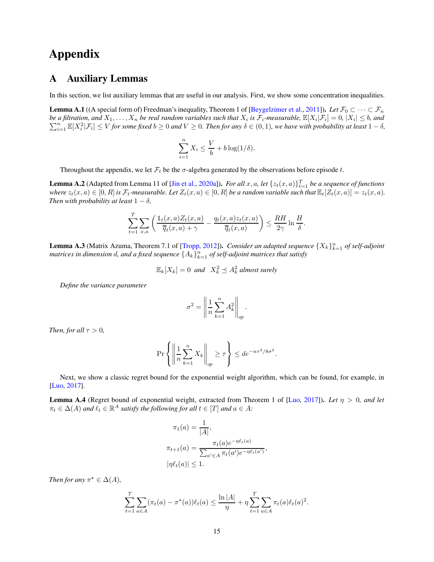# Appendix

## A Auxiliary Lemmas

In this section, we list auxiliary lemmas that are useful in our analysis. First, we show some concentration inequalities.

<span id="page-14-0"></span>**Lemma A.1** ((A special form of) Freedman's inequality, Theorem 1 of [\[Beygelzimer et al.,](#page-12-16) [2011\]](#page-12-16)). *Let*  $\mathcal{F}_0 \subset \cdots \subset \mathcal{F}_n$ be a filtration, and  $X_1, \ldots, X_n$  be real random variables such that  $X_i$  is  $\mathcal{F}_i$ -measurable,  $\mathbb{E}[X_i | \mathcal{F}_i] = 0$ ,  $|X_i| \leq b$ , and  $\sum_{i=1}^{n} \mathbb{E}[X_i^2 | \mathcal{F}_i] \leq V$  for some fixed  $b \geq 0$  and  $V \geq 0$ . Then for any  $\delta \in (0,1)$ , we have with probability at least  $1-\delta$ ,

$$
\sum_{i=1}^{n} X_i \le \frac{V}{b} + b \log(1/\delta).
$$

Throughout the appendix, we let  $\mathcal{F}_t$  be the  $\sigma$ -algebra generated by the observations before episode t.

<span id="page-14-1"></span>**Lemma A.2** (Adapted from Lemma 11 of [\[Jin et al.,](#page-12-4) [2020a\]](#page-12-4)). *For all*  $x, a$ , let  $\{z_t(x, a)\}_{t=1}^T$  *be a sequence of functions where*  $z_t(x, a) \in [0, R]$  *is*  $\mathcal{F}_t$ -measurable. Let  $Z_t(x, a) \in [0, R]$  *be a random variable such that*  $\mathbb{E}_t[Z_t(x, a)] = z_t(x, a)$ . *Then with probability at least*  $1 - \delta$ *,* 

$$
\sum_{t=1}^T \sum_{x,a} \left( \frac{\mathbb{1}_t(x,a) Z_t(x,a)}{\overline{q}_t(x,a) + \gamma} - \frac{q_t(x,a) z_t(x,a)}{\overline{q}_t(x,a)} \right) \leq \frac{R H}{2\gamma} \ln \frac{H}{\delta}.
$$

<span id="page-14-3"></span>**Lemma A.3** (Matrix Azuma, Theorem 7.1 of [\[Tropp](#page-13-17), [2012](#page-13-17)]). *Consider an adapted sequence*  $\{X_k\}_{k=1}^n$  of self-adjoint matrices in dimension  $d$ , and a fixed sequence  $\{A_k\}_{k=1}^n$  of self-adjoint matrices that satisfy

$$
\mathbb{E}_k[X_k] = 0 \text{ and } X_k^2 \le A_k^2 \text{ almost surely}
$$

*Define the variance parameter*

$$
\sigma^2 = \left\| \frac{1}{n} \sum_{k=1}^n A_k^2 \right\|_{op}.
$$

*Then, for all*  $\tau > 0$ *,* 

$$
\Pr\left\{ \left\| \frac{1}{n} \sum_{k=1}^{n} X_k \right\|_{op} \ge \tau \right\} \le d e^{-n\tau^2/8\sigma^2}.
$$

Next, we show a classic regret bound for the exponential weight algorithm, which can be found, for example, in [\[Luo](#page-13-18), [2017](#page-13-18)].

<span id="page-14-2"></span>**Lemma A.4** (Regret bound of exponential weight, extracted from Theorem 1 of [\[Luo](#page-13-18), [2017\]](#page-13-18)). Let  $\eta > 0$ , and let  $\pi_t \in \Delta(A)$  and  $\ell_t \in \mathbb{R}^A$  *satisfy the following for all*  $t \in [T]$  and  $a \in A$ *:* 

$$
\pi_1(a) = \frac{1}{|A|},
$$
  
\n
$$
\pi_{t+1}(a) = \frac{\pi_t(a)e^{-\eta \ell_t(a)}}{\sum_{a' \in A} \pi_t(a')e^{-\eta \ell_t(a')}},
$$
  
\n
$$
|\eta \ell_t(a)| \le 1.
$$

*Then for any*  $\pi^* \in \Delta(A)$ ,

$$
\sum_{t=1}^{T} \sum_{a \in A} (\pi_t(a) - \pi^*(a)) \ell_t(a) \le \frac{\ln |A|}{\eta} + \eta \sum_{t=1}^{T} \sum_{a \in A} \pi_t(a) \ell_t(a)^2.
$$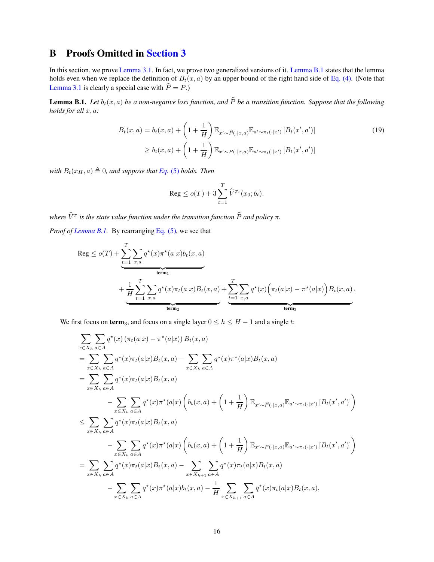# B Proofs Omitted in [Section 3](#page-2-0)

In this section, we prove [Lemma 3.1.](#page-3-4) In fact, we prove two generalized versions of it. [Lemma B.1](#page-15-0) states that the lemma holds even when we replace the definition of  $B_t(x, a)$  by an upper bound of the right hand side of [Eq. \(4\).](#page-3-3) (Note that [Lemma 3.1](#page-3-4) is clearly a special case with  $\hat{P} = P$ .)

<span id="page-15-0"></span>**Lemma B.1.** *Let*  $b_t(x, a)$  *be a non-negative loss function, and*  $\widehat{P}$  *be a transition function. Suppose that the following holds for all* x, a*:*

$$
B_t(x, a) = b_t(x, a) + \left(1 + \frac{1}{H}\right) \mathbb{E}_{x' \sim \widehat{P}(\cdot | x, a)} \mathbb{E}_{a' \sim \pi_t(\cdot | x')} \left[B_t(x', a')\right] \tag{19}
$$
  

$$
\geq b_t(x, a) + \left(1 + \frac{1}{H}\right) \mathbb{E}_{x' \sim P(\cdot | x, a)} \mathbb{E}_{a' \sim \pi_t(\cdot | x')} \left[B_t(x', a')\right]
$$

*with*  $B_t(x_H, a) \triangleq 0$ , and suppose that *[Eq.](#page-3-2)* (5) *holds. Then* 

<span id="page-15-1"></span>
$$
\operatorname{Reg} \le o(T) + 3 \sum_{t=1}^{T} \widehat{V}^{\pi_t}(x_0; b_t).
$$

 $\hat{V}^{\pi}$  *is the state value function under the transition function*  $\hat{P}$  *and policy*  $\pi$ *.* 

*Proof of [Lemma B.1.](#page-15-0)* By rearranging [Eq. \(5\),](#page-3-2) we see that

$$
\operatorname{Reg} \le o(T) + \underbrace{\sum_{t=1}^{T} \sum_{x,a} q^{\star}(x) \pi^{\star}(a|x) b_t(x,a)}_{\text{term}_1} + \underbrace{\frac{1}{H} \sum_{t=1}^{T} \sum_{x,a} q^{\star}(x) \pi_t(a|x) B_t(x,a)}_{\text{term}_2} + \underbrace{\sum_{t=1}^{T} \sum_{x,a} q^{\star}(x) \Big( \pi_t(a|x) - \pi^{\star}(a|x) \Big) B_t(x,a)}_{\text{term}_3}.
$$

We first focus on term<sub>3</sub>, and focus on a single layer  $0 \le h \le H - 1$  and a single t:

$$
\sum_{x \in X_h} \sum_{a \in A} q^{\star}(x) (\pi_t(a|x) - \pi^{\star}(a|x)) B_t(x, a)
$$
\n
$$
= \sum_{x \in X_h} \sum_{a \in A} q^{\star}(x) \pi_t(a|x) B_t(x, a) - \sum_{x \in X_h} \sum_{a \in A} q^{\star}(x) \pi^{\star}(a|x) B_t(x, a)
$$
\n
$$
= \sum_{x \in X_h} \sum_{a \in A} q^{\star}(x) \pi_t(a|x) B_t(x, a)
$$
\n
$$
- \sum_{x \in X_h} \sum_{a \in A} q^{\star}(x) \pi^{\star}(a|x) \left( b_t(x, a) + \left( 1 + \frac{1}{H} \right) \mathbb{E}_{x' \sim \hat{P}(\cdot|x, a)} \mathbb{E}_{a' \sim \pi_t(\cdot|x')} [B_t(x', a')] \right)
$$
\n
$$
\leq \sum_{x \in X_h} \sum_{a \in A} q^{\star}(x) \pi_t(a|x) B_t(x, a)
$$
\n
$$
- \sum_{x \in X_h} \sum_{a \in A} q^{\star}(x) \pi^{\star}(a|x) \left( b_t(x, a) + \left( 1 + \frac{1}{H} \right) \mathbb{E}_{x' \sim P(\cdot|x, a)} \mathbb{E}_{a' \sim \pi_t(\cdot|x')} [B_t(x', a')] \right)
$$
\n
$$
= \sum_{x \in X_h} \sum_{a \in A} q^{\star}(x) \pi_t(a|x) B_t(x, a) - \sum_{x \in X_{h+1}} \sum_{a \in A} q^{\star}(x) \pi_t(a|x) B_t(x, a)
$$
\n
$$
- \sum_{x \in X_h} \sum_{a \in A} q^{\star}(x) \pi^{\star}(a|x) b_t(x, a) - \frac{1}{H} \sum_{x \in X_{h+1}} \sum_{a \in A} q^{\star}(x) \pi_t(a|x) B_t(x, a),
$$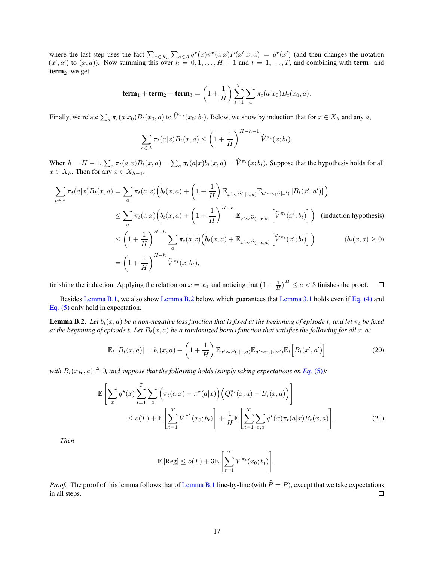where the last step uses the fact  $\sum_{x \in X_h} \sum_{a \in A} q^*(x) \pi^*(a|x) P(x'|x, a) = q^*(x')$  (and then changes the notation  $(x', a')$  to  $(x, a)$ ). Now summing this over  $h = 0, 1, \ldots, H - 1$  and  $t = 1, \ldots, T$ , and combining with **term**<sub>1</sub> and  $term<sub>2</sub>$ , we get

$$
\mathbf{term}_1 + \mathbf{term}_2 + \mathbf{term}_3 = \left(1 + \frac{1}{H}\right) \sum_{t=1}^T \sum_a \pi_t(a|x_0) B_t(x_0, a).
$$

Finally, we relate  $\sum_a \pi_t(a|x_0)B_t(x_0, a)$  to  $\hat{V}^{\pi_t}(x_0; b_t)$ . Below, we show by induction that for  $x \in X_h$  and any  $a$ ,

$$
\sum_{a \in A} \pi_t(a|x) B_t(x, a) \le \left(1 + \frac{1}{H}\right)^{H-h-1} \widehat{V}^{\pi_t}(x; b_t).
$$

When  $h = H - 1$ ,  $\sum_a \pi_t(a|x)B_t(x, a) = \sum_a \pi_t(a|x)b_t(x, a) = \hat{V}^{\pi_t}(x; b_t)$ . Suppose that the hypothesis holds for all  $x \in X_h$ . Then for any  $x \in X_{h-1}$ ,

$$
\sum_{a \in A} \pi_t(a|x) B_t(x, a) = \sum_a \pi_t(a|x) \Big( b_t(x, a) + \left( 1 + \frac{1}{H} \right) \mathbb{E}_{x' \sim \widehat{P}(\cdot | x, a)} \mathbb{E}_{a' \sim \pi_t(\cdot | x')} \left[ B_t(x', a') \right] \Big)
$$
\n
$$
\leq \sum_a \pi_t(a|x) \Big( b_t(x, a) + \left( 1 + \frac{1}{H} \right)^{H - h} \mathbb{E}_{x' \sim \widehat{P}(\cdot | x, a)} \left[ \widehat{V}^{\pi_t}(x'; b_t) \right] \Big) \quad \text{(induction hypothesis)}
$$
\n
$$
\leq \left( 1 + \frac{1}{H} \right)^{H - h} \sum_a \pi_t(a|x) \Big( b_t(x, a) + \mathbb{E}_{x' \sim \widehat{P}(\cdot | x, a)} \left[ \widehat{V}^{\pi_t}(x'; b_t) \right] \Big) \qquad (b_t(x, a) \geq 0)
$$
\n
$$
= \left( 1 + \frac{1}{H} \right)^{H - h} \widehat{V}^{\pi_t}(x; b_t),
$$

finishing the induction. Applying the relation on  $x = x_0$  and noticing that  $\left(1 + \frac{1}{H}\right)^H \le e < 3$  finishes the proof.  $\Box$ 

Besides [Lemma B.1,](#page-15-0) we also show [Lemma B.2](#page-16-0) below, which guarantees that [Lemma 3.1](#page-3-4) holds even if [Eq. \(4\)](#page-3-3) and [Eq. \(5\)](#page-3-2) only hold in expectation.

<span id="page-16-0"></span>**Lemma B.2.** Let  $b_t(x, a)$  be a non-negative loss function that is fixed at the beginning of episode t, and let  $\pi_t$  be fixed *at the beginning of episode t. Let*  $B_t(x, a)$  *be a randomized bonus function that satisfies the following for all*  $x, a$ :

$$
\mathbb{E}_t\left[B_t(x,a)\right] = b_t(x,a) + \left(1 + \frac{1}{H}\right) \mathbb{E}_{x' \sim P(\cdot|x,a)} \mathbb{E}_{a' \sim \pi_t(\cdot|x')} \mathbb{E}_t\left[B_t(x',a')\right]
$$
(20)

*with*  $B_t(x_H, a) \triangleq 0$ , and suppose that the following holds (simply taking expectations on [Eq.](#page-3-2) (5)):

$$
\mathbb{E}\left[\sum_{x} q^{\star}(x) \sum_{t=1}^{T} \sum_{a} \left(\pi_t(a|x) - \pi^{\star}(a|x)\right) \left(Q_t^{\pi_t}(x, a) - B_t(x, a)\right)\right]
$$
\n
$$
\leq o(T) + \mathbb{E}\left[\sum_{t=1}^{T} V^{\pi^{\star}}(x_0; b_t)\right] + \frac{1}{H} \mathbb{E}\left[\sum_{t=1}^{T} \sum_{x, a} q^{\star}(x) \pi_t(a|x) B_t(x, a)\right].
$$
\n(21)

*Then*

<span id="page-16-2"></span><span id="page-16-1"></span>
$$
\mathbb{E} [\text{Reg}] \leq o(T) + 3 \mathbb{E} \left[ \sum_{t=1}^T V^{\pi_t}(x_0; b_t) \right].
$$

*Proof.* The proof of this lemma follows that of [Lemma B.1](#page-15-0) line-by-line (with  $\hat{P} = P$ ), except that we take expectations in all steps. in all steps.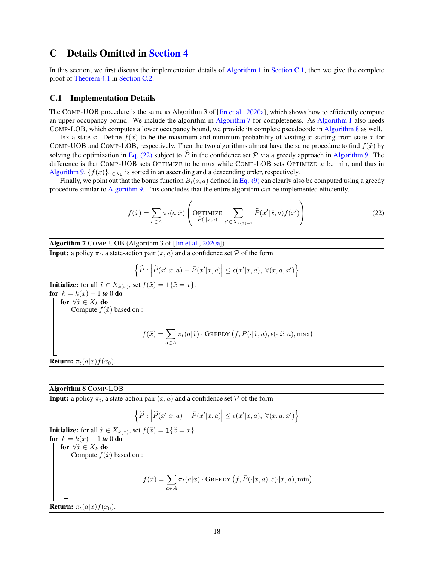## <span id="page-17-1"></span>C Details Omitted in [Section 4](#page-4-0)

In this section, we first discuss the implementation details of [Algorithm 1](#page-5-0) in [Section C.1,](#page-17-0) then we give the complete proof of [Theorem 4.1](#page-4-2) in [Section C.2.](#page-18-1)

#### <span id="page-17-0"></span>C.1 Implementation Details

The COMP-UOB procedure is the same as Algorithm 3 of [\[Jin et al.,](#page-12-4) [2020a](#page-12-4)], which shows how to efficiently compute an upper occupancy bound. We include the algorithm in [Algorithm 7](#page-17-2) for completeness. As [Algorithm 1](#page-5-0) also needs COMP-LOB, which computes a lower occupancy bound, we provide its complete pseudocode in [Algorithm 8](#page-17-3) as well.

Fix a state x. Define  $f(\tilde{x})$  to be the maximum and minimum probability of visiting x starting from state  $\tilde{x}$  for COMP-UOB and COMP-LOB, respectively. Then the two algorithms almost have the same procedure to find  $f(\tilde{x})$  by solving the optimization in [Eq. \(22\)](#page-17-4) subject to  $\hat{P}$  in the confidence set  $\hat{P}$  via a greedy approach in [Algorithm 9.](#page-18-2) The difference is that COMP-UOB sets OPTIMIZE to be max while COMP-LOB sets OPTIMIZE to be min, and thus in [Algorithm 9,](#page-18-2)  $\{f(x)\}_{x \in X_k}$  is sorted in an ascending and a descending order, respectively.

<span id="page-17-4"></span>Finally, we point out that the bonus function  $B_t(s, a)$  defined in [Eq. \(9\)](#page-5-3) can clearly also be computed using a greedy procedure similar to [Algorithm 9.](#page-18-2) This concludes that the entire algorithm can be implemented efficiently.

$$
f(\tilde{x}) = \sum_{a \in A} \pi_t(a|\tilde{x}) \left( \underset{\tilde{P}(\cdot|\tilde{x},a)}{\text{OPTIMIZE}} \sum_{x' \in X_{k(\tilde{x})+1}} \hat{P}(x'|\tilde{x},a) f(x') \right)
$$
(22)

<span id="page-17-2"></span>Algorithm 7 COMP-UOB (Algorithm 3 of [\[Jin et al.,](#page-12-4) [2020a](#page-12-4)])

**Input:** a policy  $\pi_t$ , a state-action pair  $(x, a)$  and a confidence set P of the form

$$
\left\{\widehat{P}:\left|\widehat{P}(x'|x,a)-\bar{P}(x'|x,a)\right|\leq\epsilon(x'|x,a),\ \forall(x,a,x')\right\}
$$

**Initialize:** for all  $\tilde{x} \in X_{k(x)}$ , set  $f(\tilde{x}) = \mathbb{1}\{\tilde{x} = x\}$ . for  $k = k(x) - 1$  *to* 0 do for  $\forall \tilde{x} \in X_k$  do Compute  $f(\tilde{x})$  based on :  $f(\tilde{x}) = \sum$ a∈A  $\pi_t(a|\tilde{x}) \cdot \text{Greedy }(f, \bar{P}(\cdot|\tilde{x}, a), \epsilon(\cdot|\tilde{x}, a), \max)$ **Return:**  $\pi_t(a|x) f(x_0)$ .

#### <span id="page-17-3"></span>Algorithm 8 COMP-LOB

**Input:** a policy  $\pi_t$ , a state-action pair  $(x, a)$  and a confidence set P of the form

$$
\left\{\widehat{P}:\left|\widehat{P}(x'|x,a)-\bar{P}(x'|x,a)\right|\leq\epsilon(x'|x,a),\;\forall(x,a,x')\right\}
$$

**Initialize:** for all  $\tilde{x} \in X_{k(x)}$ , set  $f(\tilde{x}) = \mathbb{1}\{\tilde{x} = x\}$ . for  $k = k(x) - 1$  *to* 0 do for  $\forall \tilde{x} \in X_k$  do Compute  $f(\tilde{x})$  based on :  $f(\tilde{x}) = \sum$ a∈A  $\pi_t(a|\tilde{x}) \cdot \text{Greedy }(f, \bar{P}(\cdot|\tilde{x}, a), \epsilon(\cdot|\tilde{x}, a), \min)$ **Return:**  $\pi_t(a|x) f(x_0)$ .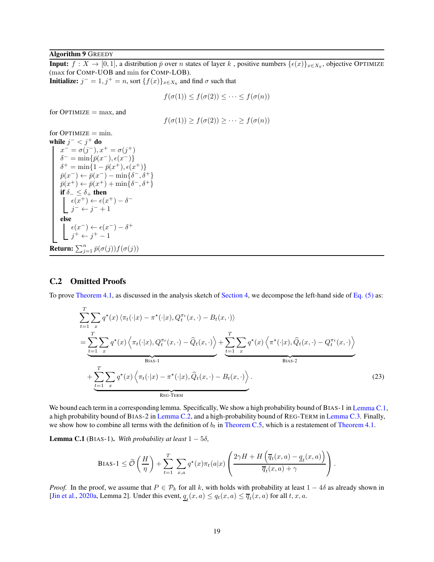#### <span id="page-18-2"></span>**Algorithm 9 GREEDY**

**Input:**  $f: X \to [0,1]$ , a distribution  $\bar{p}$  over *n* states of layer k, positive numbers  $\{\epsilon(x)\}_{x \in X_k}$ , objective OPTIMIZE (max for COMP-UOB and min for COMP-LOB).

**Initialize:**  $j^- = 1, j^+ = n$ , sort  $\{f(x)\}_{x \in X_k}$  and find  $\sigma$  such that

$$
f(\sigma(1)) \le f(\sigma(2)) \le \cdots \le f(\sigma(n))
$$

for  $OPTIMIZE = max$ , and

$$
f(\sigma(1)) \ge f(\sigma(2)) \ge \cdots \ge f(\sigma(n))
$$

 $for$  OPTIMIZE =  $min$ . while  $j^- < j^+$  do  $x^- = \sigma(j^-), x^+ = \sigma(j^+)$  $\delta^- = \min\{\bar{p}(x^-), \epsilon(x^-)\}$  $\delta^+ = \min\{1 - \bar{p}(x^+), \epsilon(x^+)\}$  $\bar{p}(x^-) \leftarrow \bar{p}(x^-) - \min\{\delta^-, \delta^+\}$  $\bar{p}(x^+) \leftarrow \bar{p}(x^+) + \min\{\delta^-, \delta^+\}$ if  $\delta_-\leq \delta_+$  then  $\epsilon(x^+) \leftarrow \epsilon(x^+) - \delta^$  $j^- \leftarrow j^- + 1$ else  $\epsilon(x^-) \leftarrow \epsilon(x^-) - \delta^+$  $j^+ \leftarrow j^+ - 1$ **Return:**  $\sum_{j=1}^n \bar{p}(\sigma(j))f(\sigma(j))$ 

#### <span id="page-18-1"></span>C.2 Omitted Proofs

To prove [Theorem 4.1,](#page-4-2) as discussed in the analysis sketch of [Section 4,](#page-4-0) we decompose the left-hand side of [Eq. \(5\)](#page-3-2) as:

$$
\sum_{t=1}^{T} \sum_{x} q^{\star}(x) \langle \pi_{t}(\cdot|x) - \pi^{\star}(\cdot|x), Q_{t}^{\pi_{t}}(x, \cdot) - B_{t}(x, \cdot) \rangle
$$
\n
$$
= \underbrace{\sum_{t=1}^{T} \sum_{x} q^{\star}(x) \langle \pi_{t}(\cdot|x), Q_{t}^{\pi_{t}}(x, \cdot) - \widehat{Q}_{t}(x, \cdot) \rangle}_{\text{Bias-1}} + \underbrace{\sum_{t=1}^{T} \sum_{x} q^{\star}(x) \langle \pi_{t}(\cdot|x) - \pi^{\star}(\cdot|x), \widehat{Q}_{t}(x, \cdot) - B_{t}(x, \cdot) \rangle}_{\text{REG-TERM}} + \underbrace{\sum_{t=1}^{T} \sum_{x} q^{\star}(x) \langle \pi_{t}(\cdot|x) - \pi^{\star}(\cdot|x), \widehat{Q}_{t}(x, \cdot) - B_{t}(x, \cdot) \rangle}_{\text{REG-TERM}}.
$$
\n(23)

We bound each term in a corresponding lemma. Specifically, We show a high probability bound of BIAS-1 in [Lemma C.1,](#page-18-0) a high probability bound of BIAS-2 in [Lemma C.2,](#page-20-0) and a high-probability bound of REG-TERM in [Lemma C.3.](#page-20-1) Finally, we show how to combine all terms with the definition of  $b_t$  in [Theorem C.5,](#page-21-0) which is a restatement of [Theorem 4.1.](#page-4-2)

<span id="page-18-0"></span>**Lemma C.1** (BIAS-1). With probability at least  $1 - 5\delta$ ,

BIAS-1 
$$
\leq \widetilde{\mathcal{O}}\left(\frac{H}{\eta}\right) + \sum_{t=1}^{T} \sum_{x,a} q^*(x)\pi_t(a|x) \left(\frac{2\gamma H + H\left(\overline{q}_t(x,a) - \underline{q}_t(x,a)\right)}{\overline{q}_t(x,a) + \gamma}\right).
$$

*Proof.* In the proof, we assume that  $P \in \mathcal{P}_k$  for all k, with holds with probability at least  $1 - 4\delta$  as already shown in [\[Jin et al.,](#page-12-4) [2020a,](#page-12-4) Lemma 2]. Under this event,  $q_t(x, a) \leq q_t(x, a) \leq \overline{q}_t(x, a)$  for all  $t, x, a$ .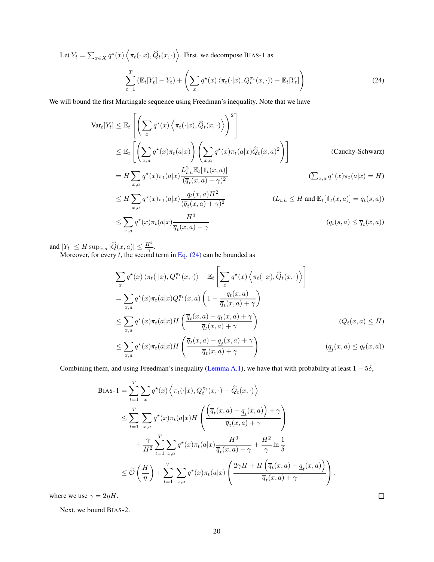Let  $Y_t = \sum_{x \in X} q^*(x) \langle \pi_t(\cdot | x), \hat{Q}_t(x, \cdot) \rangle$ . First, we decompose BIAS-1 as  $\sum_{i=1}^{T}$  $\sum_{t=1}^{T} \left( \mathbb{E}_{t}[Y_{t}] - Y_{t} \right) + \left( \sum_{x}$  $q^{\star}(x) \langle \pi_t(\cdot|x), Q_t^{\pi_t}(x, \cdot) \rangle - \mathbb{E}_t[Y_t]$ ! . (24)

We will bound the first Martingale sequence using Freedman's inequality. Note that we have

<span id="page-19-0"></span>
$$
\begin{split}\n\text{Var}_{t}[Y_{t}] &\leq \mathbb{E}_{t} \left[ \left( \sum_{x} q^{\star}(x) \left\langle \pi_{t}(\cdot|x), \widehat{Q}_{t}(x, \cdot) \right\rangle \right)^{2} \right] \\
&\leq \mathbb{E}_{t} \left[ \left( \sum_{x,a} q^{\star}(x) \pi_{t}(a|x) \right) \left( \sum_{x,a} q^{\star}(x) \pi_{t}(a|x) \widehat{Q}_{t}(x, a)^{2} \right) \right] \qquad \text{(Cauchy-Schwarz)} \\
&= H \sum_{x,a} q^{\star}(x) \pi_{t}(a|x) \frac{L_{t,h}^{2} \mathbb{E}_{t}[\mathbb{1}_{t}(x, a)]}{(\overline{q}_{t}(x, a) + \gamma)^{2}} \qquad \qquad (\sum_{x,a} q^{\star}(x) \pi_{t}(a|x) = H) \\
&\leq H \sum_{x,a} q^{\star}(x) \pi_{t}(a|x) \frac{q_{t}(x, a) H^{2}}{(\overline{q}_{t}(x, a) + \gamma)^{2}} \qquad \qquad (L_{t,h} \leq H \text{ and } \mathbb{E}_{t}[\mathbb{1}_{t}(x, a)] = q_{t}(s, a)) \\
&\leq \sum_{x,a} q^{\star}(x) \pi_{t}(a|x) \frac{H^{3}}{\overline{q}_{t}(x, a) + \gamma} \qquad \qquad (q_{t}(s, a) \leq \overline{q}_{t}(x, a))\n\end{split}
$$

and  $|Y_t| \leq H \sup_{x,a} |\widehat{Q}(x,a)| \leq \frac{H^2}{\gamma}$ .

Moreover, for every  $t$ , the second term in [Eq. \(24\)](#page-19-0) can be bounded as

$$
\sum_{x} q^{*}(x) \langle \pi_{t}(\cdot|x), Q_{t}^{\pi_{t}}(x, \cdot) \rangle - \mathbb{E}_{t} \left[ \sum_{x} q^{*}(x) \langle \pi_{t}(\cdot|x), \widehat{Q}_{t}(x, \cdot) \rangle \right]
$$
\n
$$
= \sum_{x,a} q^{*}(x) \pi_{t}(a|x) Q_{t}^{\pi_{t}}(x, a) \left( 1 - \frac{q_{t}(x, a)}{\overline{q}_{t}(x, a) + \gamma} \right)
$$
\n
$$
\leq \sum_{x,a} q^{*}(x) \pi_{t}(a|x) H \left( \frac{\overline{q}_{t}(x, a) - q_{t}(x, a) + \gamma}{\overline{q}_{t}(x, a) + \gamma} \right) \qquad (Q_{t}(x, a) \leq H)
$$
\n
$$
\leq \sum_{x,a} q^{*}(x) \pi_{t}(a|x) H \left( \frac{\overline{q}_{t}(x, a) - q_{t}(x, a) + \gamma}{\overline{q}_{t}(x, a) + \gamma} \right).
$$
\n
$$
(q_{t}(x, a) \leq q_{t}(x, a))
$$

Combining them, and using Freedman's inequality [\(Lemma A.1\)](#page-14-0), we have that with probability at least  $1 - 5\delta$ ,

$$
BIAS-1 = \sum_{t=1}^{T} \sum_{x} q^{\star}(x) \left\langle \pi_{t}(\cdot|x), Q_{t}^{\pi_{t}}(x, \cdot) - \hat{Q}_{t}(x, \cdot) \right\rangle
$$
  
\n
$$
\leq \sum_{t=1}^{T} \sum_{x,a} q^{\star}(x) \pi_{t}(a|x) H\left(\frac{\left(\overline{q}_{t}(x,a) - \underline{q}_{t}(x,a)\right) + \gamma}{\overline{q}_{t}(x,a) + \gamma}\right)
$$
  
\n
$$
+ \frac{\gamma}{H^{2}} \sum_{t=1}^{T} \sum_{x,a} q^{\star}(x) \pi_{t}(a|x) \frac{H^{3}}{\overline{q}_{t}(x,a) + \gamma} + \frac{H^{2}}{\gamma} \ln \frac{1}{\delta}
$$
  
\n
$$
\leq \widetilde{O}\left(\frac{H}{\eta}\right) + \sum_{t=1}^{T} \sum_{x,a} q^{\star}(x) \pi_{t}(a|x) \left(\frac{2\gamma H + H\left(\overline{q}_{t}(x,a) - \underline{q}_{t}(x,a)\right)}{\overline{q}_{t}(x,a) + \gamma}\right),
$$

where we use  $\gamma = 2\eta H$ .

Next, we bound BIAS-2.

 $\Box$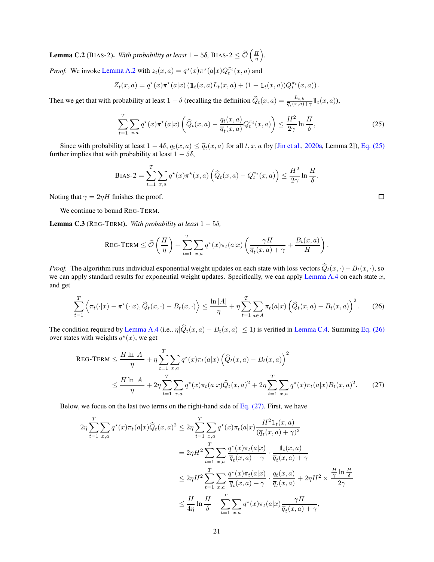<span id="page-20-0"></span>**Lemma C.2** (BIAS-2). *With probability at least*  $1 - 5\delta$ , BIAS-2  $\leq \widetilde{\mathcal{O}}\left(\frac{H}{\eta}\right)$ *.*

*Proof.* We invoke [Lemma A.2](#page-14-1) with  $z_t(x, a) = q^*(x)\pi^*(a|x)Q_t^{\pi_t}(x, a)$  and

$$
Z_t(x, a) = q^*(x) \pi^*(a|x) \left( \mathbb{1}_t(x, a) L_t(x, a) + (1 - \mathbb{1}_t(x, a)) Q_t^{\pi_t}(x, a) \right).
$$

Then we get that with probability at least  $1 - \delta$  (recalling the definition  $\widehat{Q}_t(x, a) = \frac{L_{t, h}}{\overline{q}_t(x, a) + \gamma} \mathbb{1}_t(x, a)$ ),

$$
\sum_{t=1}^{T} \sum_{x,a} q^{\star}(x) \pi^{\star}(a|x) \left( \widehat{Q}_t(x,a) - \frac{q_t(x,a)}{\overline{q}_t(x,a)} Q_t^{\pi_t}(x,a) \right) \le \frac{H^2}{2\gamma} \ln \frac{H}{\delta},\tag{25}
$$

Since with probability at least  $1 - 4\delta$ ,  $q_t(x, a) \leq \overline{q}_t(x, a)$  for all  $t, x, a$  (by [\[Jin et al.,](#page-12-4) [2020a,](#page-12-4) Lemma 2]), [Eq. \(25\)](#page-20-2) further implies that with probability at least  $1 - 5\delta$ ,

BIAS-2 = 
$$
\sum_{t=1}^{T} \sum_{x,a} q^*(x) \pi^*(x,a) \left( \widehat{Q}_t(x,a) - Q_t^{\pi_t}(x,a) \right) \leq \frac{H^2}{2\gamma} \ln \frac{H}{\delta}.
$$

Noting that  $\gamma = 2\eta H$  finishes the proof.

We continue to bound REG-TERM.

<span id="page-20-1"></span>**Lemma C.3** (REG-TERM). *With probability at least*  $1 - 5\delta$ ,

$$
\text{REG-TERM} \leq \widetilde{\mathcal{O}}\left(\frac{H}{\eta}\right) + \sum_{t=1}^{T} \sum_{x,a} q^{\star}(x)\pi_t(a|x) \left(\frac{\gamma H}{\overline{q}_t(x,a) + \gamma} + \frac{B_t(x,a)}{H}\right).
$$

*Proof.* The algorithm runs individual exponential weight updates on each state with loss vectors  $\hat{Q}_t(x, \cdot) - B_t(x, \cdot)$ , so we can apply standard results for exponential weight updates. Specifically, we can apply [Lemma A.4](#page-14-2) on each state  $x$ , and get

$$
\sum_{t=1}^T \left\langle \pi_t(\cdot|x) - \pi^{\star}(\cdot|x), \widehat{Q}_t(x, \cdot) - B_t(x, \cdot) \right\rangle \le \frac{\ln|A|}{\eta} + \eta \sum_{t=1}^T \sum_{a \in A} \pi_t(a|x) \left( \widehat{Q}_t(x, a) - B_t(x, a) \right)^2. \tag{26}
$$

The condition required by [Lemma A.4](#page-14-2) (i.e.,  $\eta | \hat{Q}_t(x, a) - B_t(x, a)| \le 1$ ) is verified in [Lemma C.4.](#page-21-1) Summing [Eq. \(26\)](#page-20-3) over states with weights  $q^*(x)$ , we get

$$
\begin{split} \text{REG-TERN} &\leq \frac{H \ln |A|}{\eta} + \eta \sum_{t=1}^{T} \sum_{x,a} q^{\star}(x) \pi_t(a|x) \left( \widehat{Q}_t(x,a) - B_t(x,a) \right)^2 \\ &\leq \frac{H \ln |A|}{\eta} + 2\eta \sum_{t=1}^{T} \sum_{x,a} q^{\star}(x) \pi_t(a|x) \widehat{Q}_t(x,a)^2 + 2\eta \sum_{t=1}^{T} \sum_{x,a} q^{\star}(x) \pi_t(a|x) B_t(x,a)^2. \end{split} \tag{27}
$$

Below, we focus on the last two terms on the right-hand side of Eq.  $(27)$ . First, we have

$$
2\eta \sum_{t=1}^{T} \sum_{x,a} q^{\star}(x)\pi_t(a|x)\widehat{Q}_t(x,a)^2 \le 2\eta \sum_{t=1}^{T} \sum_{x,a} q^{\star}(x)\pi_t(a|x) \frac{H^2 1\mathbb{1}_t(x,a)}{(\overline{q}_t(x,a)+\gamma)^2}
$$
  

$$
= 2\eta H^2 \sum_{t=1}^{T} \sum_{x,a} \frac{q^{\star}(x)\pi_t(a|x)}{\overline{q}_t(x,a)+\gamma} \cdot \frac{1\mathbb{1}_t(x,a)}{\overline{q}_t(x,a)+\gamma}
$$
  

$$
\le 2\eta H^2 \sum_{t=1}^{T} \sum_{x,a} \frac{q^{\star}(x)\pi_t(a|x)}{\overline{q}_t(x,a)+\gamma} \cdot \frac{q_t(x,a)}{\overline{q}_t(x,a)} + 2\eta H^2 \times \frac{\frac{H}{\gamma} \ln \frac{H}{\delta}}{2\gamma}
$$
  

$$
\le \frac{H}{4\eta} \ln \frac{H}{\delta} + \sum_{t=1}^{T} \sum_{x,a} q^{\star}(x)\pi_t(a|x) \frac{\gamma H}{\overline{q}_t(x,a)+\gamma},
$$

<span id="page-20-4"></span><span id="page-20-3"></span><span id="page-20-2"></span>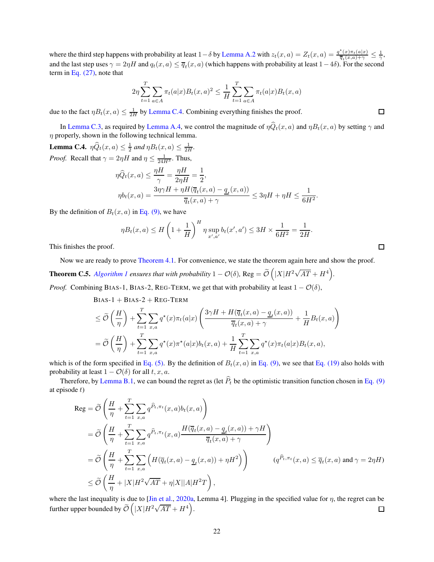where the third step happens with probability at least  $1-\delta$  by [Lemma A.2](#page-14-1) with  $z_t(x, a) = Z_t(x, a) = \frac{q^*(x)\pi_t(a|x)}{\overline{q}_t(x, a)+\gamma} \leq \frac{1}{\gamma}$ , and the last step uses  $\gamma = 2\eta H$  and  $q_t(x, a) \leq \overline{q}_t(x, a)$  (which happens with probability at least  $1-4\delta$ ). For the second term in Eq.  $(27)$ , note that

$$
2\eta \sum_{t=1}^{T} \sum_{a \in A} \pi_t(a|x) B_t(x, a)^2 \le \frac{1}{H} \sum_{t=1}^{T} \sum_{a \in A} \pi_t(a|x) B_t(x, a)
$$

due to the fact  $\eta B_t(x, a) \leq \frac{1}{2H}$  by [Lemma C.4.](#page-21-1) Combining everything finishes the proof.

In [Lemma C.3,](#page-20-1) as required by [Lemma A.4,](#page-14-2) we control the magnitude of  $\eta \widehat{Q}_t(x, a)$  and  $\eta B_t(x, a)$  by setting  $\gamma$  and  $\eta$  properly, shown in the following technical lemma.

<span id="page-21-1"></span>**Lemma C.4.**  $\eta \widehat{Q}_t(x, a) \leq \frac{1}{2}$  and  $\eta B_t(x, a) \leq \frac{1}{2H}$ . *Proof.* Recall that  $\gamma = 2\eta H$  and  $\eta \le \frac{1}{24H^3}$ . Thus,

$$
\begin{aligned} \eta \widehat{Q}_t(x,a) &\leq \frac{\eta H}{\gamma} = \frac{\eta H}{2\eta H} = \frac{1}{2},\\ \eta b_t(x,a) &= \frac{3\eta \gamma H + \eta H(\overline{q}_t(x,a) - \underline{q}_t(x,a))}{\overline{q}_t(x,a) + \gamma} \leq 3\eta H + \eta H \leq \frac{1}{6H^2}. \end{aligned}
$$

By the definition of  $B_t(x, a)$  in [Eq. \(9\),](#page-5-3) we have

 $\eta B_t(x,a) \leq H$  $\sqrt{2}$  $1 + \frac{1}{n}$ H  $\setminus^H$  $\eta \sup_{x',a'} b_t(x',a') \leq 3H \times \frac{1}{6H}$  $\frac{1}{6H^2} = \frac{1}{2H}$  $\frac{1}{2H}$ .

This finishes the proof.

Now we are ready to prove [Theorem 4.1.](#page-4-2) For convenience, we state the theorem again here and show the proof.

<span id="page-21-0"></span>**Theorem C.5.** Algorithm 1 ensures that with probability 
$$
1 - \mathcal{O}(\delta)
$$
, Reg =  $\widetilde{\mathcal{O}}(|X|H^2\sqrt{AT} + H^4)$ 

*Proof.* Combining BIAS-1, BIAS-2, REG-TERM, we get that with probability at least  $1 - \mathcal{O}(\delta)$ ,

Bias-1 + BIAS-2 + REG-TERM  
\n
$$
\leq \widetilde{O}\left(\frac{H}{\eta}\right) + \sum_{t=1}^{T} \sum_{x,a} q^{\star}(x)\pi_t(a|x) \left(\frac{3\gamma H + H(\overline{q}_t(x,a) - \underline{q}_t(x,a))}{\overline{q}_t(x,a) + \gamma} + \frac{1}{H}B_t(x,a)\right)
$$
\n
$$
= \widetilde{O}\left(\frac{H}{\eta}\right) + \sum_{t=1}^{T} \sum_{x,a} q^{\star}(x)\pi^{\star}(a|x)b_t(x,a) + \frac{1}{H} \sum_{t=1}^{T} \sum_{x,a} q^{\star}(x)\pi_t(a|x)B_t(x,a),
$$

which is of the form specified in [Eq. \(5\).](#page-3-2) By the definition of  $B_t(x, a)$  in [Eq. \(9\),](#page-5-3) we see that [Eq. \(19\)](#page-15-1) also holds with probability at least  $1 - \mathcal{O}(\delta)$  for all  $t, x, a$ .

Therefore, by [Lemma B.1,](#page-15-0) we can bound the regret as (let  $\hat{P}_t$  be the optimistic transition function chosen in [Eq. \(9\)](#page-5-3) at episode  $t$ )

$$
\begin{split} \text{Reg} &= \widetilde{\mathcal{O}}\left(\frac{H}{\eta} + \sum_{t=1}^{T} \sum_{x,a} q^{\widehat{P}_{t},\pi_{t}}(x,a)b_{t}(x,a)\right) \\ &= \widetilde{\mathcal{O}}\left(\frac{H}{\eta} + \sum_{t=1}^{T} \sum_{x,a} q^{\widehat{P}_{t},\pi_{t}}(x,a) \frac{H(\overline{q}_{t}(x,a) - \underline{q}_{t}(x,a)) + \gamma H}{\overline{q}_{t}(x,a) + \gamma}\right) \\ &= \widetilde{\mathcal{O}}\left(\frac{H}{\eta} + \sum_{t=1}^{T} \sum_{x,a} \left(H(\overline{q}_{t}(x,a) - \underline{q}_{t}(x,a)) + \eta H^{2}\right)\right) \qquad (q^{\widehat{P}_{t},\pi_{t}}(x,a) \le \overline{q}_{t}(x,a) \text{ and } \gamma = 2\eta H) \\ &\le \widetilde{\mathcal{O}}\left(\frac{H}{\eta} + |X|H^{2}\sqrt{AT} + \eta |X||A|H^{2}T\right), \end{split}
$$

where the last inequality is due to [\[Jin et al.,](#page-12-4) [2020a](#page-12-4), Lemma 4]. Plugging in the specified value for  $\eta$ , the regret can be further upper bounded by  $\widetilde{\mathcal{O}}\left(|X|H^2\sqrt{AT} + H^4\right)$ .  $\Box$ 

| ¢.<br>$-$ |  |
|-----------|--|
|           |  |
|           |  |

 $\Box$ 

 $\Box$ 

*.*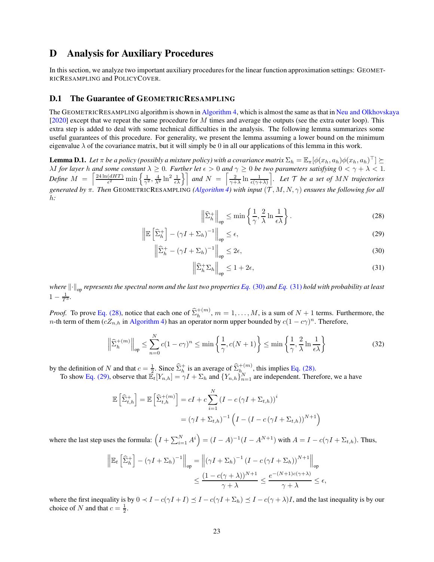## D Analysis for Auxiliary Procedures

In this section, we analyze two important auxiliary procedures for the linear function approximation settings: GEOMET-RICRESAMPLING and POLICYCOVER.

#### D.1 The Guarantee of GEOMETRICRESAMPLING

The GEOMETRICRESAMPLING algorithm is shown in [Algorithm 4,](#page-8-1) which is almost the same as that in [Neu and Olkhovskaya](#page-13-1) [\[2020](#page-13-1)] except that we repeat the same procedure for M times and average the outputs (see the extra outer loop). This extra step is added to deal with some technical difficulties in the analysis. The following lemma summarizes some useful guarantees of this procedure. For generality, we present the lemma assuming a lower bound on the minimum eigenvalue  $\lambda$  of the covariance matrix, but it will simply be 0 in all our applications of this lemma in this work.

<span id="page-22-5"></span>**Lemma D.1.** Let  $\pi$  be a policy (possibly a mixture policy) with a covariance matrix  $\Sigma_h = \mathbb{E}_{\pi}[\phi(x_h, a_h)\phi(x_h, a_h)^{\top}] \succeq$  $\lambda I$  *for layer* h and some constant  $\lambda \geq 0$ . Further let  $\epsilon > 0$  and  $\gamma \geq 0$  be two parameters satisfying  $0 < \gamma + \lambda < 1$ . *Define*  $M = \left[ \frac{24 \ln(dHT)}{\epsilon^2} \right]$  $\left(\frac{dHT}{\epsilon^2}\right)$  min  $\left\{\frac{1}{\gamma^2}, \frac{4}{\lambda^2}\ln^2\frac{1}{\epsilon\lambda}\right\}$  and  $N = \left[\frac{2}{\gamma+\lambda}\ln\frac{1}{\epsilon(\gamma+\lambda)}\right]$ m *. Let* T *be a set of* MN *trajectories generated by* π*. Then* GEOMETRICRESAMPLING *[\(Algorithm 4\)](#page-8-1) with input* (T , M, N, γ) *ensures the following for all* h*:*

<span id="page-22-3"></span><span id="page-22-2"></span><span id="page-22-0"></span>
$$
\left\|\widehat{\Sigma}_{h}^{+}\right\|_{\text{op}} \leq \min\left\{\frac{1}{\gamma}, \frac{2}{\lambda}\ln\frac{1}{\epsilon\lambda}\right\}.
$$
 (28)

$$
\left\| \mathbb{E}\left[\hat{\Sigma}_h^+\right] - \left(\gamma I + \Sigma_h\right)^{-1} \right\|_{\text{op}} \le \epsilon,\tag{29}
$$

$$
\left\| \widehat{\Sigma}_h^+ - (\gamma I + \Sigma_h)^{-1} \right\|_{\text{op}} \le 2\epsilon,\tag{30}
$$

<span id="page-22-4"></span><span id="page-22-1"></span>
$$
\left\| \widehat{\Sigma}_h^+ \Sigma_h \right\|_{\text{op}} \le 1 + 2\epsilon,\tag{31}
$$

*where*  $\|\cdot\|_{op}$  *represents the spectral norm and the last two properties Eq.* [\(30\)](#page-22-0) *and Eq.* [\(31\)](#page-22-1) *hold with probability at least*  $1 - \frac{1}{T^3}$ .

*Proof.* To prove [Eq. \(28\),](#page-22-2) notice that each one of  $\hat{\Sigma}_{h}^{+(m)}$ ,  $m = 1, ..., M$ , is a sum of  $N + 1$  terms. Furthermore, the *n*-th term of them  $(cZ_{n,h}$  in [Algorithm 4\)](#page-8-1) has an operator norm upper bounded by  $c(1 - c\gamma)^n$ . Therefore,

$$
\left\|\widehat{\Sigma}_{h}^{+(m)}\right\|_{\text{op}} \leq \sum_{n=0}^{N} c(1-c\gamma)^{n} \leq \min\left\{\frac{1}{\gamma}, c(N+1)\right\} \leq \min\left\{\frac{1}{\gamma}, \frac{2}{\lambda}\ln\frac{1}{\epsilon\lambda}\right\} \tag{32}
$$

by the definition of N and that  $c = \frac{1}{2}$ . Since  $\widehat{\Sigma}_{h}^{+}$  is an average of  $\widehat{\Sigma}_{h}^{+(m)}$ , this implies [Eq. \(28\).](#page-22-2)

To show [Eq. \(29\),](#page-22-3) observe that  $\mathbb{E}_{t}[Y_{n,h}] = \gamma I + \sum_{h}$  and  $\{Y_{n,h}\}_{n=1}^{N}$  are independent. Therefore, we a have

$$
\mathbb{E}\left[\widehat{\Sigma}_{t,h}^{+}\right] = \mathbb{E}\left[\widehat{\Sigma}_{t,h}^{+(m)}\right] = cI + c\sum_{i=1}^{N} (I - c(\gamma I + \Sigma_{t,h}))^{i}
$$

$$
= (\gamma I + \Sigma_{t,h})^{-1} \left(I - (I - c(\gamma I + \Sigma_{t,h}))^{N+1}\right)
$$

where the last step uses the formula:  $(I + \sum_{i=1}^{N} A^{i}) = (I - A)^{-1}(I - A^{N+1})$  with  $A = I - c(\gamma I + \sum_{t,h})$ . Thus,

$$
\left\| \mathbb{E}_t \left[ \widehat{\Sigma}_h^+ \right] - (\gamma I + \Sigma_h)^{-1} \right\|_{op} = \left\| (\gamma I + \Sigma_h)^{-1} \left( I - c (\gamma I + \Sigma_h) \right)^{N+1} \right\|_{op}
$$
  

$$
\leq \frac{(1 - c (\gamma + \lambda))^{N+1}}{\gamma + \lambda} \leq \frac{e^{-(N+1)c(\gamma + \lambda)}}{\gamma + \lambda} \leq \epsilon,
$$

where the first inequality is by  $0 \prec I - c(\gamma I + I) \leq I - c(\gamma I + \Sigma_h) \leq I - c(\gamma + \lambda)I$ , and the last inequality is by our choice of N and that  $c = \frac{1}{2}$ .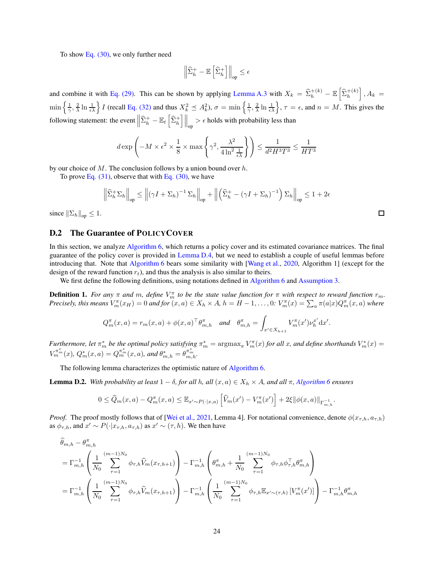To show Eq.  $(30)$ , we only further need

$$
\left\|\widehat{\Sigma}^+_h - \mathbb{E}\left[\widehat{\Sigma}^+_h\right]\right\|_{\mathrm{op}} \leq \epsilon
$$

and combine it with [Eq. \(29\).](#page-22-3) This can be shown by applying [Lemma A.3](#page-14-3) with  $X_k = \hat{\Sigma}_h^{+(k)} - \mathbb{E} \left[ \hat{\Sigma}_h^{+(k)} \right], A_k =$  $\min\left\{\frac{1}{\gamma},\frac{2}{\lambda}\ln\frac{1}{\epsilon\lambda}\right\}$  *I* (recall [Eq. \(32\)](#page-22-4) and thus  $X_k^2 \preceq A_k^2$ ,  $\sigma = \min\left\{\frac{1}{\gamma},\frac{2}{\lambda}\ln\frac{1}{\epsilon\lambda}\right\}$ ,  $\tau = \epsilon$ , and  $n = M$ . This gives the following statement: the event  $\left\| \widehat{\Sigma}_{h}^{+} - \mathbb{E}_{t} \left[ \widehat{\Sigma}_{h}^{+} \right] \right\|_{op} > \epsilon$  holds with probability less than

$$
d\exp\left(-M\times\epsilon^2\times\frac{1}{8}\times\max\left\{\gamma^2,\frac{\lambda^2}{4\ln^2\frac{1}{\epsilon\lambda}}\right\}\right)\leq\frac{1}{d^2H^{3}T^3}\leq\frac{1}{HT^3}
$$

by our choice of  $M$ . The conclusion follows by a union bound over  $h$ .

To prove Eq.  $(31)$ , observe that with Eq.  $(30)$ , we have

$$
\left\| \widehat{\Sigma}_h^+ \Sigma_h \right\|_{\text{op}} \le \left\| (\gamma I + \Sigma_h)^{-1} \Sigma_h \right\|_{\text{op}} + \left\| \left( \widehat{\Sigma}_h^+ - (\gamma I + \Sigma_h)^{-1} \right) \Sigma_h \right\|_{\text{op}} \le 1 + 2\epsilon
$$

since  $\|\Sigma_h\|_{op} \leq 1$ .

#### D.2 The Guarantee of POLICYCOVER

In this section, we analyze [Algorithm 6,](#page-11-0) which returns a policy cover and its estimated covariance matrices. The final guarantee of the policy cover is provided in [Lemma D.4,](#page-26-0) but we need to establish a couple of useful lemmas before introducing that. Note that [Algorithm 6](#page-11-0) bears some similarity with [\[Wang et al.,](#page-13-15) [2020](#page-13-15), Algorithm 1] (except for the design of the reward function  $r_t$ ), and thus the analysis is also similar to theirs.

We first define the following definitions, using notations defined in [Algorithm 6](#page-11-0) and [Assumption 3.](#page-8-3)

**Definition 1.** For any  $\pi$  and  $m$ , define  $V_m^{\pi}$  to be the state value function for  $\pi$  with respect to reward function  $r_m$ . *Precisely, this means*  $V_m^{\pi}(x_H) = 0$  *and for*  $(x, a) \in X_h \times A$ ,  $h = H - 1, \ldots, 0$ :  $V_m^{\pi}(x) = \sum_a \pi(a|x) Q_m^{\pi}(x, a)$  where

$$
Q_m^{\pi}(x,a) = r_m(x,a) + \phi(x,a)^{\top} \theta_{m,h}^{\pi} \quad \text{and} \quad \theta_{m,h}^{\pi} = \int_{x' \in X_{h+1}} V_m^{\pi}(x') \nu_h^{x'} \mathrm{d}x'.
$$

*Furthermore, let*  $\pi_m^*$  *be the optimal policy satisfying*  $\pi_m^* = \text{argmax}_{\pi} V_m^{\pi}(x)$  *for all x, and define shorthands*  $V_m^*(x) =$  $V^{\pi_m^*}_{m}(x),\,Q_m^*(x,a) = Q_m^{\pi_m^*}(x,a),$  and  $\theta_{m,h}^* = \theta_{m,h}^{\pi_m^*}.$ 

The following lemma characterizes the optimistic nature of [Algorithm 6.](#page-11-0)

<span id="page-23-0"></span>**Lemma D.2.** *With probability at least*  $1 − δ$ *, for all h, all*  $(x, a) ∈ X<sub>h</sub> × A$ *, and all* π*, [Algorithm 6](#page-11-0) ensures* 

$$
0 \leq \widehat{Q}_m(x, a) - Q_m^{\pi}(x, a) \leq \mathbb{E}_{x' \sim P(\cdot | x, a)} \left[ \widehat{V}_m(x') - V_m^{\pi}(x') \right] + 2\xi \|\phi(x, a)\|_{\Gamma_{m, h}^{-1}}
$$

*Proof.* The proof mostly follows that of [\[Wei et al.,](#page-13-4) [2021,](#page-13-4) Lemma 4]. For notational convenience, denote  $\phi(x_{\tau,h}, a_{\tau,h})$ as  $\phi_{\tau,h}$ , and  $x' \sim P(\cdot | x_{\tau,h}, a_{\tau,h})$  as  $x' \sim (\tau,h)$ . We then have

$$
\hat{\theta}_{m,h} - \theta_{m,h}^{\pi} \n= \Gamma_{m,h}^{-1} \left( \frac{1}{N_0} \sum_{\tau=1}^{(m-1)N_0} \phi_{\tau,h} \hat{V}_m(x_{\tau,h+1}) \right) - \Gamma_{m,h}^{-1} \left( \theta_{m,h}^{\pi} + \frac{1}{N_0} \sum_{\tau=1}^{(m-1)N_0} \phi_{\tau,h} \phi_{\tau,h}^{\top} \theta_{m,h}^{\pi} \right) \n= \Gamma_{m,h}^{-1} \left( \frac{1}{N_0} \sum_{\tau=1}^{(m-1)N_0} \phi_{\tau,h} \hat{V}_m(x_{\tau,h+1}) \right) - \Gamma_{m,h}^{-1} \left( \frac{1}{N_0} \sum_{\tau=1}^{(m-1)N_0} \phi_{\tau,h} \mathbb{E}_{x' \sim (\tau,h)} \left[ V_m^{\pi}(x') \right] \right) - \Gamma_{m,h}^{-1} \theta_{m,h}^{\pi}
$$

.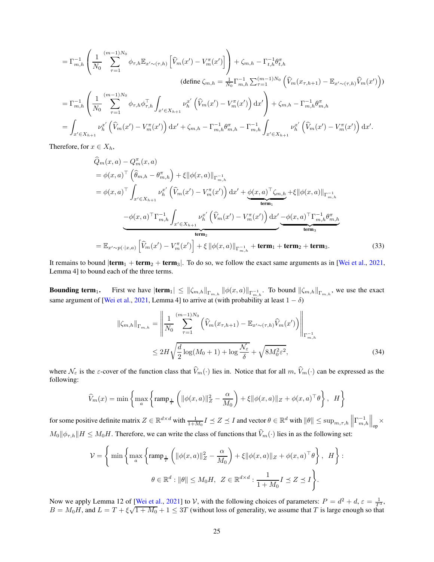$$
= \Gamma_{m,h}^{-1} \left( \frac{1}{N_0} \sum_{\tau=1}^{(m-1)N_0} \phi_{\tau,h} \mathbb{E}_{x' \sim (\tau,h)} \left[ \hat{V}_m(x') - V_m^{\pi}(x') \right] \right) + \zeta_{m,h} - \Gamma_{t,h}^{-1} \theta_{t,h}^{\pi}
$$
\n
$$
(\text{define } \zeta_{m,h} = \frac{1}{N_0} \Gamma_{m,h}^{-1} \sum_{\tau=1}^{(m-1)N_0} \left( \hat{V}_m(x_{\tau,h+1}) - \mathbb{E}_{x' \sim (\tau,h)} \hat{V}_m(x') \right))
$$
\n
$$
= \Gamma_{m,h}^{-1} \left( \frac{1}{N_0} \sum_{\tau=1}^{(m-1)N_0} \phi_{\tau,h} \phi_{\tau,h}^{\top} \int_{x' \in X_{h+1}} \nu_h^{x'} \left( \hat{V}_m(x') - V_m^{\pi}(x') \right) dx' \right) + \zeta_{m,h} - \Gamma_{m,h}^{-1} \theta_{m,h}^{\pi}
$$
\n
$$
= \int_{x' \in X_{h+1}} \nu_h^{x'} \left( \hat{V}_m(x') - V_m^{\pi}(x') \right) dx' + \zeta_{m,h} - \Gamma_{m,h}^{-1} \theta_{m,h}^{\pi} - \Gamma_{m,h}^{-1} \int_{x' \in X_{h+1}} \nu_h^{x'} \left( \hat{V}_m(x') - V_m^{\pi}(x') \right) dx'.
$$

Therefore, for  $x \in X_h$ ,

$$
\hat{Q}_{m}(x, a) - Q_{m}^{\pi}(x, a)
$$
\n
$$
= \phi(x, a)^{\top} \left( \hat{\theta}_{m,h} - \theta_{m,h}^{\pi} \right) + \xi ||\phi(x, a)||_{\Gamma_{m,h}^{-1}}
$$
\n
$$
= \phi(x, a)^{\top} \int_{x' \in X_{h+1}} \nu_{h}^{x'} \left( \hat{V}_{m}(x') - V_{m}^{\pi}(x') \right) dx' + \underbrace{\phi(x, a)^{\top} \zeta_{m,h}}_{\text{term}_1} + \xi ||\phi(x, a)||_{\Gamma_{m,h}^{-1}}
$$
\n
$$
- \phi(x, a)^{\top} \Gamma_{m,h}^{-1} \int_{x' \in X_{h+1}} \nu_{h}^{x'} \left( \hat{V}_{m}(x') - V_{m}^{\pi}(x') \right) dx' - \underbrace{\phi(x, a)^{\top} \Gamma_{m,h}^{-1} \theta_{m,h}^{\pi}}_{\text{term}_3}
$$
\n
$$
= \mathbb{E}_{x' \sim p(\cdot | x, a)} \left[ \hat{V}_{m}(x') - V_{m}^{\pi}(x') \right] + \xi ||\phi(x, a)||_{\Gamma_{m,h}^{-1}} + \text{term}_1 + \text{term}_2 + \text{term}_3. \tag{33}
$$

It remains to bound  $|\textbf{term}_1 + \textbf{term}_2 + \textbf{term}_3|$ . To do so, we follow the exact same arguments as in [\[Wei et al.,](#page-13-4) [2021,](#page-13-4) Lemma 4] to bound each of the three terms.

**Bounding term**<sub>1</sub>. First we have  $|\textbf{term}_1| \le ||\zeta_{m,h}||_{\Gamma_{m,h}} ||\phi(x,a)||_{\Gamma_{m,h}^{-1}}$ . To bound  $||\zeta_{m,h}||_{\Gamma_{m,h}}$ , we use the exact same argument of [\[Wei et al.,](#page-13-4) [2021,](#page-13-4) Lemma 4] to arrive at (with probability at least  $1 - \delta$ )

<span id="page-24-1"></span><span id="page-24-0"></span>
$$
\|\zeta_{m,h}\|_{\Gamma_{m,h}} = \left\| \frac{1}{N_0} \sum_{\tau=1}^{(m-1)N_0} \left( \widehat{V}_m(x_{\tau,h+1}) - \mathbb{E}_{x' \sim (\tau,h)} \widehat{V}_m(x') \right) \right\|_{\Gamma_{m,h}^{-1}} \le 2H \sqrt{\frac{d}{2} \log(M_0+1) + \log \frac{\mathcal{N}_{\varepsilon}}{\delta}} + \sqrt{8M_0^2 \varepsilon^2},
$$
\n(34)

where  $\mathcal{N}_{\varepsilon}$  is the  $\varepsilon$ -cover of the function class that  $\widehat{V}_m(\cdot)$  lies in. Notice that for all  $m, \widehat{V}_m(\cdot)$  can be expressed as the following:

$$
\widehat{V}_m(x) = \min \left\{ \max_a \left\{ \operatorname{ramp}_{\frac{1}{T}} \left( \| \phi(x, a) \|_{Z}^2 - \frac{\alpha}{M_0} \right) + \xi \| \phi(x, a) \|_{Z} + \phi(x, a)^\top \theta \right\}, H \right\}
$$

for some positive definite matrix  $Z \in \mathbb{R}^{d \times d}$  with  $\frac{1}{1 + M_0} I \preceq Z \preceq I$  and vector  $\theta \in \mathbb{R}^d$  with  $\|\theta\| \le \sup_{m,\tau,h} \left\| \Gamma_{m,h}^{-1} \right\|$  $\Big\|_{\mathrm{op}} \times$  $M_0 \|\phi_{\tau,h}\| H \leq M_0 H$ . Therefore, we can write the class of functions that  $\widehat{V}_m(\cdot)$  lies in as the following set:

$$
\mathcal{V} = \left\{ \min \left\{ \max_{a} \left\{ \operatorname{ramp}_{\frac{1}{T}} \left( \|\phi(x, a)\|_{Z}^{2} - \frac{\alpha}{M_{0}} \right) + \xi \|\phi(x, a)\|_{Z} + \phi(x, a)^{\top} \theta \right\}, \ H \right\} : \right\}
$$
  

$$
\theta \in \mathbb{R}^{d} : \|\theta\| \le M_{0} H, \ Z \in \mathbb{R}^{d \times d} : \frac{1}{1 + M_{0}} I \preceq Z \preceq I \right\}.
$$

Now we apply Lemma 12 of [\[Wei et al.](#page-13-4), [2021\]](#page-13-4) to V, with the following choices of parameters:  $P = d^2 + d$ ,  $\varepsilon = \frac{1}{T^3}$ ,  $B = M_0H$ , and  $L = T + \xi\sqrt{1 + M_0} + 1 \leq 3T$  (without loss of generality, we assume that T is large enough so that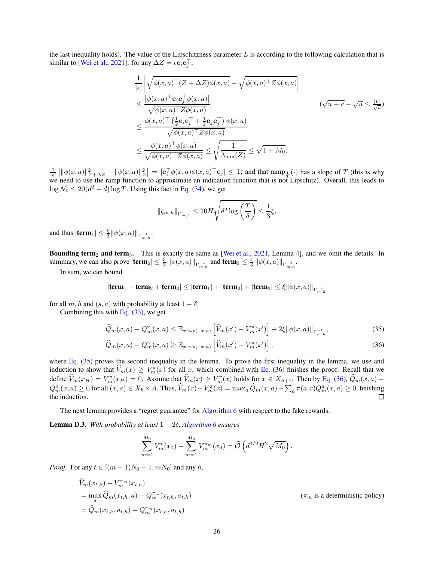the last inequality holds). The value of the Lipschitzness parameter  $L$  is according to the following calculation that is similar to [\[Wei et al.](#page-13-4), [2021](#page-13-4)]: for any  $\Delta Z = \epsilon \mathbf{e}_i \mathbf{e}_j^{\top}$ ,

$$
\frac{1}{|\epsilon|} \left| \sqrt{\phi(x, a)^\top (Z + \Delta Z) \phi(x, a)} - \sqrt{\phi(x, a)^\top Z \phi(x, a)} \right|
$$
\n
$$
\leq \frac{|\phi(x, a)^\top \mathbf{e}_i \mathbf{e}_j^\top \phi(x, a)|}{\sqrt{\phi(x, a)^\top Z \phi(x, a)}}
$$
\n
$$
\leq \frac{\phi(x, a)^\top \left(\frac{1}{2} \mathbf{e}_i \mathbf{e}_i^\top + \frac{1}{2} \mathbf{e}_j \mathbf{e}_j^\top\right) \phi(x, a)}{\sqrt{\phi(x, a)^\top Z \phi(x, a)}}
$$
\n
$$
\leq \frac{\phi(x, a)^\top \phi(x, a)}{\sqrt{\phi(x, a)^\top Z \phi(x, a)}} \leq \sqrt{\frac{1}{\lambda_{\min}(Z)}} \leq \sqrt{1 + M_0};
$$

 $\frac{1}{|\epsilon|} ||\phi(x,a)||_{Z+\Delta Z}^2 - ||\phi(x,a)||_Z^2 = |\mathbf{e}_i^\top \phi(x,a) \phi(x,a)^\top \mathbf{e}_j| \leq 1$ ; and that ramp  $\frac{1}{|z|}$  has a slope of T (this is why we need to use the ramp function to approximate an indication function that is not Lipschitz). Overall, this leads to  $\log \mathcal{N}_{\varepsilon} \leq 20(d^2 + d) \log T$ . Using this fact in [Eq. \(34\),](#page-24-0) we get

<span id="page-25-0"></span>
$$
\left\|\zeta_{m,h}\right\|_{\Gamma_{m,h}} \leq 20 H \sqrt{d^2 \log\left(\frac{T}{\delta}\right)} \leq \frac{1}{3} \xi,
$$

and thus  $|\textbf{term}_1| \leq \frac{\xi}{3} ||\phi(x, a)||_{\Gamma^{-1}_{m,h}}.$ 

Bounding term<sub>2</sub> and term<sub>3</sub>. This is exactly the same as [\[Wei et al.,](#page-13-4) [2021](#page-13-4), Lemma 4], and we omit the details. In summary, we can also prove  $|\textbf{term}_2| \leq \frac{\xi}{3} ||\phi(x, a)||_{\Gamma_{m,h}^{-1}}$  and  $\textbf{term}_3 \leq \frac{\xi}{3} ||\phi(x, a)||_{\Gamma_{m,h}^{-1}}$ .

In sum, we can bound

$$
|\textbf{term}_1+\textbf{term}_2+\textbf{term}_3|\leq|\textbf{term}_1|+|\textbf{term}_2|+|\textbf{term}_3|\leq\xi\|\phi(x,a)\|_{\Gamma^{-1}_{m,h}}
$$

for all m, h and  $(s, a)$  with probability at least  $1 - \delta$ .

Combining this with Eq.  $(33)$ , we get

$$
\widehat{Q}_m(x,a) - Q_m^{\pi}(x,a) \le \mathbb{E}_{x' \sim p(\cdot|x,a)} \left[ \widehat{V}_m(x') - V_m^{\pi}(x') \right] + 2\xi \| \phi(x,a) \|_{\Gamma_{m,h}^{-1}}, \tag{35}
$$

$$
\widehat{Q}_m(x,a) - Q_m^{\pi}(x,a) \ge \mathbb{E}_{x' \sim p(\cdot|x,a)} \left[ \widehat{V}_m(x') - V_m^{\pi}(x') \right],\tag{36}
$$

where Eq.  $(35)$  proves the second inequality in the lemma. To prove the first inequality in the lemma, we use and induction to show that  $V_m(x) \ge V_m^{\pi}(x)$  for all x, which combined with [Eq. \(36\)](#page-25-1) finishes the proof. Recall that we define  $\hat{V}_m(x_H) = V_m^{\pi}(x_H) = 0$ . Assume that  $\hat{V}_m(x) \ge V_m^{\pi}(x)$  holds for  $x \in X_{h+1}$ . Then by [Eq. \(36\),](#page-25-1)  $\hat{Q}_m(x, a)$  –  $Q_m^{\pi}(x, a) \ge 0$  for all  $(x, a) \in X_h \times A$ . Thus,  $\widehat{V}_m(x) - V_m^{\pi}(x) = \max_a \widehat{Q}_m(x, a) - \sum_a \pi(a|x)Q_m^{\pi}(x, a) \ge 0$ , finishing the induction.

The next lemma provides a "regret guarantee" for [Algorithm 6](#page-11-0) with respect to the fake rewards.

<span id="page-25-2"></span>Lemma D.3. *With probability at least* 1 − 2δ*, [Algorithm 6](#page-11-0) ensures*

<span id="page-25-1"></span>
$$
\sum_{m=1}^{M_0} V_m^*(x_0) - \sum_{m=1}^{M_0} V_m^{\pi_m}(x_0) = \widetilde{\mathcal{O}}\left(d^{3/2}H^2\sqrt{M_0}\right).
$$

*Proof.* For any  $t \in [(m-1)N_0 + 1, mN_0]$  and any h,

$$
\hat{V}_m(x_{t,h}) - V_m^{\pi_m}(x_{t,h})
$$
\n
$$
= \max_a \hat{Q}_m(x_{t,h}, a) - Q_m^{\pi_m}(x_{t,h}, a_{t,h})
$$
\n
$$
= \hat{Q}_m(x_{t,h}, a_{t,h}) - Q_m^{\pi_m}(x_{t,h}, a_{t,h})
$$
\n
$$
( \pi_m \text{ is a deterministic policy})
$$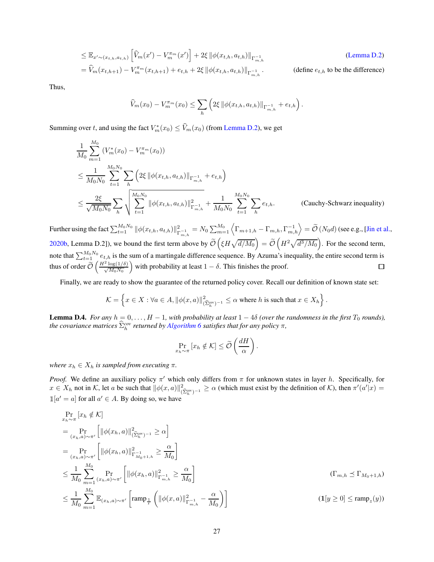$$
\leq \mathbb{E}_{x' \sim (x_{t,h}, a_{t,h})} \left[ \widehat{V}_m(x') - V_m^{\pi_m}(x') \right] + 2\xi \left\| \phi(x_{t,h}, a_{t,h}) \right\|_{\Gamma_{m,h}^{-1}} \tag{Lemma D.2}
$$
\n
$$
= \widehat{V}_m(x_{t,h+1}) - V_m^{\pi_m}(x_{t,h+1}) + e_{t,h} + 2\xi \left\| \phi(x_{t,h}, a_{t,h}) \right\|_{\Gamma_{m,h}^{-1}}.
$$
\n(define  $e_{t,h}$  to be the difference)

Thus,

$$
\widehat{V}_m(x_0) - V_m^{\pi_m}(x_0) \leq \sum_h \left( 2\xi \, \|\phi(x_{t,h}, a_{t,h})\|_{\Gamma_{m,h}^{-1}} + e_{t,h} \right).
$$

Summing over t, and using the fact  $V_m^*(x_0) \le V_m(x_0)$  (from [Lemma D.2\)](#page-23-0), we get

$$
\frac{1}{M_0} \sum_{m=1}^{M_0} (V_m^*(x_0) - V_m^{\pi_m}(x_0))
$$
\n
$$
\leq \frac{1}{M_0 N_0} \sum_{t=1}^{M_0 N_0} \sum_{h} \left( 2\xi \left\| \phi(x_{t,h}, a_{t,h}) \right\|_{\Gamma_{m,h}^{-1}} + e_{t,h} \right)
$$
\n
$$
\leq \frac{2\xi}{\sqrt{M_0 N_0}} \sum_{h} \sqrt{\sum_{t=1}^{M_0 N_0} \left\| \phi(x_{t,h}, a_{t,h}) \right\|_{\Gamma_{m,h}^{-1}}^2 + \frac{1}{M_0 N_0} \sum_{t=1}^{M_0 N_0} \sum_{h} e_{t,h}. \qquad \text{(Cauchy-Schwarz inequality)}
$$

Further using the fact  $\sum_{t=1}^{M_0N_0} \|\phi(x_{t,h}, a_{t,h})\|_{\Gamma}^2$  $T_{m,h}^{2}=N_{0}\sum_{m=1}^{M_{0}}\left\langle \Gamma_{m+1,h}-\Gamma_{m,h},\Gamma_{m,h}^{-1}\right\rangle =\widetilde{\mathcal{O}}\left(N_{0}d\right)$  (see e.g., [\[Jin et al.,](#page-12-13) [2020b,](#page-12-13) Lemma D.2]), we bound the first term above by  $\widetilde{\mathcal{O}}\left(\xi H \sqrt{d/M_0}\right) = \widetilde{\mathcal{O}}\left(H^2\sqrt{d^3/M_0}\right)$ . For the second term, note that  $\sum_{t=1}^{M_0N_0} e_{t,h}$  is the sum of a martingale difference sequence. By Azuma's inequality, the entire second term is thus of order  $\tilde{\mathcal{O}}\left(\frac{H^2 \log(1/\delta)}{\sqrt{M_0 N_0}}\right)$ with probability at least  $1 - \delta$ . This finishes the proof.

Finally, we are ready to show the guarantee of the returned policy cover. Recall our definition of known state set:

$$
\mathcal{K}=\left\{x\in X: \forall a\in A, \|\phi(x,a)\|^2_{(\widehat{\Sigma}_h^{\text{cov}})^{-1}}\leq \alpha \text{ where } h \text{ is such that } x\in X_h\right\}.
$$

<span id="page-26-0"></span>**Lemma D.4.** *For any*  $h = 0, \ldots, H-1$ , with probability at least  $1 - 4\delta$  (over the randomness in the first  $T_0$  rounds), *the covariance matrices*  $\widehat{\Sigma}_{h}^{cov}$  *returned by [Algorithm 6](#page-11-0) satisfies that for any policy*  $\pi$ *,* 

$$
\Pr_{x_h \sim \pi} [x_h \notin \mathcal{K}] \le \widetilde{\mathcal{O}}\left(\frac{dH}{\alpha}\right).
$$

*where*  $x_h \in X_h$  *is sampled from executing*  $\pi$ *.* 

*Proof.* We define an auxiliary policy  $\pi'$  which only differs from  $\pi$  for unknown states in layer h. Specifically, for  $x \in X_h$  not in K, let a be such that  $\|\phi(x, a)\|_{(\widehat{\Sigma}_h^{\text{cov}})^{-1}}^2 \ge \alpha$  (which must exist by the definition of K), then  $\pi'(a'|x) =$  $\mathbb{1}[a' = a]$  for all  $a' \in A$ . By doing so, we have

$$
\Pr_{x_h \sim \pi} [x_h \notin \mathcal{K}]
$$
\n
$$
= \Pr_{(x_h, a) \sim \pi'} [ ||\phi(x_h, a)||^2_{(\hat{\Sigma}_h^{\text{cov}})^{-1}} \ge \alpha ]
$$
\n
$$
= \Pr_{(x_h, a) \sim \pi'} [ ||\phi(x_h, a)||^2_{\Gamma_{M_0 + 1, h}^{-1}} \ge \frac{\alpha}{M_0}]
$$
\n
$$
\le \frac{1}{M_0} \sum_{m=1}^{M_0} \Pr_{(x_h, a) \sim \pi'} [ ||\phi(x_h, a)||^2_{\Gamma_{m, h}^{-1}} \ge \frac{\alpha}{M_0}]
$$
\n
$$
\le \frac{1}{M_0} \sum_{m=1}^{M_0} \mathbb{E}_{(x_h, a) \sim \pi'} [ \text{ramp}_{\frac{1}{T}} \left( ||\phi(x, a)||^2_{\Gamma_{m, h}^{-1}} - \frac{\alpha}{M_0} \right)]
$$
\n
$$
(1[y \ge 0] \le \text{ramp}_z(y))
$$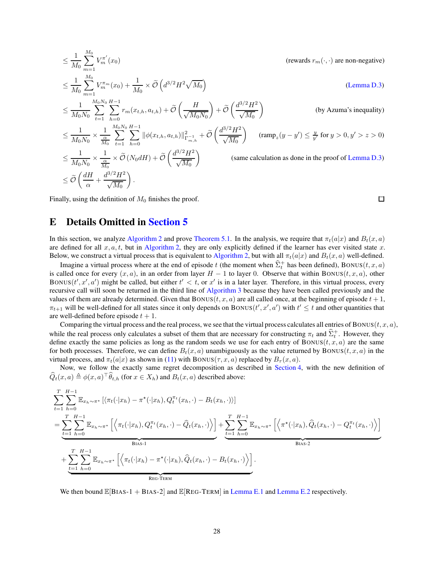$$
\leq \frac{1}{M_0} \sum_{m=1}^{M_0} V_m^{\pi'}(x_0)
$$
\n
$$
\leq \frac{1}{M_0} \sum_{m=1}^{M_0} V_m^{\pi}(x_0) + \frac{1}{M_0} \times \tilde{\mathcal{O}} \left( d^{3/2} H^2 \sqrt{M_0} \right)
$$
\n
$$
\leq \frac{1}{M_0 N_0} \sum_{t=1}^{M_0 N_0} \sum_{h=0}^{H-1} \sum_{h=0}^{r_m} r_m(x_{t,h}, a_{t,h}) + \tilde{\mathcal{O}} \left( \frac{H}{\sqrt{M_0 N_0}} \right) + \tilde{\mathcal{O}} \left( \frac{d^{3/2} H^2}{\sqrt{M_0}} \right)
$$
\n
$$
\leq \frac{1}{M_0 N_0} \times \frac{1}{\frac{\alpha}{M_0}} \sum_{t=1}^{M_0 N_0} \sum_{h=0}^{H-1} \|\phi(x_{t,h}, a_{t,h})\|_{\Gamma_{m,h}^{-1}}^2 + \tilde{\mathcal{O}} \left( \frac{d^{3/2} H^2}{\sqrt{M_0}} \right)
$$
\n
$$
\leq \frac{1}{M_0 N_0} \times \frac{1}{\frac{\alpha}{M_0}} \times \tilde{\mathcal{O}} \left( N_0 dH \right) + \tilde{\mathcal{O}} \left( \frac{d^{3/2} H^2}{\sqrt{M_0}} \right)
$$
\n
$$
\leq \tilde{\mathcal{O}} \left( \frac{dH}{\alpha} + \frac{d^{3/2} H^2}{\sqrt{M_0}} \right).
$$
\n(same calculation as done in the proof of Lemma D.3)

 $\Box$ 

Finally, using the definition of  $M_0$  finishes the proof.

## <span id="page-27-0"></span>E Details Omitted in [Section 5](#page-6-0)

In this section, we analyze [Algorithm 2](#page-7-0) and prove [Theorem 5.1.](#page-7-4) In the analysis, we require that  $\pi_t(a|x)$  and  $B_t(x, a)$ are defined for all  $x, a, t$ , but in [Algorithm 2,](#page-7-0) they are only explicitly defined if the learner has ever visited state x. Below, we construct a virtual process that is equivalent to [Algorithm 2,](#page-7-0) but with all  $\pi_t(a|x)$  and  $B_t(x, a)$  well-defined.

Imagine a virtual process where at the end of episode t (the moment when  $\hat{\Sigma}_t^+$  has been defined), BONUS $(t, x, a)$ is called once for every  $(x, a)$ , in an order from layer  $H - 1$  to layer 0. Observe that within BONUS(t, x, a), other BONUS $(t', x', a')$  might be called, but either  $t' < t$ , or  $x'$  is in a later layer. Therefore, in this virtual process, every recursive call will soon be returned in the third line of [Algorithm 3](#page-7-3) because they have been called previously and the values of them are already determined. Given that  $BONUS(t, x, a)$  are all called once, at the beginning of episode  $t + 1$ ,  $\pi_{t+1}$  will be well-defined for all states since it only depends on BONUS( $t', x', a'$ ) with  $t' \le t$  and other quantities that are well-defined before episode  $t + 1$ .

Comparing the virtual process and the real process, we see that the virtual process calculates all entries of BONUS $(t, x, a)$ , while the real process only calculates a subset of them that are necessary for constructing  $\pi_t$  and  $\hat{\Sigma}_t^+$ . However, they define exactly the same policies as long as the random seeds we use for each entry of BONUS( $t, x, a$ ) are the same for both processes. Therefore, we can define  $B_t(x, a)$  unambiguously as the value returned by BONUS(t, x, a) in the virtual process, and  $\pi_t(a|x)$  as shown in [\(11\)](#page-7-1) with BONUS( $\tau$ , x, a) replaced by  $B_\tau(x, a)$ .

Now, we follow the exactly same regret decomposition as described in [Section 4,](#page-4-0) with the new definition of  $Q_t(x, a) \triangleq \phi(x, a) \,^\dagger \theta_{t, h}$  (for  $x \in X_h$ ) and  $B_t(x, a)$  described above:

$$
\sum_{t=1}^{T} \sum_{h=0}^{H-1} \mathbb{E}_{x_h \sim \pi^{\star}} \left[ \langle \pi_t(\cdot | x_h) - \pi^{\star}(\cdot | x_h), Q_t^{\pi_t}(x_h, \cdot) - B_t(x_h, \cdot) \rangle \right]
$$
\n
$$
= \underbrace{\sum_{t=1}^{T} \sum_{h=0}^{H-1} \mathbb{E}_{x_h \sim \pi^{\star}} \left[ \langle \pi_t(\cdot | x_h), Q_t^{\pi_t}(x_h, \cdot) - \hat{Q}_t(x_h, \cdot) \rangle \right]}_{\text{Bias-1}} + \underbrace{\sum_{t=1}^{T} \sum_{h=0}^{H-1} \mathbb{E}_{x_h \sim \pi^{\star}} \left[ \langle \pi^{\star}(\cdot | x_h), \hat{Q}_t(x_h, \cdot) - Q_t^{\pi_t}(x_h, \cdot) \rangle \right]}_{\text{Bias-2}}
$$
\n+ 
$$
\sum_{t=1}^{T} \sum_{h=0}^{H-1} \mathbb{E}_{x_h \sim \pi^{\star}} \left[ \langle \pi_t(\cdot | x_h) - \pi^{\star}(\cdot | x_h), \hat{Q}_t(x_h, \cdot) - B_t(x_h, \cdot) \rangle \right].
$$

We then bound  $\mathbb{E}[BIAS-1 + BIAS-2]$  and  $\mathbb{E}[REG-TERM]$  in [Lemma E.1](#page-28-0) and [Lemma E.2](#page-28-1) respectively.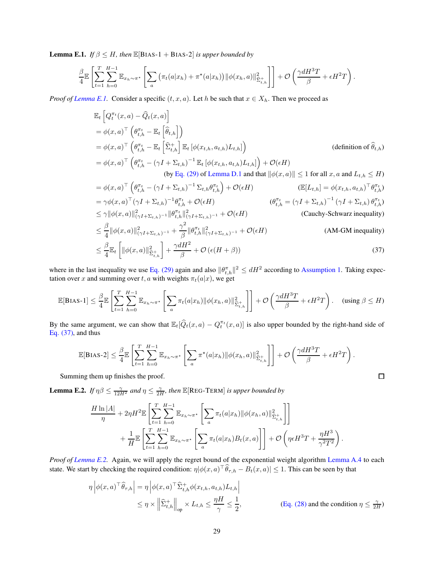<span id="page-28-0"></span>**Lemma E.1.** *If*  $\beta \leq H$ *, then*  $\mathbb{E}[\text{BIAS-1 + BIAS-2}]$  *is upper bounded by* 

$$
\frac{\beta}{4} \mathbb{E}\left[\sum_{t=1}^T \sum_{h=0}^{H-1} \mathbb{E}_{x_h \sim \pi^*}\left[\sum_a \left(\pi_t(a|x_h) + \pi^*(a|x_h)\right) ||\phi(x_h, a)||^2_{\widehat{\Sigma}^+_{t,h}}\right]\right] + \mathcal{O}\left(\frac{\gamma d H^3 T}{\beta} + \epsilon H^2 T\right).
$$

*Proof of [Lemma E.1.](#page-28-0)* Consider a specific  $(t, x, a)$ . Let h be such that  $x \in X_h$ . Then we proceed as

$$
\mathbb{E}_{t} \left[ Q_{t}^{\pi_{t}}(x, a) - \widehat{Q}_{t}(x, a) \right]
$$
\n
$$
= \phi(x, a)^{\top} \left( \theta_{t, h}^{\pi_{t}} - \mathbb{E}_{t} \left[ \widehat{\theta}_{t, h} \right] \right)
$$
\n
$$
= \phi(x, a)^{\top} \left( \theta_{t, h}^{\pi_{t}} - \mathbb{E}_{t} \left[ \widehat{\Sigma}_{t, h}^{+} \right] \mathbb{E}_{t} \left[ \phi(x_{t, h}, a_{t, h}) L_{t, h} \right] \right)
$$
\n
$$
= \phi(x, a)^{\top} \left( \theta_{t, h}^{\pi_{t}} - (\gamma I + \Sigma_{t, h})^{-1} \mathbb{E}_{t} \left[ \phi(x_{t, h}, a_{t, h}) L_{t, h} \right] \right) + \mathcal{O}(\epsilon H)
$$
\n
$$
\text{(by Eq. (29) of Lemma D.1 and that } ||\phi(x, a)|| \leq 1 \text{ for all } x, a \text{ and } L_{t, h} \leq H)
$$
\n
$$
= \phi(x, a)^{\top} \left( \theta_{t, h}^{\pi_{t}} - (\gamma I + \Sigma_{t, h})^{-1} \Sigma_{t, h} \theta_{t, h}^{\pi_{t}} \right) + \mathcal{O}(\epsilon H)
$$
\n
$$
\mathbb{E}[L_{t, h}] = \phi(x_{t, h}, a_{t, h})^{\top} \theta_{t, h}^{\pi_{t}})
$$

$$
= \phi(x, a)^{\top} \left( \theta_{t, h}^{\pi_t} - (\gamma I + \Sigma_{t, h})^{-1} \Sigma_{t, h} \theta_{t, h}^{\pi_t} \right) + \mathcal{O}(\epsilon H)
$$
\n
$$
= \gamma \phi(x, a)^{\top} (\gamma I + \Sigma_{t, h})^{-1} \theta_{t, h}^{\pi_t} + \mathcal{O}(\epsilon H)
$$
\n
$$
\leq \gamma ||\phi(x, a)||_{(\gamma I + \Sigma_{t, h})^{-1}}^2 ||\theta_{t, h}^{\pi_t}||_{(\gamma I + \Sigma_{t, h})^{-1}}^2 + \mathcal{O}(\epsilon H)
$$
\n
$$
\leq \beta ||\phi(x, a)||_{(\gamma I + \Sigma_{t, h})^{-1}}^2 ||\theta_{t, h}^{\pi_t}||_{(\gamma I + \Sigma_{t, h})^{-1}}^2 + \mathcal{O}(\epsilon H)
$$
\n
$$
\leq \beta ||\phi(x, a)||_{(\gamma I + \Sigma_{t, h})^{-1}}^2 ||\theta_{t, h}^{\pi_t}||_{(\gamma I + \Sigma_{t, h})^{-1}}^2 + \mathcal{O}(\epsilon H)
$$
\n
$$
\leq \beta ||\phi(x, a)||_{(\gamma I + \Sigma_{t, h})^{-1}}^2 \left( \mathcal{O}(\epsilon H) \right)
$$
\n
$$
\leq \beta ||\phi(x, a)||_{(\gamma I + \Sigma_{t, h})^{-1}}^2 \left( \mathcal{O}(\epsilon H) \right)
$$
\n
$$
\leq \beta ||\phi(x, a)||_{(\gamma I + \Sigma_{t, h})^{-1}}^2 \left( \mathcal{O}(\epsilon H) \right)
$$
\n
$$
\leq \beta ||\phi(x, a)||_{(\gamma I + \Sigma_{t, h})^{-1}}^2 \left( \mathcal{O}(\epsilon H) \right)
$$

$$
\leq \frac{\beta}{4} \|\phi(x, a)\|_{(\gamma I + \Sigma_{t,h})^{-1}}^2 + \frac{\gamma}{\beta} \|\theta_{t,h}^{\pi_t}\|_{(\gamma I + \Sigma_{t,h})^{-1}}^2 + \mathcal{O}(\epsilon H)
$$
\n
$$
\leq \frac{\beta}{4} \mathbb{E}_t \left[ \|\phi(x, a)\|_{\Sigma_{t,h}^2}^2 \right] + \frac{\gamma dH^2}{\beta} + \mathcal{O}(\epsilon (H + \beta))
$$
\n(37)

where in the last inequality we use [Eq. \(29\)](#page-22-3) again and also  $\|\theta_{t,h}^{\pi}\|^2 \leq dH^2$  according to [Assumption 1.](#page-6-3) Taking expectation over x and summing over  $t, a$  with weights  $\pi_t(a|x)$ , we get

$$
\mathbb{E}[\text{BIAS-1}] \leq \frac{\beta}{4} \mathbb{E} \left[ \sum_{t=1}^{T} \sum_{h=0}^{H-1} \mathbb{E}_{x_h \sim \pi^*} \left[ \sum_a \pi_t(a|x_h) \| \phi(x_h, a) \|_{\widehat{\Sigma}_{t,h}^+}^2 \right] \right] + \mathcal{O}\left(\frac{\gamma d H^3 T}{\beta} + \epsilon H^2 T\right). \quad \text{(using } \beta \leq H)
$$

By the same argument, we can show that  $\mathbb{E}_t[\hat{Q}_t(x, a) - Q_t^{\pi_t}(x, a)]$  is also upper bounded by the right-hand side of Eq.  $(37)$ , and thus

$$
\mathbb{E}[\text{BIAS-2}] \leq \frac{\beta}{4} \mathbb{E} \left[ \sum_{t=1}^T \sum_{h=0}^{H-1} \mathbb{E}_{x_h \sim \pi^{\star}} \left[ \sum_a \pi^{\star}(a|x_h) \| \phi(x_h, a) \|_{\tilde{\Sigma}_{t,h}^+}^2 \right] \right] + \mathcal{O}\left(\frac{\gamma d H^3 T}{\beta} + \epsilon H^2 T\right).
$$

Summing them up finishes the proof.

<span id="page-28-1"></span>**Lemma E.2.** *If*  $\eta\beta \leq \frac{\gamma}{12H^2}$  *and*  $\eta \leq \frac{\gamma}{2H}$ *, then*  $\mathbb{E}[\text{REG-TERM}]$  *is upper bounded by* 

$$
\frac{H \ln |A|}{\eta} + 2\eta H^{2} \mathbb{E} \left[ \sum_{t=1}^{T} \sum_{h=0}^{H-1} \mathbb{E}_{x_{h} \sim \pi^{\star}} \left[ \sum_{a} \pi_{t}(a|x_{h}) ||\phi(x_{h}, a)||^{2}_{\hat{\Sigma}^{+}_{t, h}} \right] \right] + \frac{1}{H} \mathbb{E} \left[ \sum_{t=1}^{T} \sum_{h=0}^{H-1} \mathbb{E}_{x_{h} \sim \pi^{\star}} \left[ \sum_{a} \pi_{t}(a|x_{h}) B_{t}(x, a) \right] \right] + \mathcal{O} \left( \eta \epsilon H^{3} T + \frac{\eta H^{3}}{\gamma^{2} T^{2}} \right).
$$

*Proof of [Lemma E.2.](#page-28-1)* Again, we will apply the regret bound of the exponential weight algorithm [Lemma A.4](#page-14-2) to each state. We start by checking the required condition:  $\eta |\phi(x, a)| \theta_{\tau,h} - B_t(x, a)| \leq 1$ . This can be seen by that

$$
\eta \left| \phi(x, a)^{\top} \widehat{\theta}_{\tau, h} \right| = \eta \left| \phi(x, a)^{\top} \widehat{\Sigma}_{t, h}^{+} \phi(x_{t, h}, a_{t, h}) L_{t, h} \right|
$$
  

$$
\leq \eta \times \left\| \widehat{\Sigma}_{t, h}^{+} \right\|_{op} \times L_{t, h} \leq \frac{\eta H}{\gamma} \leq \frac{1}{2},
$$
 (Eq. (28) and the condition  $\eta \leq \frac{\gamma}{2H}$ )

<span id="page-28-2"></span> $\Box$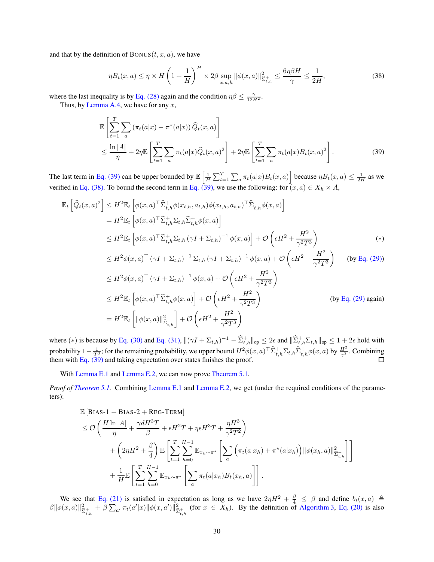and that by the definition of  $BONUS(t, x, a)$ , we have

<span id="page-29-1"></span>
$$
\eta B_t(x, a) \le \eta \times H\left(1 + \frac{1}{H}\right)^H \times 2\beta \sup_{x, a, h} \|\phi(x, a)\|_{\widehat{\Sigma}_{t, h}^+}^2 \le \frac{6\eta \beta H}{\gamma} \le \frac{1}{2H},\tag{38}
$$

where the last inequality is by [Eq. \(28\)](#page-22-2) again and the condition  $\eta\beta \leq \frac{\gamma}{12H^2}$ .

Thus, by [Lemma A.4,](#page-14-2) we have for any  $x$ ,

<span id="page-29-0"></span>
$$
\mathbb{E}\left[\sum_{t=1}^{T}\sum_{a}\left(\pi_{t}(a|x)-\pi^{\star}(a|x)\right)\widehat{Q}_{t}(x,a)\right]
$$
\n
$$
\leq \frac{\ln|A|}{\eta} + 2\eta \mathbb{E}\left[\sum_{t=1}^{T}\sum_{a}\pi_{t}(a|x)\widehat{Q}_{t}(x,a)^{2}\right] + 2\eta \mathbb{E}\left[\sum_{t=1}^{T}\sum_{a}\pi_{t}(a|x)B_{t}(x,a)^{2}\right].
$$
\n(39)

The last term in [Eq. \(39\)](#page-29-0) can be upper bounded by  $\mathbb{E}\left[\frac{1}{H}\sum_{t=1}^{T}\sum_{a}\pi_t(a|x)B_t(x,a)\right]$  because  $\eta B_t(x,a) \leq \frac{1}{2H}$  as we verified in [Eq. \(38\).](#page-29-1) To bound the second term in [Eq. \(39\),](#page-29-0) we use the following: for  $(x, a) \in X_h \times A$ ,

$$
\mathbb{E}_{t}\left[\widehat{Q}_{t}(x,a)^{2}\right] \leq H^{2}\mathbb{E}_{t}\left[\phi(x,a)^{\top}\widehat{\Sigma}_{t,h}^{+}\phi(x_{t,h},a_{t,h})\phi(x_{t,h},a_{t,h})^{\top}\widehat{\Sigma}_{t,h}^{+}\phi(x,a)\right]
$$
\n
$$
=H^{2}\mathbb{E}_{t}\left[\phi(x,a)^{\top}\widehat{\Sigma}_{t,h}^{+}\Sigma_{t,h}\widehat{\Sigma}_{t,h}^{+}\phi(x,a)\right]
$$
\n
$$
\leq H^{2}\mathbb{E}_{t}\left[\phi(x,a)^{\top}\widehat{\Sigma}_{t,h}^{+}\Sigma_{t,h}\left(\gamma I+\Sigma_{t,h}\right)^{-1}\phi(x,a)\right]+\mathcal{O}\left(\epsilon H^{2}+\frac{H^{2}}{\gamma^{2}T^{3}}\right)
$$
\n
$$
\leq H^{2}\phi(x,a)^{\top}\left(\gamma I+\Sigma_{t,h}\right)^{-1}\Sigma_{t,h}\left(\gamma I+\Sigma_{t,h}\right)^{-1}\phi(x,a)+\mathcal{O}\left(\epsilon H^{2}+\frac{H^{2}}{\gamma^{2}T^{3}}\right)
$$
\n(by Eq. (29))

$$
\leq H^2 \phi(x, a)^\top (\gamma I + \Sigma_{t, h})^{-1} \phi(x, a) + \mathcal{O}\left(\epsilon H^2 + \frac{H^2}{\gamma^2 T^3}\right)
$$
\n
$$
\leq H^2 \phi(x, a)^\top (\gamma I + \Sigma_{t, h})^{-1} \phi(x, a) + \mathcal{O}\left(\epsilon H^2 + \frac{H^2}{\gamma^2 T^3}\right)
$$
\n
$$
\leq H^2 \mathbb{E}_t \left[\phi(x, a)^\top \hat{\Sigma}_{t, h}^+ \phi(x, a)\right] + \mathcal{O}\left(\epsilon H^2 + \frac{H^2}{\gamma^2 T^3}\right)
$$
\n
$$
= H^2 \mathbb{E}_t \left[\|\phi(x, a)\|_{\hat{\Sigma}_{t, h}^+}^2\right] + \mathcal{O}\left(\epsilon H^2 + \frac{H^2}{\gamma^2 T^3}\right)
$$
\n(by Eq. (29) again)

where (\*) is because by [Eq. \(30\)](#page-22-0) and [Eq. \(31\),](#page-22-1)  $\|(\gamma I + \Sigma_{t,h})^{-1} - \widehat{\Sigma}_{t,h}^+\|_{op} \leq 2\epsilon$  and  $\|\widehat{\Sigma}_{t,h}^+\Sigma_{t,h}\|_{op} \leq 1 + 2\epsilon$  hold with probability  $1-\frac{1}{T^3}$ ; for the remaining probability, we upper bound  $H^2\phi(x,a)^\top \widehat{\Sigma}^+_{t,h} \Sigma_{t,h} \widehat{\Sigma}^+_{t,h} \phi(x,a)$  by  $\frac{H^2}{\gamma^2}$ . Combining them with [Eq. \(39\)](#page-29-0) and taking expectation over states finishes the proof.

With [Lemma E.1](#page-28-0) and [Lemma E.2,](#page-28-1) we can now prove [Theorem 5.1.](#page-7-4)

*Proof of [Theorem 5.1.](#page-7-4)* Combining [Lemma E.1](#page-28-0) and [Lemma E.2,](#page-28-1) we get (under the required conditions of the parameters):

$$
\mathbb{E}\left[\text{BIAS-1} + \text{BIAS-2} + \text{REG-TERM}\right] \n\leq \mathcal{O}\left(\frac{H\ln|A|}{\eta} + \frac{\gamma dH^{3}T}{\beta} + \epsilon H^{2}T + \eta \epsilon H^{3}T + \frac{\eta H^{3}}{\gamma^{2}T^{2}}\right) \n+ \left(2\eta H^{2} + \frac{\beta}{4}\right) \mathbb{E}\left[\sum_{t=1}^{T}\sum_{h=0}^{H-1} \mathbb{E}_{x_{h}\sim\pi^{*}}\left[\sum_{a}\left(\pi_{t}(a|x_{h}) + \pi^{*}(a|x_{h})\right)||\phi(x_{h}, a)||_{\widehat{\Sigma}_{t,h}^{+}}^{2}\right]\right] \n+ \frac{1}{H}\mathbb{E}\left[\sum_{t=1}^{T}\sum_{h=0}^{H-1} \mathbb{E}_{x_{h}\sim\pi^{*}}\left[\sum_{a}\pi_{t}(a|x_{h})B_{t}(x_{h}, a)\right]\right].
$$

We see that [Eq. \(21\)](#page-16-1) is satisfied in expectation as long as we have  $2\eta H^2 + \frac{\beta}{4} \leq \beta$  and define  $b_t(x, a) \triangleq$  $\|\beta\| \phi(x, a)\|_{\tilde{\Sigma}_{t,h}^+}^2 + \beta \sum_{a'} \pi_t(a'|x) \|\phi(x, a')\|_{\tilde{\Sigma}_{t,h}^+}^2$  (for  $x \in X_h$ ). By the definition of [Algorithm 3,](#page-7-3) [Eq. \(20\)](#page-16-2) is also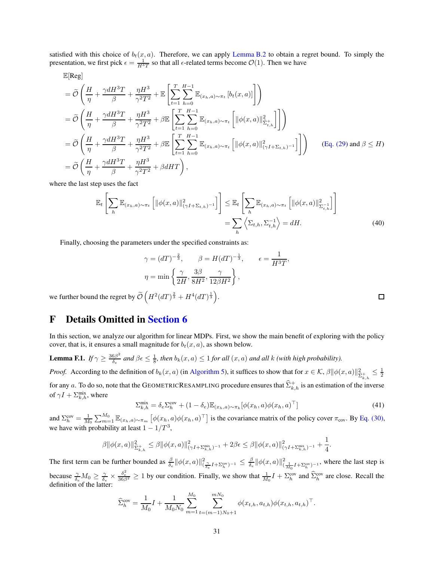satisfied with this choice of  $b_t(x, a)$ . Therefore, we can apply [Lemma B.2](#page-16-0) to obtain a regret bound. To simply the presentation, we first pick  $\epsilon = \frac{1}{H^3T}$  so that all  $\epsilon$ -related terms become  $\mathcal{O}(1)$ . Then we have

 $\mathbb{E}[\text{Reg}]$ 

$$
\begin{split}\n&= \widetilde{\mathcal{O}}\left(\frac{H}{\eta} + \frac{\gamma d H^3 T}{\beta} + \frac{\eta H^3}{\gamma^2 T^2} + \mathbb{E}\left[\sum_{t=1}^T \sum_{h=0}^{H-1} \mathbb{E}_{(x_h, a)\sim\pi_t} \left[b_t(x, a)\right]\right]\right) \\
&= \widetilde{\mathcal{O}}\left(\frac{H}{\eta} + \frac{\gamma d H^3 T}{\beta} + \frac{\eta H^3}{\gamma^2 T^2} + \beta \mathbb{E}\left[\sum_{t=1}^T \sum_{h=0}^{H-1} \mathbb{E}_{(x_h, a)\sim\pi_t} \left[\|\phi(x, a)\|_{\hat{\Sigma}_{t,h}^+}^2\right]\right]\right) \\
&= \widetilde{\mathcal{O}}\left(\frac{H}{\eta} + \frac{\gamma d H^3 T}{\beta} + \frac{\eta H^3}{\gamma^2 T^2} + \beta \mathbb{E}\left[\sum_{t=1}^T \sum_{h=0}^{H-1} \mathbb{E}_{(x_h, a)\sim\pi_t} \left[\|\phi(x, a)\|_{(\gamma I + \Sigma_{t,h})^{-1}}^2\right]\right]\right) \qquad \text{(Eq. (29) and } \beta \le H) \\
&= \widetilde{\mathcal{O}}\left(\frac{H}{\eta} + \frac{\gamma d H^3 T}{\beta} + \frac{\eta H^3}{\gamma^2 T^2} + \beta d H T\right),\n\end{split}
$$

where the last step uses the fact

$$
\mathbb{E}_{t}\left[\sum_{h}\mathbb{E}_{(x_{h},a)\sim\pi_{t}}\left[\|\phi(x,a)\|_{(\gamma I+\Sigma_{t,h})^{-1}}^{2}\right]\right] \leq \mathbb{E}_{t}\left[\sum_{h}\mathbb{E}_{(x_{h},a)\sim\pi_{t}}\left[\|\phi(x,a)\|_{\Sigma_{t,h}}^{2}\right]\right]
$$
\n
$$
=\sum_{h}\left\langle\Sigma_{t,h},\Sigma_{t,h}^{-1}\right\rangle = dH.\tag{40}
$$

Finally, choosing the parameters under the specified constraints as:

$$
\gamma = (dT)^{-\frac{2}{3}}, \qquad \beta = H(dT)^{-\frac{1}{3}}, \qquad \epsilon = \frac{1}{H^3T},
$$

$$
\eta = \min\left\{\frac{\gamma}{2H}, \frac{3\beta}{8H^2}, \frac{\gamma}{12\beta H^2}\right\},
$$

we further bound the regret by  $\widetilde{\mathcal{O}}\left(H^2(dT)^{\frac{2}{3}} + H^4(dT)^{\frac{1}{3}}\right)$ .

## F Details Omitted in [Section 6](#page-8-0)

In this section, we analyze our algorithm for linear MDPs. First, we show the main benefit of exploring with the policy cover, that is, it ensures a small magnitude for  $b_t(x, a)$ , as shown below.

<span id="page-30-0"></span>**Lemma F.1.** *If*  $\gamma \geq \frac{36\beta^2}{\delta_e}$  $\frac{6\beta^2}{\delta_e}$  and  $\beta \epsilon \leq \frac{1}{8}$ , then  $b_k(x, a) \leq 1$  *for all*  $(x, a)$  and all  $k$  *(with high probability).* 

*Proof.* According to the definition of  $b_k(x, a)$  (in [Algorithm 5\)](#page-9-0), it suffices to show that for  $x \in \mathcal{K}, \beta ||\phi(x, a)||_{\hat{\Sigma}_{k,h}^{\perp}}^2 \leq \frac{1}{2}$ for any a. To do so, note that the GEOMETRICRESAMPLING procedure ensures that  $\widehat{\Sigma}^+_{k,h}$  is an estimation of the inverse of  $\gamma I + \sum_{k,h}^{\text{mix}}$ , where

<span id="page-30-2"></span>
$$
\Sigma_{k,h}^{\text{mix}} = \delta_e \Sigma_h^{\text{cov}} + (1 - \delta_e) \mathbb{E}_{(x_h, a) \sim \pi_k} [\phi(x_h, a) \phi(x_h, a)^\top]
$$
\n(41)

and  $\Sigma_h^{\text{cov}} = \frac{1}{M_0} \sum_{m=1}^{M_0} \mathbb{E}_{(x_h, a) \sim \pi_m} \left[ \phi(x_h, a) \phi(x_h, a)^\top \right]$  is the covariance matrix of the policy cover  $\pi_{\text{cov}}$ . By [Eq. \(30\),](#page-22-0) we have with probability at least  $1 - 1/T^3$ ,

$$
\beta \|\phi(x,a)\|_{\widehat{\Sigma}_{k,h}^+}^2 \leq \beta \|\phi(x,a)\|_{(\gamma I + \Sigma_{k,h}^{\min})^{-1}}^2 + 2\beta \epsilon \leq \beta \|\phi(x,a)\|_{(\gamma I + \Sigma_{k,h}^{\min})^{-1}}^2 + \frac{1}{4}.
$$

The first term can be further bounded as  $\frac{\beta}{\delta_e} ||\phi(x, a)||_{(\frac{\gamma}{\delta_e}I + \Sigma_h^{\text{cov}})^{-1}}^2 \leq \frac{\beta}{\delta_e} ||\phi(x, a)||_{(\frac{1}{M\delta_e}I + \Sigma_h^{\text{cov}})^{-1}}^2$ , where the last step is because  $\frac{\gamma}{\delta_e} M_0 \ge \frac{\gamma}{\delta_e} \times \frac{\delta_e^2}{36\beta^2} \ge 1$  by our condition. Finally, we show that  $\frac{1}{M_0} I + \sum_{h=0}^{\infty}$  and  $\hat{\Sigma}_h^{\text{cov}}$  are close. Recall the definition of the latter:

$$
\widehat{\Sigma}_{h}^{\text{cov}} = \frac{1}{M_0} I + \frac{1}{M_0 N_0} \sum_{m=1}^{M_0} \sum_{t=(m-1)N_0+1}^{mN_0} \phi(x_{t,h}, a_{t,h}) \phi(x_{t,h}, a_{t,h})^{\top}.
$$

<span id="page-30-1"></span> $\Box$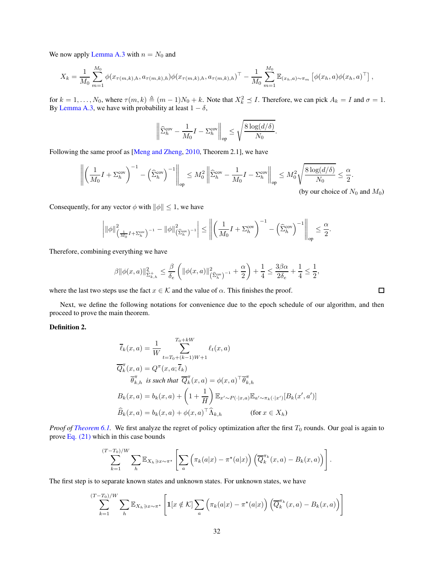We now apply [Lemma A.3](#page-14-3) with  $n = N_0$  and

$$
X_k = \frac{1}{M_0} \sum_{m=1}^{M_0} \phi(x_{\tau(m,k),h}, a_{\tau(m,k),h}) \phi(x_{\tau(m,k),h}, a_{\tau(m,k),h})^{\top} - \frac{1}{M_0} \sum_{m=1}^{M_0} \mathbb{E}_{(x_h, a) \sim \pi_m} \left[ \phi(x_h, a) \phi(x_h, a)^{\top} \right],
$$

for  $k = 1, ..., N_0$ , where  $\tau(m, k) \triangleq (m - 1)N_0 + k$ . Note that  $X_k^2 \preceq I$ . Therefore, we can pick  $A_k = I$  and  $\sigma = 1$ . By [Lemma A.3,](#page-14-3) we have with probability at least  $1 - \delta$ ,

$$
\left\|\widehat{\Sigma}_{h}^{\text{cov}} - \frac{1}{M_0}I - \Sigma_{h}^{\text{cov}}\right\|_{\text{op}} \le \sqrt{\frac{8\log(d/\delta)}{N_0}}.
$$

Following the same proof as [\[Meng and Zheng,](#page-13-19) [2010,](#page-13-19) Theorem 2.1], we have

$$
\left\| \left( \frac{1}{M_0} I + \Sigma_h^{\text{cov}} \right)^{-1} - \left( \widehat{\Sigma}_h^{\text{cov}} \right)^{-1} \right\|_{\text{op}} \le M_0^2 \left\| \widehat{\Sigma}_h^{\text{cov}} - \frac{1}{M_0} I - \Sigma_h^{\text{cov}} \right\|_{\text{op}} \le M_0^2 \sqrt{\frac{8 \log(d/\delta)}{N_0}} \le \frac{\alpha}{2}.
$$
\n(by our choice of  $N_0$  and  $M_0$ )

Consequently, for any vector  $\phi$  with  $\|\phi\| \leq 1$ , we have

$$
\left|\|\phi\|_{\left(\frac{1}{M_0}I+\Sigma_h^{\text{cov}}\right)^{-1}}^2-\|\phi\|_{\left(\widehat{\Sigma}_h^{\text{cov}}\right)^{-1}}^2\right|\leq \left\|\left(\frac{1}{M_0}I+\Sigma_h^{\text{cov}}\right)^{-1}-\left(\widehat{\Sigma}_h^{\text{cov}}\right)^{-1}\right\|_{\text{op}}\leq \frac{\alpha}{2}.
$$

Therefore, combining everything we have

$$
\beta\|\phi(x,a)\|_{\tilde{\Sigma}_{k,h}^+}^2\leq \frac{\beta}{\delta_e}\left(\|\phi(x,a)\|_{\left(\widehat{\Sigma}_h^{\text{cov}}\right)^{-1}}^2+\frac{\alpha}{2}\right)+\frac{1}{4}\leq \frac{3\beta\alpha}{2\delta_e}+\frac{1}{4}\leq \frac{1}{2},
$$

where the last two steps use the fact  $x \in \mathcal{K}$  and the value of  $\alpha$ . This finishes the proof.

Next, we define the following notations for convenience due to the epoch schedule of our algorithm, and then proceed to prove the main theorem.

Definition 2.

$$
\overline{\ell}_k(x, a) = \frac{1}{W} \sum_{t=T_0 + (k-1)W + 1}^{T_0 + kW} \ell_t(x, a)
$$
  

$$
\overline{Q}_k^{\pi}(x, a) = Q^{\pi}(x, a; \overline{\ell}_k)
$$
  

$$
\overline{\theta}_{k,h}^{\pi} \text{ is such that } \overline{Q}_k^{\pi}(x, a) = \phi(x, a)^{\top} \overline{\theta}_{k,h}^{\pi}
$$
  

$$
B_k(x, a) = b_k(x, a) + \left(1 + \frac{1}{H}\right) \mathbb{E}_{x' \sim P(\cdot | x, a)} \mathbb{E}_{a' \sim \pi_k(\cdot | x')} [B_k(x', a')]
$$
  

$$
\widehat{B}_k(x, a) = b_k(x, a) + \phi(x, a)^{\top} \widehat{\Lambda}_{k,h} \qquad \text{(for } x \in X_h)
$$

*Proof of [Theorem 6.1.](#page-10-1)* We first analyze the regret of policy optimization after the first  $T_0$  rounds. Our goal is again to prove [Eq. \(21\)](#page-16-1) which in this case bounds

$$
\sum_{k=1}^{(T-T_0)/W} \sum_{h} \mathbb{E}_{X_h \ni x \sim \pi^{\star}} \left[ \sum_{a} \left( \pi_k(a|x) - \pi^{\star}(a|x) \right) \left( \overline{Q}_{k}^{\pi_k}(x, a) - B_k(x, a) \right) \right].
$$

The first step is to separate known states and unknown states. For unknown states, we have

$$
\sum_{k=1}^{(T-T_0)/W} \sum_{h} \mathbb{E}_{X_h \ni x \sim \pi^*} \left[ \mathbf{1}[x \notin \mathcal{K}] \sum_{a} \left( \pi_k(a|x) - \pi^*(a|x) \right) \left( \overline{Q}_k^{\pi_k}(x, a) - B_k(x, a) \right) \right]
$$

 $\Box$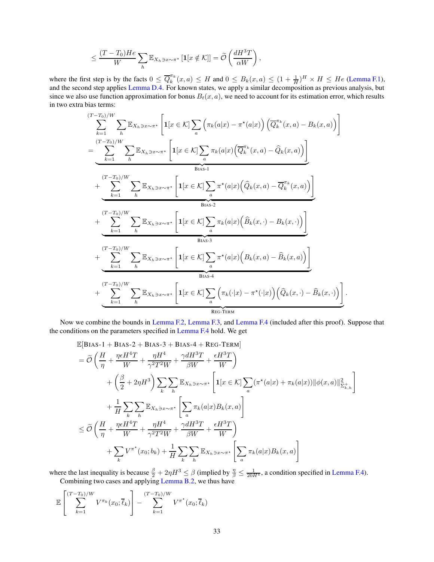$$
\leq \frac{(T-T_0)He}{W} \sum_h \mathbb{E}_{X_h \ni x \sim \pi^*} [\mathbf{1}[x \notin \mathcal{K}]] = \widetilde{\mathcal{O}}\left(\frac{dH^3T}{\alpha W}\right),
$$

where the first step is by the facts  $0 \leq \overline{Q}_k^{\pi_k}$  $\frac{\pi_k}{k}(x, a) \leq H$  and  $0 \leq B_k(x, a) \leq (1 + \frac{1}{H})^H \times H \leq He$  [\(Lemma F.1\)](#page-30-0), and the second step applies [Lemma D.4.](#page-26-0) For known states, we apply a similar decomposition as previous analysis, but since we also use function approximation for bonus  $B_t(x, a)$ , we need to account for its estimation error, which results in two extra bias terms:

$$
\sum_{k=1}^{(T-T_0)/W} \sum_{h} \mathbb{E}_{X_h \ni x \sim \pi^*} \left[ \mathbf{1}[x \in \mathcal{K}] \sum_a \left( \pi_k(a|x) - \pi^*(a|x) \right) \left( \overline{Q}_k^{\pi_k}(x, a) - B_k(x, a) \right) \right]
$$
\n
$$
= \underbrace{\sum_{k=1}^{(T-T_0)/W} \sum_{h} \mathbb{E}_{X_h \ni x \sim \pi^*} \left[ \mathbf{1}[x \in \mathcal{K}] \sum_a \pi_k(a|x) \left( \overline{Q}_k^{\pi_k}(x, a) - \widehat{Q}_k(x, a) \right) \right]}_{\text{Bias-1}} + \underbrace{\sum_{k=1}^{(T-T_0)/W} \sum_{h} \mathbb{E}_{X_h \ni x \sim \pi^*} \left[ \mathbf{1}[x \in \mathcal{K}] \sum_a \pi^*(a|x) \left( \widehat{Q}_k(x, a) - \overline{Q}_k^{\pi_k}(x, a) \right) \right]}_{\text{Bias-2}} + \underbrace{\sum_{k=1}^{(T-T_0)/W} \sum_{h} \mathbb{E}_{X_h \ni x \sim \pi^*} \left[ \mathbf{1}[x \in \mathcal{K}] \sum_a \pi_k(a|x) \left( \widehat{B}_k(x, \cdot) - B_k(x, \cdot) \right) \right]}_{\text{Bias-3}} + \underbrace{\sum_{k=1}^{(T-T_0)/W} \sum_{h} \mathbb{E}_{X_h \ni x \sim \pi^*} \left[ \mathbf{1}[x \in \mathcal{K}] \sum_a \pi^*(a|x) \left( B_k(x, a) - \widehat{B}_k(x, a) \right) \right]}_{\text{Bias-4}} + \underbrace{\sum_{k=1}^{(T-T_0)/W} \sum_{h} \mathbb{E}_{X_h \ni x \sim \pi^*} \left[ \mathbf{1}[x \in \mathcal{K}] \sum_a \left( \pi_k(\cdot|x) - \pi^*(\cdot|x) \right) \left( \widehat{Q}_k(x, \cdot) - \widehat{B}_k(x, \cdot) \right) \right]}_{\text{REG-TERM}}.
$$

Now we combine the bounds in [Lemma F.2,](#page-33-0) [Lemma F.3,](#page-34-0) and [Lemma F.4](#page-34-1) (included after this proof). Suppose that the conditions on the parameters specified in [Lemma F.4](#page-34-1) hold. We get

$$
\mathbb{E}[\text{Bias-1} + \text{Bias-2} + \text{Bias-3} + \text{Bias-4} + \text{REG-TERM}] \n= \widetilde{\mathcal{O}}\left(\frac{H}{\eta} + \frac{\eta \epsilon H^4 T}{W} + \frac{\eta H^4}{\gamma^2 T^2 W} + \frac{\gamma d H^3 T}{\beta W} + \frac{\epsilon H^3 T}{W}\right) \n+ \left(\frac{\beta}{2} + 2\eta H^3\right) \sum_{k} \sum_{h} \mathbb{E}_{X_h \ni x \sim \pi^{\star}} \left[ \mathbf{1}[x \in \mathcal{K}] \sum_{a} (\pi^{\star}(a|x) + \pi_k(a|x)) ||\phi(x, a)||_{\mathfrak{D}_{k,h}^{\star}}^2 \right] \n+ \frac{1}{H} \sum_{k} \sum_{h} \mathbb{E}_{X_h \ni x \sim \pi^{\star}} \left[ \sum_{a} \pi_k(a|x) B_k(x, a) \right] \n\leq \widetilde{\mathcal{O}}\left(\frac{H}{\eta} + \frac{\eta \epsilon H^4 T}{W} + \frac{\eta H^4}{\gamma^2 T^2 W} + \frac{\gamma d H^3 T}{\beta W} + \frac{\epsilon H^3 T}{W}\right) \n+ \sum_{k} V^{\pi^{\star}}(x_0; b_k) + \frac{1}{H} \sum_{k} \sum_{h} \mathbb{E}_{X_h \ni x \sim \pi^{\star}} \left[ \sum_{a} \pi_k(a|x) B_k(x, a) \right]
$$

where the last inequality is because  $\frac{\beta}{2} + 2\eta H^3 \leq \beta$  (implied by  $\frac{\eta}{\beta} \leq \frac{1}{20H^4}$ , a condition specified in [Lemma F.4\)](#page-34-1). Combining two cases and applying [Lemma B.2,](#page-16-0) we thus have

$$
\mathbb{E}\left[\sum_{k=1}^{(T-T_0)/W} V^{\pi_k}(x_0;\overline{\ell}_k)\right] - \sum_{k=1}^{(T-T_0)/W} V^{\pi^*}(x_0;\overline{\ell}_k)
$$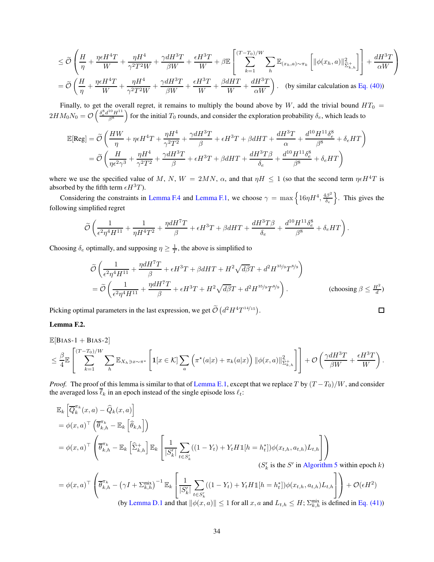$$
\leq \widetilde{\mathcal{O}}\left(\frac{H}{\eta} + \frac{\eta\epsilon H^4T}{W} + \frac{\eta H^4}{\gamma^2 T^2 W} + \frac{\gamma d H^3 T}{\beta W} + \frac{\epsilon H^3 T}{W} + \beta \mathbb{E}\left[\sum_{k=1}^{(T-T_0)/W} \sum_h \mathbb{E}_{(x_h, a)\sim\pi_k} \left[\|\phi(x_h, a)\|_{\widehat{\Sigma}_{k,h}^+}^2\right]\right] + \frac{dH^3 T}{\alpha W}\right]
$$
\n
$$
= \widetilde{\mathcal{O}}\left(\frac{H}{\eta} + \frac{\eta\epsilon H^4 T}{W} + \frac{\eta H^4}{\gamma^2 T^2 W} + \frac{\gamma dH^3 T}{\beta W} + \frac{\epsilon H^3 T}{W} + \frac{\beta dHT}{W} + \frac{dH^3 T}{\alpha W}\right). \quad \text{(by similar calculation as Eq. (40))}
$$

Finally, to get the overall regret, it remains to multiply the bound above by W, add the trivial bound  $HT_0 =$  $2HM_0N_0 = \mathcal{O}\left(\frac{\delta_e^8d^{10}H^{11}}{\beta^8}\right)$  $\beta^8$ for the initial  $T_0$  rounds, and consider the exploration probability  $\delta_e$ , which leads to

$$
\mathbb{E}[\text{Reg}] = \widetilde{\mathcal{O}}\left(\frac{HW}{\eta} + \eta \epsilon H^4 T + \frac{\eta H^4}{\gamma^2 T^2} + \frac{\gamma d H^3 T}{\beta} + \epsilon H^3 T + \beta dHT + \frac{d H^3 T}{\alpha} + \frac{d^{10} H^{11} \delta_e^8}{\beta^8} + \delta_e HT\right)
$$
  
= 
$$
\widetilde{\mathcal{O}}\left(\frac{H}{\eta \epsilon^2 \gamma^3} + \frac{\eta H^4}{\gamma^2 T^2} + \frac{\gamma d H^3 T}{\beta} + \epsilon H^3 T + \beta dHT + \frac{d H^3 T \beta}{\delta_e} + \frac{d^{10} H^{11} \delta_e^8}{\beta^8} + \delta_e HT\right)
$$

where we use the specified value of M, N,  $W = 2MN$ ,  $\alpha$ , and that  $\eta H \le 1$  (so that the second term  $\eta \epsilon H^4 T$  is absorbed by the fifth term  $\epsilon H^3T$ ).

Considering the constraints in [Lemma F.4](#page-34-1) and [Lemma F.1,](#page-30-0) we choose  $\gamma = \max\left\{16\eta H^4, \frac{4\beta^2}{\delta}\right\}$  $\delta_e$ o . This gives the following simplified regret

$$
\widetilde{\mathcal{O}}\left(\frac{1}{\epsilon^2\eta^4H^{11}}+\frac{1}{\eta H^4T^2}+\frac{\eta dH^7T}{\beta}+\epsilon H^3T+\beta dHT+\frac{dH^3T\beta}{\delta_e}+\frac{d^{10}H^{11}\delta^8_e}{\beta^8}+\delta_e HT\right).
$$

Choosing  $\delta_e$  optimally, and supposing  $\eta \geq \frac{1}{T}$ , the above is simplified to

$$
\widetilde{\mathcal{O}}\left(\frac{1}{\epsilon^2 \eta^4 H^{11}} + \frac{\eta d H^7 T}{\beta} + \epsilon H^3 T + \beta d H T + H^2 \sqrt{d \beta} T + d^2 H^{35/9} T^{8/9}\right)
$$
\n
$$
= \widetilde{\mathcal{O}}\left(\frac{1}{\epsilon^2 \eta^4 H^{11}} + \frac{\eta d H^7 T}{\beta} + \epsilon H^3 T + H^2 \sqrt{d \beta} T + d^2 H^{35/9} T^{8/9}\right). \tag{choosing } \beta \le \frac{H^2}{d})
$$

 $\Box$ 

Picking optimal parameters in the last expression, we get  $\tilde{\mathcal{O}}\left(d^2 H^4 T^{14/15}\right)$ .

#### <span id="page-33-0"></span>Lemma F.2.

$$
\mathbb{E}[\text{Bias-1} + \text{Bias-2}] \n\leq \frac{\beta}{4} \mathbb{E} \left[ \sum_{k=1}^{(T-T_0)/W} \sum_{h} \mathbb{E}_{X_h \ni x \sim \pi^{\star}} \left[ \mathbf{1}[x \in \mathcal{K}] \sum_{a} \left( \pi^{\star}(a|x) + \pi_k(a|x) \right) ||\phi(x, a)||_{\Sigma_{k,h}^{\perp}}^2 \right] \right] + \mathcal{O}\left(\frac{\gamma d H^3 T}{\beta W} + \frac{\epsilon H^3 T}{W}\right).
$$

*Proof.* The proof of this lemma is similar to that of [Lemma E.1,](#page-28-0) except that we replace T by  $(T - T_0)/W$ , and consider the averaged loss  $\overline{\ell}_k$  in an epoch instead of the single episode loss  $\ell_t$ :

$$
\mathbb{E}_{k}\left[\overline{Q}_{k}^{\pi_{k}}(x,a) - \widehat{Q}_{k}(x,a)\right]
$$
\n
$$
= \phi(x,a)^{\top} \left(\overline{\theta}_{k,h}^{\pi_{k}} - \mathbb{E}_{k}\left[\widehat{\theta}_{k,h}\right]\right)
$$
\n
$$
= \phi(x,a)^{\top} \left(\overline{\theta}_{k,h}^{\pi_{k}} - \mathbb{E}_{k}\left[\widehat{\Sigma}_{k,h}^{+}\right] \mathbb{E}_{k}\left[\frac{1}{|S'_{k}|}\sum_{t \in S'_{k}}((1-Y_{t}) + Y_{t}H\mathbb{1}[h=h_{t}^{*}])\phi(x_{t,h}, a_{t,h})L_{t,h}\right]\right)
$$
\n
$$
(S'_{k} \text{ is the } S' \text{ in Algorithm 5 within epoch } k)
$$

$$
= \phi(x, a)^{\top} \left( \overline{\theta}_{k,h}^{\pi_k} - \left( \gamma I + \Sigma_{k,h}^{\text{mix}} \right)^{-1} \mathbb{E}_k \left[ \frac{1}{|S'_k|} \sum_{t \in S'_k} ((1 - Y_t) + Y_t H \mathbb{1}[h = h_t^*)] \phi(x_{t,h}, a_{t,h}) L_{t,h} \right] \right) + \mathcal{O}(\epsilon H^2)
$$
\n(by Lemma D.1 and that  $||\phi(x, a)|| < 1$  for all  $x, a$  and  $L_{t,h} < H$ .  $\Sigma_{t,h}^{\text{mix}}$  is defined in Eq. (41).

(by [Lemma D.1](#page-22-5) and that  $\|\phi(x, a)\| \leq 1$  $\sum_{k,h}^{\text{mix}}$  is defined in [Eq. \(41\)\)](#page-30-2)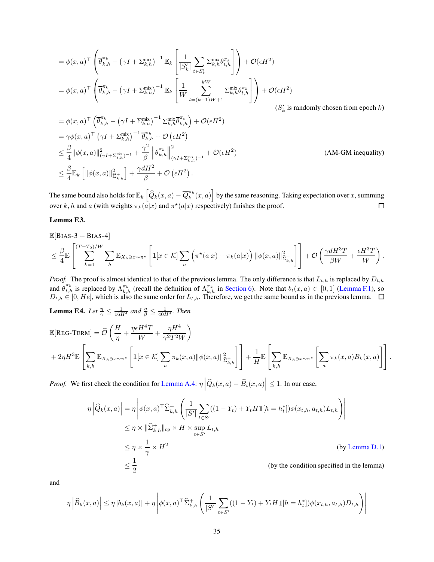$$
\begin{split}\n&= \phi(x,a)^\top \left( \overline{\theta}_{k,h}^{\pi_k} - \left( \gamma I + \Sigma_{k,h}^{\text{mix}} \right)^{-1} \mathbb{E}_k \left[ \frac{1}{|S'_k|} \sum_{t \in S'_k} \Sigma_{k,h}^{\text{mix}} \theta_{t,h}^{\pi_k} \right] \right) + \mathcal{O}(\epsilon H^2) \\
&= \phi(x,a)^\top \left( \overline{\theta}_{k,h}^{\pi_k} - \left( \gamma I + \Sigma_{k,h}^{\text{mix}} \right)^{-1} \mathbb{E}_k \left[ \frac{1}{W} \sum_{t=(k-1)W+1}^{kW} \Sigma_{k,h}^{\text{mix}} \theta_{t,h}^{\pi_k} \right] \right) + \mathcal{O}(\epsilon H^2) \\
&= \phi(x,a)^\top \left( \overline{\theta}_{k,h}^{\pi_k} - \left( \gamma I + \Sigma_{k,h}^{\text{mix}} \right)^{-1} \Sigma_{k,h}^{\text{mix}} \overline{\theta}_{k,h}^{\pi_k} \right) + \mathcal{O}(\epsilon H^2) \\
&= \gamma \phi(x,a)^\top \left( \gamma I + \Sigma_{k,h}^{\text{mix}} \right)^{-1} \overline{\theta}_{k,h}^{\pi_k} + \mathcal{O}(\epsilon H^2) \\
&\leq \frac{\beta}{4} ||\phi(x,a)||_{\gamma I + \Sigma_{k,h}^{\text{mix}} \right) - 1} + \frac{\gamma^2}{\beta} ||\overline{\theta}_{k,h}^{\pi_k}||_{(\gamma I + \Sigma_{k,h}^{\text{mix}})^{-1}}^2 + \mathcal{O}(\epsilon H^2) \\
&\leq \frac{\beta}{4} \mathbb{E}_k \left[ ||\phi(x,a)||_{\Sigma_{k,h}^{\frac{2}{3}} \right] + \frac{\gamma d H^2}{\beta} + \mathcal{O}(\epsilon H^2) .\n\end{split} \tag{AM-GM inequality}
$$

The same bound also holds for  $\mathbb{E}_k\left[\widehat{Q}_k(x,a) - \overline{Q}_k^{\pi_k}\right]$  $\left(\begin{matrix} \pi_k\ k\end{matrix}\right)$  by the same reasoning. Taking expectation over x, summing over k, h and a (with weights  $\pi_k(a|x)$  and  $\pi^*(a|x)$  respectively) finishes the proof.

#### <span id="page-34-0"></span>Lemma F.3.

 $\mathbb{E}[BIAS-3 + BIAS-4]$ 

$$
\leq \frac{\beta}{4} \mathbb{E}\left[\sum_{k=1}^{(T-T_0)/W} \sum_{h} \mathbb{E}_{X_h \ni x \sim \pi^{\star}} \left[ \mathbf{1}[x \in \mathcal{K}] \sum_{a} \left( \pi^{\star}(a|x) + \pi_k(a|x) \right) \|\phi(x, a)\|_{\widehat{\Sigma}_{k,h}^{\pm}}^2 \right] \right] + \mathcal{O}\left(\frac{\gamma d H^3 T}{\beta W} + \frac{\epsilon H^3 T}{W}\right).
$$

*Proof.* The proof is almost identical to that of the previous lemma. The only difference is that  $L_{t,h}$  is replaced by  $D_{t,h}$ and  $\overline{\theta}_{t,h}^{\pi_k}$  is replaced by  $\Lambda_{k,h}^{\pi_k}$  (recall the definition of  $\Lambda_{k,h}^{\pi_k}$  in [Section 6\)](#page-8-0). Note that  $b_t(x,a) \in [0,1]$  [\(Lemma F.1\)](#page-30-0), so  $D_{t,h} \in [0,He]$ , which is also the same order for  $L_{t,h}$ . Therefore, we get the same bound as in the previous lemma.

<span id="page-34-1"></span>**Lemma F.4.** *Let*  $\frac{\eta}{\gamma} \leq \frac{1}{16H^4}$  *and*  $\frac{\eta}{\beta} \leq \frac{1}{40H^4}$ *. Then* 

$$
\mathbb{E}[\text{Reg-TERN}] = \widetilde{\mathcal{O}}\left(\frac{H}{\eta} + \frac{\eta \epsilon H^4 T}{W} + \frac{\eta H^4}{\gamma^2 T^2 W}\right)
$$
  
+  $2\eta H^3 \mathbb{E}\left[\sum_{k,h} \mathbb{E}_{X_h \ni x \sim \pi^\star} \left[\mathbf{1}[x \in \mathcal{K}] \sum_a \pi_k(x, a) \|\phi(x, a)\|_{\widehat{\Sigma}_{k,h}^+}^2\right]\right] + \frac{1}{H} \mathbb{E}\left[\sum_{k,h} \mathbb{E}_{X_h \ni x \sim \pi^\star} \left[\sum_a \pi_k(x, a) B_k(x, a)\right]\right].$ 

*Proof.* We first check the condition for [Lemma A.4:](#page-14-2)  $\eta \left| \widehat{Q}_k(x, a) - \widehat{B}_t(x, a) \right| \leq 1$ . In our case,

$$
\eta \left| \hat{Q}_k(x, a) \right| = \eta \left| \phi(x, a)^{\top} \hat{\Sigma}_{k,h}^+ \left( \frac{1}{|S'|} \sum_{t \in S'} ((1 - Y_t) + Y_t H \mathbb{1}[h = h_t^*)]) \phi(x_{t,h}, a_{t,h}) L_{t,h} \right) \right|
$$
  
\n
$$
\leq \eta \times \|\hat{\Sigma}_{k,h}^+ \|_{\text{op}} \times H \times \sup_{t \in S'} L_{t,h}
$$
  
\n
$$
\leq \eta \times \frac{1}{\gamma} \times H^2
$$
 (by Lemma D.1)  
\n
$$
\leq \frac{1}{2}
$$
 (by the condition specified in the lemma)

 $\overline{\phantom{a}}$  $\overline{\phantom{a}}$  $\overline{\phantom{a}}$  $\overline{\phantom{a}}$ 

and

$$
\eta \left| \widehat{B}_k(x, a) \right| \le \eta \left| b_k(x, a) \right| + \eta \left| \phi(x, a)^\top \widehat{\Sigma}_{k, h}^+ \left( \frac{1}{|S'|} \sum_{t \in S'} ((1 - Y_t) + Y_t H \mathbb{1}[h = h_t^*]) \phi(x_{t, h}, a_{t, h}) D_{t, h} \right) \right|
$$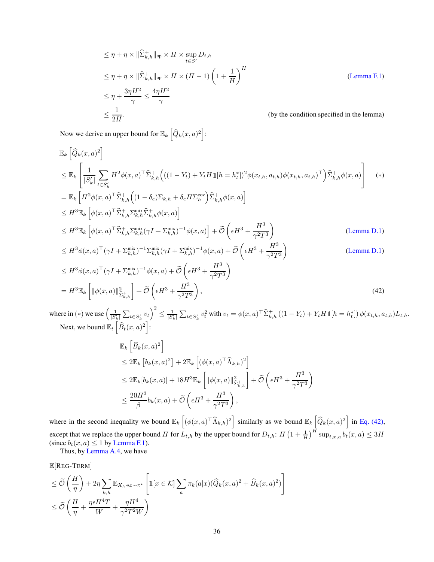$$
\leq \eta + \eta \times \|\hat{\Sigma}_{k,h}^+\|_{\text{op}} \times H \times \sup_{t \in S'} D_{t,h}
$$
\n
$$
\leq \eta + \eta \times \|\hat{\Sigma}_{k,h}^+\|_{\text{op}} \times H \times (H-1) \left(1 + \frac{1}{H}\right)^H
$$
\n
$$
\leq \eta + \frac{3\eta H^2}{\gamma} \leq \frac{4\eta H^2}{\gamma}
$$
\n
$$
\leq \frac{1}{2H}.
$$
\n(by the condition specified in the lemma)

Now we derive an upper bound for  $\mathbb{E}_k \left[ \widehat{Q}_k(x, a)^2 \right]$ :

$$
\mathbb{E}_{k}\left[\widehat{Q}_{k}(x,a)^{2}\right]
$$
\n
$$
\leq \mathbb{E}_{k}\left[\frac{1}{|S'_{k}|}\sum_{t\in S'_{k}}H^{2}\phi(x,a)^{\top}\widehat{\Sigma}_{k,h}^{+}\left(((1-Y_{t})+Y_{t}H\mathbb{1}[h=h_{t}^{*}])^{2}\phi(x_{t,h},a_{t,h})\phi(x_{t,h},a_{t,h})^{\top}\right)\widehat{\Sigma}_{k,h}^{+}\phi(x,a)\right]
$$
\n
$$
=\mathbb{E}_{k}\left[H^{2}\phi(x,a)^{\top}\widehat{\Sigma}_{k,h}^{+}\left((1-\delta_{e})\Sigma_{k,h}+\delta_{e}H\Sigma_{h}^{\text{cov}}\right)\widehat{\Sigma}_{k,h}^{+}\phi(x,a)\right]
$$
\n
$$
\leq H^{3}\mathbb{E}_{k}\left[\phi(x,a)^{\top}\widehat{\Sigma}_{k,h}^{+}\Sigma_{k,h}^{\text{mix}}\widehat{\Sigma}_{k,h}^{+}\phi(x,a)\right]
$$
\n
$$
\leq H^{3}\mathbb{E}_{k}\left[\phi(x,a)^{\top}\widehat{\Sigma}_{k,h}^{+}\Sigma_{k,h}^{\text{mix}}(\gamma I+\Sigma_{k,h}^{\text{mix}})^{-1}\phi(x,a)\right]+\widetilde{\mathcal{O}}\left(\epsilon H^{3}+\frac{H^{3}}{\gamma^{2}T^{3}}\right)
$$
\n
$$
\leq H^{3}\phi(x,a)^{\top}(\gamma I+\Sigma_{k,h}^{\text{mix}})^{-1}\Sigma_{k,h}^{\text{mix}}(\gamma I+\Sigma_{k,h}^{\text{mix}})^{-1}\phi(x,a)+\widetilde{\mathcal{O}}\left(\epsilon H^{3}+\frac{H^{3}}{\gamma^{2}T^{3}}\right)
$$
\n(Lemma D.1)

$$
\leq H^3 \phi(x, a)^\top (\gamma I + \Sigma_{k,h}^{\text{mix}})^{-1} \phi(x, a) + \widetilde{\mathcal{O}} \left( \epsilon H^3 + \frac{H^3}{\gamma^2 T^3} \right)
$$
  
=  $H^3 \mathbb{E}_k \left[ \| \phi(x, a) \|_{\widehat{\Sigma}_{k,h}^{\pm}}^2 \right] + \widetilde{\mathcal{O}} \left( \epsilon H^3 + \frac{H^3}{\gamma^2 T^3} \right),$  (42)

where in (\*) we use  $\left(\frac{1}{|S'_k|} \sum_{t \in S'_k} v_t\right)^2$  $\leq \frac{1}{|S'_k|} \sum_{t \in S'_k} v_t^2$  with  $v_t = \phi(x, a)^\top \widehat{\Sigma}^+_{k,h} ((1 - Y_t) + Y_t H \mathbb{1}[h = h_t^*]) \phi(x_{t,h}, a_{t,h}) L_{t,h}.$ Next, we bound  $\mathbb{E}_t \left[ \widehat{B}_t(x,a)^2 \right]$ :

<span id="page-35-0"></span>
$$
\mathbb{E}_{k}\left[\widehat{B}_{k}(x,a)^{2}\right]
$$
\n
$$
\leq 2\mathbb{E}_{k}\left[b_{k}(x,a)^{2}\right] + 2\mathbb{E}_{k}\left[\left(\phi(x,a)^{\top}\widehat{\Lambda}_{k,h}\right)^{2}\right]
$$
\n
$$
\leq 2\mathbb{E}_{k}\left[b_{k}(x,a)\right] + 18H^{3}\mathbb{E}_{k}\left[\|\phi(x,a)\|_{\widehat{\Sigma}_{k,h}^{+}}^{2}\right] + \widetilde{\mathcal{O}}\left(\epsilon H^{3} + \frac{H^{3}}{\gamma^{2}T^{3}}\right)
$$
\n
$$
\leq \frac{20H^{3}}{\beta}b_{k}(x,a) + \widetilde{\mathcal{O}}\left(\epsilon H^{3} + \frac{H^{3}}{\gamma^{2}T^{3}}\right),
$$

where in the second inequality we bound  $\mathbb{E}_k \left[ (\phi(x, a)^{\top} \widehat{\Lambda}_{k,h})^2 \right]$  similarly as we bound  $\mathbb{E}_k \left[ \widehat{Q}_k(x, a)^2 \right]$  in [Eq. \(42\),](#page-35-0) except that we replace the upper bound H for  $L_{t,h}$  by the upper bound for  $D_{t,h}: H\left(1+\frac{1}{H}\right)^H \sup_{t,x,a} b_t(x,a) \leq 3H$ (since  $b_t(x, a) \le 1$  by [Lemma F.1\)](#page-30-0).

Thus, by [Lemma A.4,](#page-14-2) we have

$$
\mathbb{E}[\text{Reg-Tern}]
$$

$$
\leq \widetilde{\mathcal{O}}\left(\frac{H}{\eta}\right) + 2\eta \sum_{k,h} \mathbb{E}_{X_h \ni x \sim \pi^{\star}} \left[ \mathbf{1}[x \in \mathcal{K}] \sum_a \pi_k(a|x) (\widehat{Q}_k(x, a)^2 + \widehat{B}_k(x, a)^2) \right]
$$
  

$$
\leq \widetilde{\mathcal{O}}\left(\frac{H}{\eta} + \frac{\eta \epsilon H^4 T}{W} + \frac{\eta H^4}{\gamma^2 T^2 W}\right)
$$